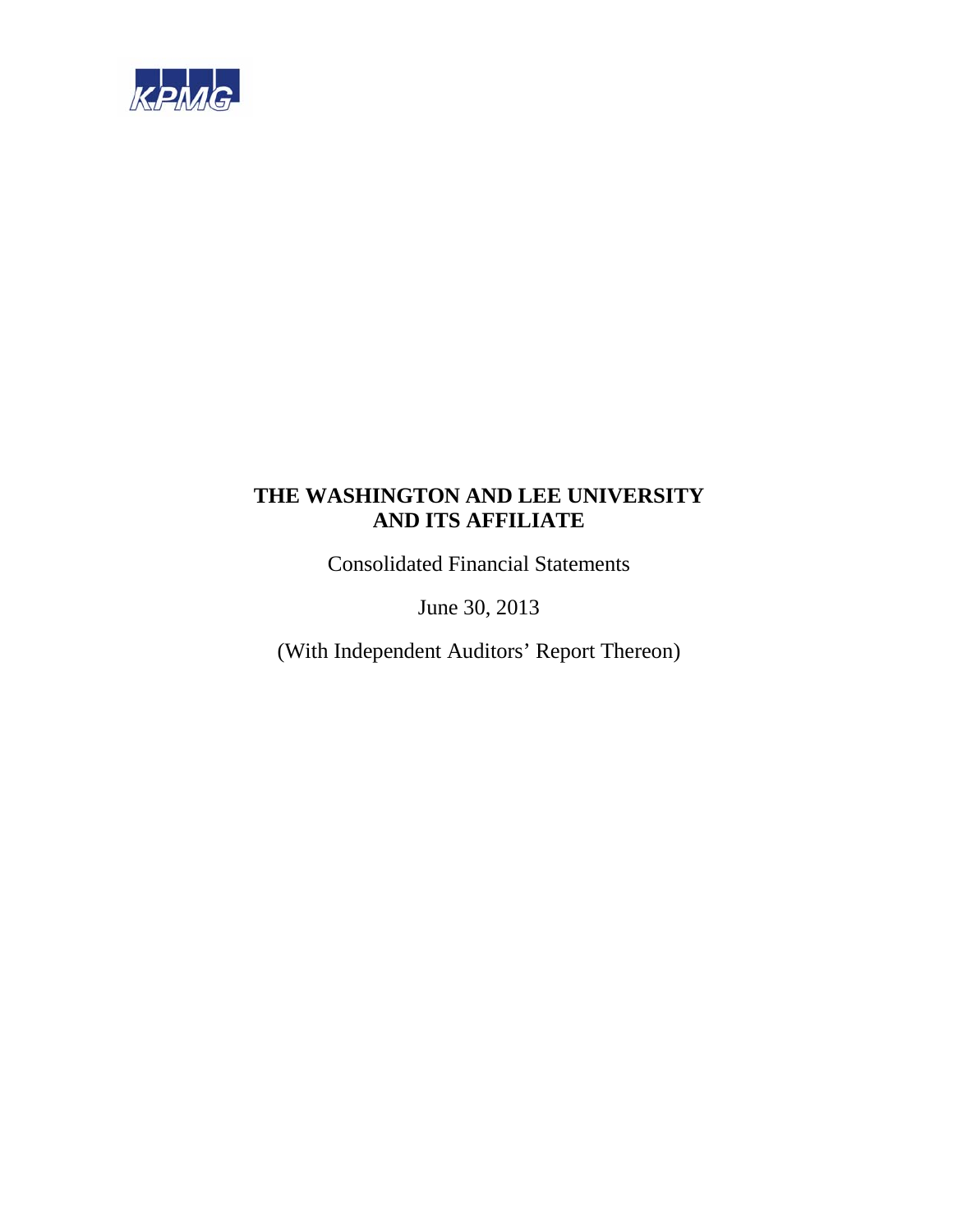

Consolidated Financial Statements

June 30, 2013

(With Independent Auditors' Report Thereon)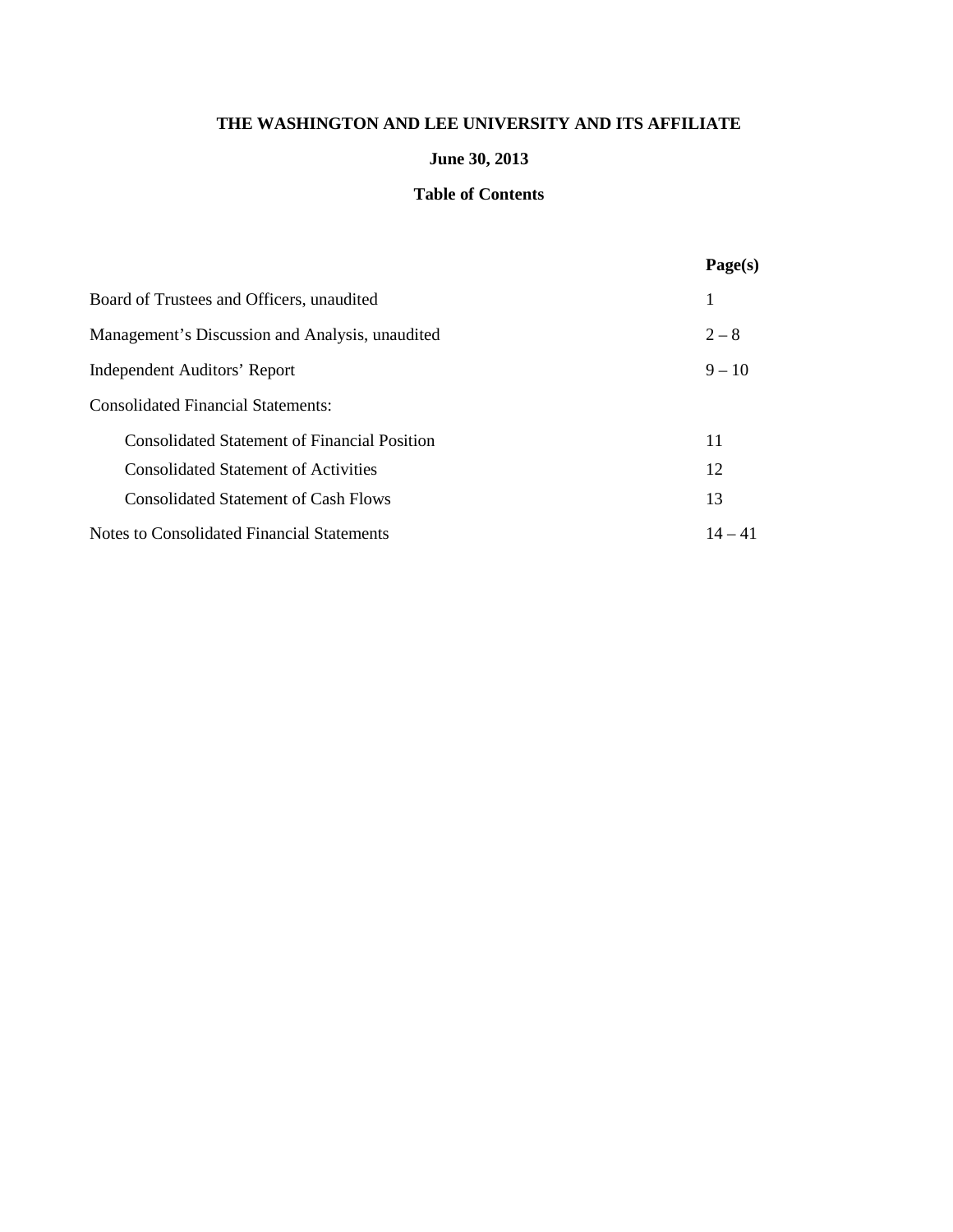# **June 30, 2013**

## **Table of Contents**

|                                                     | Page(s)   |
|-----------------------------------------------------|-----------|
| Board of Trustees and Officers, unaudited           | 1         |
| Management's Discussion and Analysis, unaudited     | $2 - 8$   |
| Independent Auditors' Report                        | $9 - 10$  |
| <b>Consolidated Financial Statements:</b>           |           |
| <b>Consolidated Statement of Financial Position</b> | 11        |
| <b>Consolidated Statement of Activities</b>         | 12        |
| <b>Consolidated Statement of Cash Flows</b>         | 13        |
| Notes to Consolidated Financial Statements          | $14 - 41$ |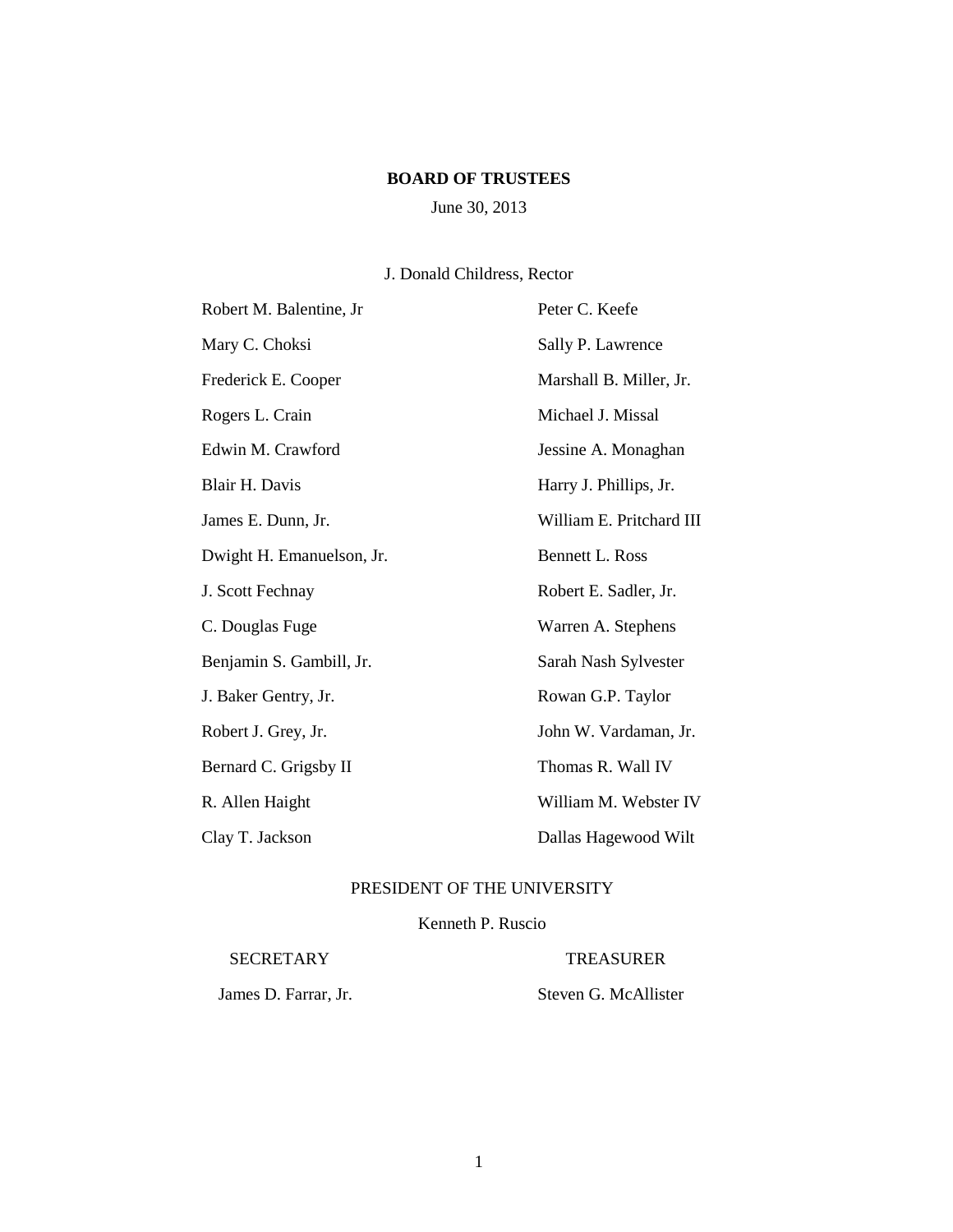## **BOARD OF TRUSTEES**

# June 30, 2013

# J. Donald Childress, Rector

| Robert M. Balentine, Jr   | Peter C. Keefe           |
|---------------------------|--------------------------|
| Mary C. Choksi            | Sally P. Lawrence        |
| Frederick E. Cooper       | Marshall B. Miller, Jr.  |
| Rogers L. Crain           | Michael J. Missal        |
| Edwin M. Crawford         | Jessine A. Monaghan      |
| Blair H. Davis            | Harry J. Phillips, Jr.   |
| James E. Dunn, Jr.        | William E. Pritchard III |
| Dwight H. Emanuelson, Jr. | Bennett L. Ross          |
| J. Scott Fechnay          | Robert E. Sadler, Jr.    |
| C. Douglas Fuge           | Warren A. Stephens       |
| Benjamin S. Gambill, Jr.  | Sarah Nash Sylvester     |
| J. Baker Gentry, Jr.      | Rowan G.P. Taylor        |
| Robert J. Grey, Jr.       | John W. Vardaman, Jr.    |
| Bernard C. Grigsby II     | Thomas R. Wall IV        |
| R. Allen Haight           | William M. Webster IV    |
| Clay T. Jackson           | Dallas Hagewood Wilt     |

# PRESIDENT OF THE UNIVERSITY

## Kenneth P. Ruscio

SECRETARY TREASURER

James D. Farrar, Jr. Steven G. McAllister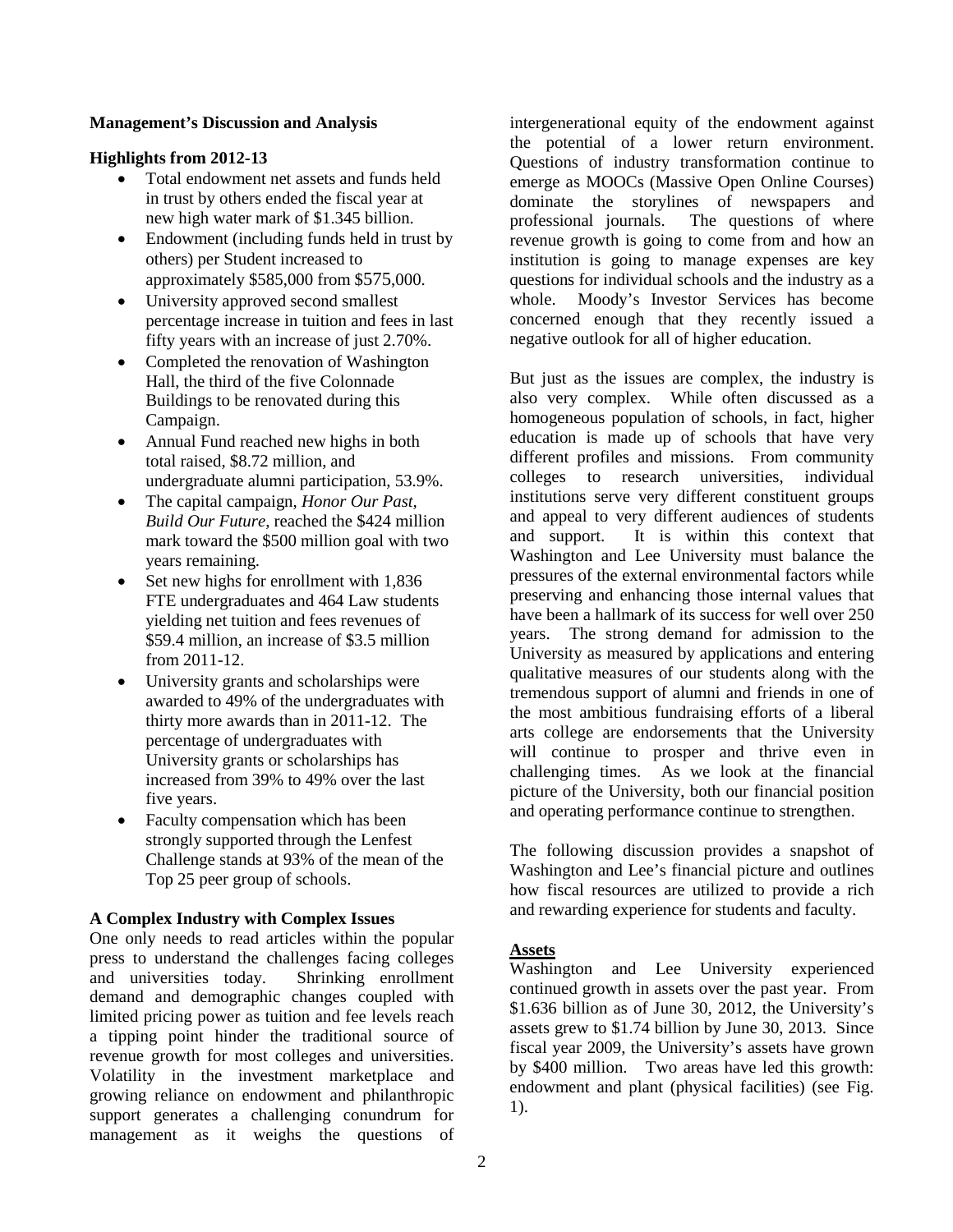## **Management's Discussion and Analysis**

## **Highlights from 2012-13**

- Total endowment net assets and funds held in trust by others ended the fiscal year at new high water mark of \$1.345 billion.
- Endowment (including funds held in trust by others) per Student increased to approximately \$585,000 from \$575,000.
- University approved second smallest percentage increase in tuition and fees in last fifty years with an increase of just 2.70%.
- Completed the renovation of Washington Hall, the third of the five Colonnade Buildings to be renovated during this Campaign.
- Annual Fund reached new highs in both total raised, \$8.72 million, and undergraduate alumni participation, 53.9%.
- The capital campaign, *Honor Our Past, Build Our Future*, reached the \$424 million mark toward the \$500 million goal with two years remaining.
- Set new highs for enrollment with 1,836 FTE undergraduates and 464 Law students yielding net tuition and fees revenues of \$59.4 million, an increase of \$3.5 million from 2011-12.
- University grants and scholarships were awarded to 49% of the undergraduates with thirty more awards than in 2011-12. The percentage of undergraduates with University grants or scholarships has increased from 39% to 49% over the last five years.
- Faculty compensation which has been strongly supported through the Lenfest Challenge stands at 93% of the mean of the Top 25 peer group of schools.

## **A Complex Industry with Complex Issues**

One only needs to read articles within the popular press to understand the challenges facing colleges and universities today. Shrinking enrollment demand and demographic changes coupled with limited pricing power as tuition and fee levels reach a tipping point hinder the traditional source of revenue growth for most colleges and universities. Volatility in the investment marketplace and growing reliance on endowment and philanthropic support generates a challenging conundrum for management as it weighs the questions of intergenerational equity of the endowment against the potential of a lower return environment. Questions of industry transformation continue to emerge as MOOCs (Massive Open Online Courses) dominate the storylines of newspapers and professional journals. The questions of where revenue growth is going to come from and how an institution is going to manage expenses are key questions for individual schools and the industry as a whole. Moody's Investor Services has become concerned enough that they recently issued a negative outlook for all of higher education.

But just as the issues are complex, the industry is also very complex. While often discussed as a homogeneous population of schools, in fact, higher education is made up of schools that have very different profiles and missions. From community colleges to research universities, individual institutions serve very different constituent groups and appeal to very different audiences of students and support. It is within this context that Washington and Lee University must balance the pressures of the external environmental factors while preserving and enhancing those internal values that have been a hallmark of its success for well over 250 years. The strong demand for admission to the University as measured by applications and entering qualitative measures of our students along with the tremendous support of alumni and friends in one of the most ambitious fundraising efforts of a liberal arts college are endorsements that the University will continue to prosper and thrive even in challenging times. As we look at the financial picture of the University, both our financial position and operating performance continue to strengthen.

The following discussion provides a snapshot of Washington and Lee's financial picture and outlines how fiscal resources are utilized to provide a rich and rewarding experience for students and faculty.

## **Assets**

Washington and Lee University experienced continued growth in assets over the past year. From \$1.636 billion as of June 30, 2012, the University's assets grew to \$1.74 billion by June 30, 2013. Since fiscal year 2009, the University's assets have grown by \$400 million. Two areas have led this growth: endowment and plant (physical facilities) (see Fig. 1).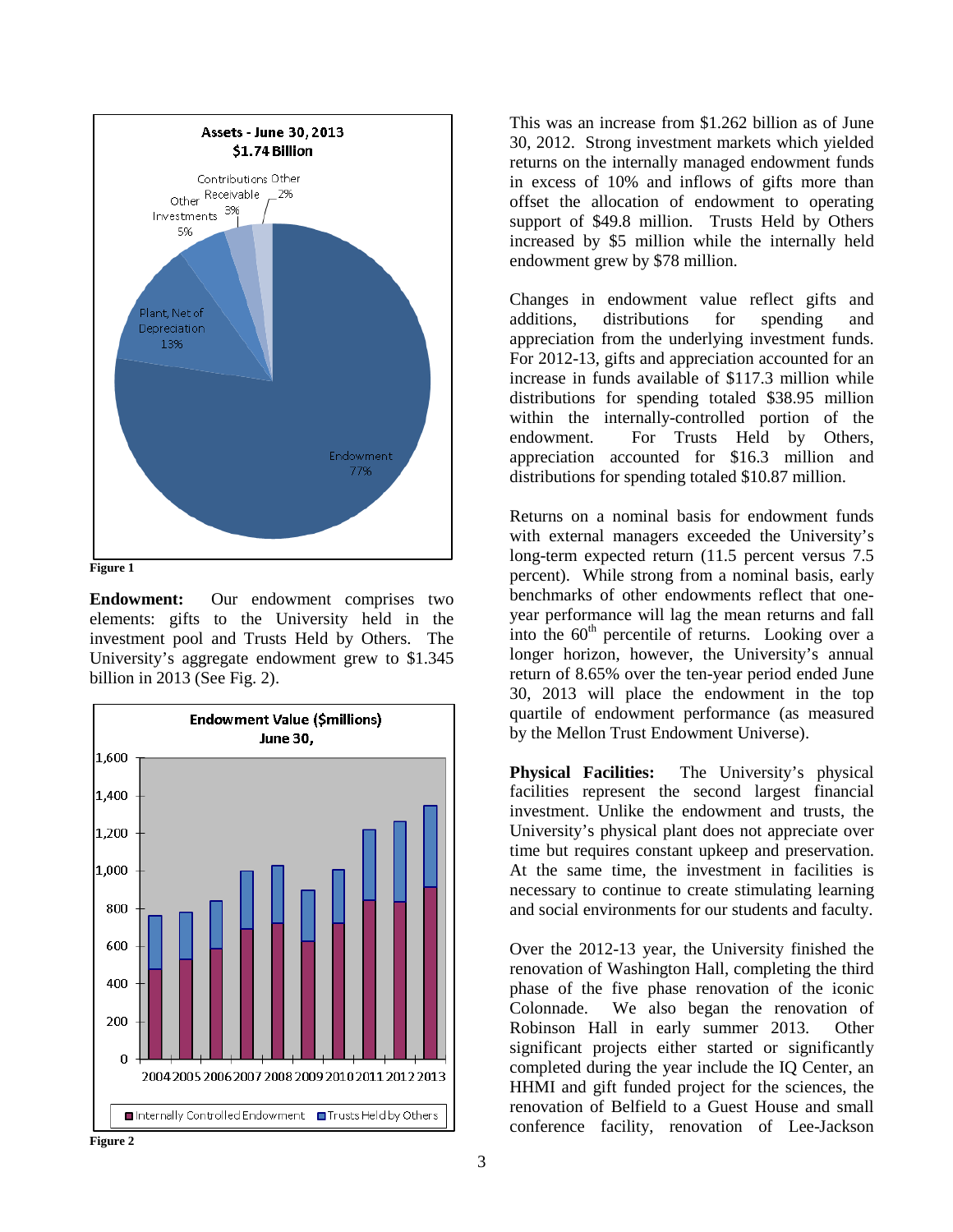

**Figure 1**

**Endowment:** Our endowment comprises two elements: gifts to the University held in the investment pool and Trusts Held by Others. The University's aggregate endowment grew to \$1.345 billion in 2013 (See Fig. 2).



This was an increase from \$1.262 billion as of June 30, 2012. Strong investment markets which yielded returns on the internally managed endowment funds in excess of 10% and inflows of gifts more than offset the allocation of endowment to operating support of \$49.8 million. Trusts Held by Others increased by \$5 million while the internally held endowment grew by \$78 million.

Changes in endowment value reflect gifts and additions, distributions for spending and appreciation from the underlying investment funds. For 2012-13, gifts and appreciation accounted for an increase in funds available of \$117.3 million while distributions for spending totaled \$38.95 million within the internally-controlled portion of the endowment. For Trusts Held by Others, appreciation accounted for \$16.3 million and distributions for spending totaled \$10.87 million.

Returns on a nominal basis for endowment funds with external managers exceeded the University's long-term expected return (11.5 percent versus 7.5 percent). While strong from a nominal basis, early benchmarks of other endowments reflect that oneyear performance will lag the mean returns and fall into the  $60<sup>th</sup>$  percentile of returns. Looking over a longer horizon, however, the University's annual return of 8.65% over the ten-year period ended June 30, 2013 will place the endowment in the top quartile of endowment performance (as measured by the Mellon Trust Endowment Universe).

**Physical Facilities:** The University's physical facilities represent the second largest financial investment. Unlike the endowment and trusts, the University's physical plant does not appreciate over time but requires constant upkeep and preservation. At the same time, the investment in facilities is necessary to continue to create stimulating learning and social environments for our students and faculty.

Over the 2012-13 year, the University finished the renovation of Washington Hall, completing the third phase of the five phase renovation of the iconic Colonnade. We also began the renovation of Robinson Hall in early summer 2013. Other significant projects either started or significantly completed during the year include the IQ Center, an HHMI and gift funded project for the sciences, the renovation of Belfield to a Guest House and small conference facility, renovation of Lee-Jackson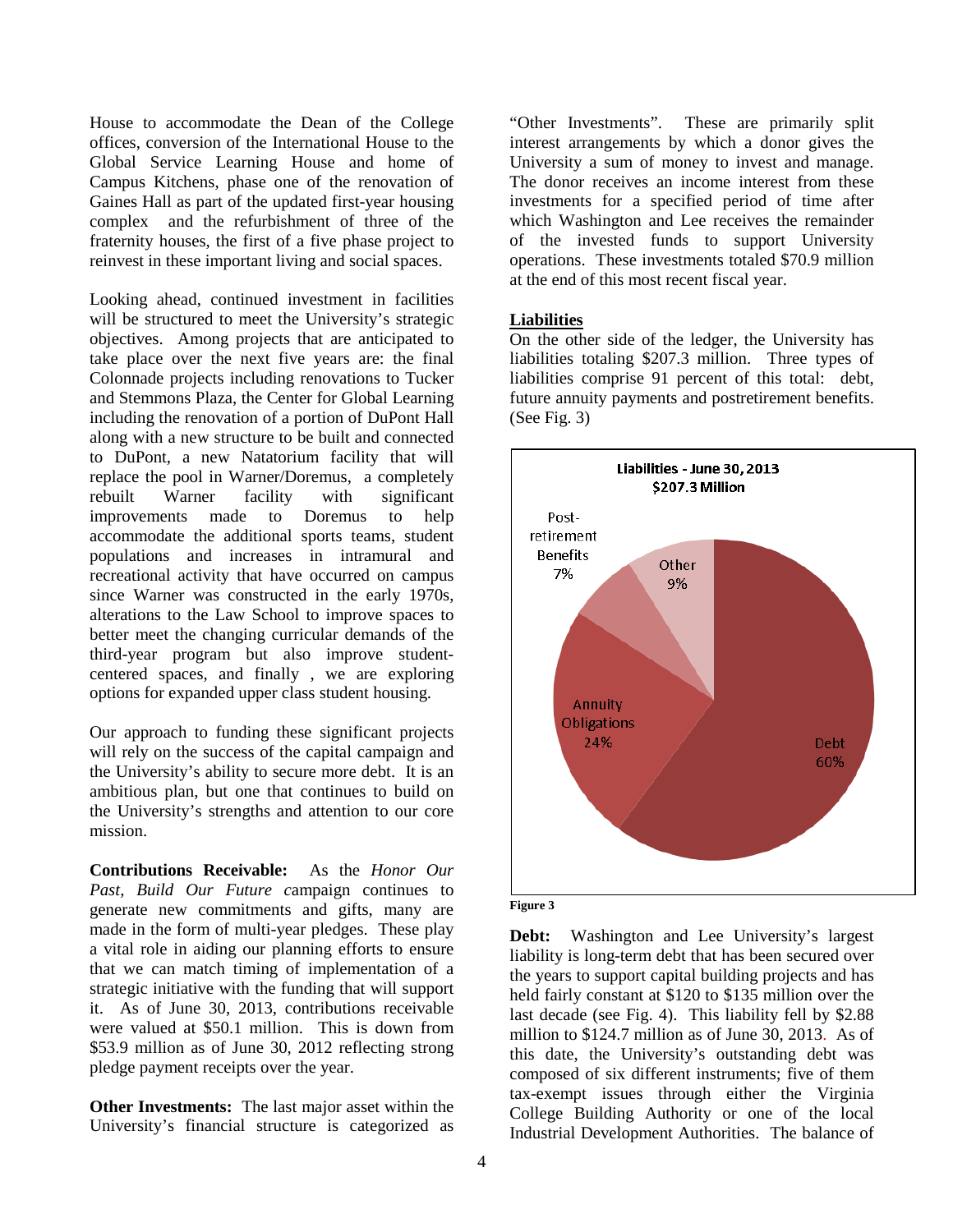House to accommodate the Dean of the College offices, conversion of the International House to the Global Service Learning House and home of Campus Kitchens, phase one of the renovation of Gaines Hall as part of the updated first-year housing complex and the refurbishment of three of the fraternity houses, the first of a five phase project to reinvest in these important living and social spaces.

Looking ahead, continued investment in facilities will be structured to meet the University's strategic objectives. Among projects that are anticipated to take place over the next five years are: the final Colonnade projects including renovations to Tucker and Stemmons Plaza, the Center for Global Learning including the renovation of a portion of DuPont Hall along with a new structure to be built and connected to DuPont, a new Natatorium facility that will replace the pool in Warner/Doremus, a completely<br>rebuilt Warner facility with significant rebuilt Warner facility with significant improvements made to Doremus to help accommodate the additional sports teams, student populations and increases in intramural and recreational activity that have occurred on campus since Warner was constructed in the early 1970s, alterations to the Law School to improve spaces to better meet the changing curricular demands of the third-year program but also improve studentcentered spaces, and finally , we are exploring options for expanded upper class student housing.

Our approach to funding these significant projects will rely on the success of the capital campaign and the University's ability to secure more debt. It is an ambitious plan, but one that continues to build on the University's strengths and attention to our core mission.

**Contributions Receivable:** As the *Honor Our Past, Build Our Future c*ampaign continues to generate new commitments and gifts, many are made in the form of multi-year pledges. These play a vital role in aiding our planning efforts to ensure that we can match timing of implementation of a strategic initiative with the funding that will support it. As of June 30, 2013, contributions receivable were valued at \$50.1 million. This is down from \$53.9 million as of June 30, 2012 reflecting strong pledge payment receipts over the year.

**Other Investments:** The last major asset within the University's financial structure is categorized as "Other Investments". These are primarily split interest arrangements by which a donor gives the University a sum of money to invest and manage. The donor receives an income interest from these investments for a specified period of time after which Washington and Lee receives the remainder of the invested funds to support University operations. These investments totaled \$70.9 million at the end of this most recent fiscal year.

## **Liabilities**

On the other side of the ledger, the University has liabilities totaling \$207.3 million. Three types of liabilities comprise 91 percent of this total: debt, future annuity payments and postretirement benefits. (See Fig. 3)



**Figure 3**

**Debt:** Washington and Lee University's largest liability is long-term debt that has been secured over the years to support capital building projects and has held fairly constant at \$120 to \$135 million over the last decade (see Fig. 4). This liability fell by \$2.88 million to \$124.7 million as of June 30, 2013. As of this date, the University's outstanding debt was composed of six different instruments; five of them tax-exempt issues through either the Virginia College Building Authority or one of the local Industrial Development Authorities. The balance of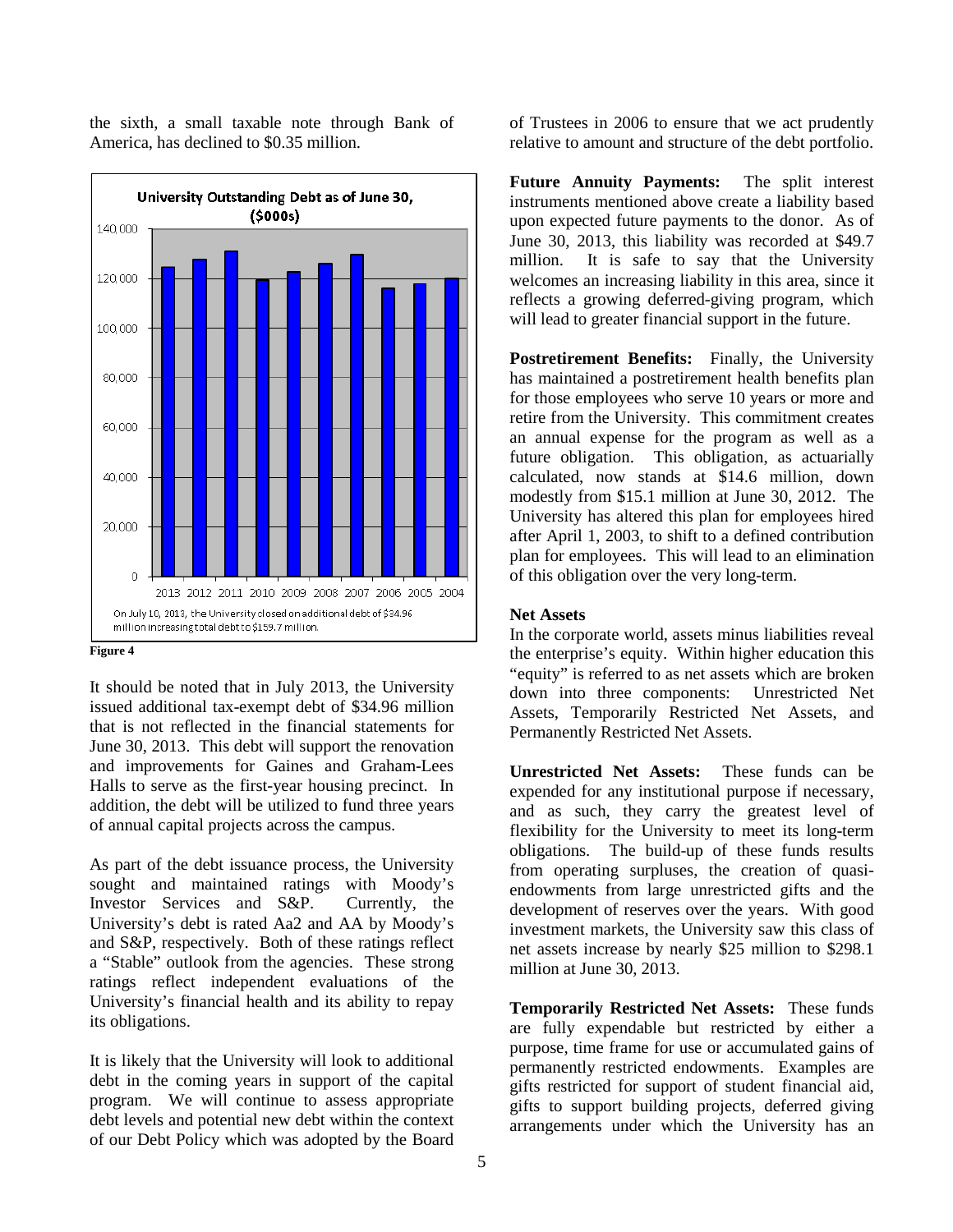the sixth, a small taxable note through Bank of America, has declined to \$0.35 million.



#### **Figure 4**

It should be noted that in July 2013, the University issued additional tax-exempt debt of \$34.96 million that is not reflected in the financial statements for June 30, 2013. This debt will support the renovation and improvements for Gaines and Graham-Lees Halls to serve as the first-year housing precinct. In addition, the debt will be utilized to fund three years of annual capital projects across the campus.

As part of the debt issuance process, the University sought and maintained ratings with Moody's Investor Services and S&P. Currently, the University's debt is rated Aa2 and AA by Moody's and S&P, respectively. Both of these ratings reflect a "Stable" outlook from the agencies. These strong ratings reflect independent evaluations of the University's financial health and its ability to repay its obligations.

It is likely that the University will look to additional debt in the coming years in support of the capital program. We will continue to assess appropriate debt levels and potential new debt within the context of our Debt Policy which was adopted by the Board of Trustees in 2006 to ensure that we act prudently relative to amount and structure of the debt portfolio.

**Future Annuity Payments:** The split interest instruments mentioned above create a liability based upon expected future payments to the donor. As of June 30, 2013, this liability was recorded at \$49.7 million. It is safe to say that the University welcomes an increasing liability in this area, since it reflects a growing deferred-giving program, which will lead to greater financial support in the future.

**Postretirement Benefits:** Finally, the University has maintained a postretirement health benefits plan for those employees who serve 10 years or more and retire from the University. This commitment creates an annual expense for the program as well as a future obligation. This obligation, as actuarially calculated, now stands at \$14.6 million, down modestly from \$15.1 million at June 30, 2012. The University has altered this plan for employees hired after April 1, 2003, to shift to a defined contribution plan for employees. This will lead to an elimination of this obligation over the very long-term.

## **Net Assets**

In the corporate world, assets minus liabilities reveal the enterprise's equity. Within higher education this "equity" is referred to as net assets which are broken down into three components: Unrestricted Net Assets, Temporarily Restricted Net Assets, and Permanently Restricted Net Assets.

**Unrestricted Net Assets:** These funds can be expended for any institutional purpose if necessary, and as such, they carry the greatest level of flexibility for the University to meet its long-term obligations. The build-up of these funds results from operating surpluses, the creation of quasiendowments from large unrestricted gifts and the development of reserves over the years. With good investment markets, the University saw this class of net assets increase by nearly \$25 million to \$298.1 million at June 30, 2013.

**Temporarily Restricted Net Assets:** These funds are fully expendable but restricted by either a purpose, time frame for use or accumulated gains of permanently restricted endowments. Examples are gifts restricted for support of student financial aid, gifts to support building projects, deferred giving arrangements under which the University has an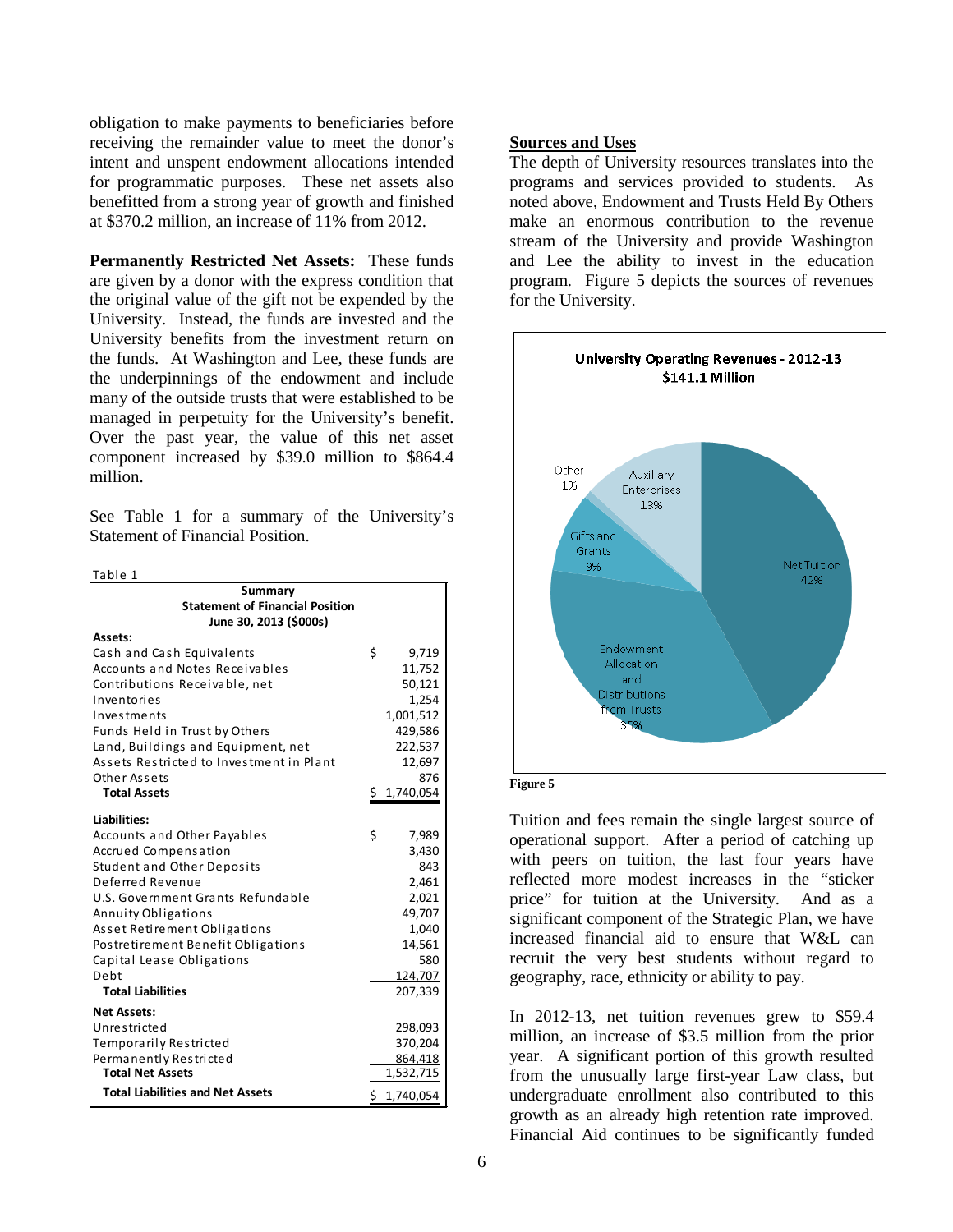obligation to make payments to beneficiaries before receiving the remainder value to meet the donor's intent and unspent endowment allocations intended for programmatic purposes. These net assets also benefitted from a strong year of growth and finished at \$370.2 million, an increase of 11% from 2012.

**Permanently Restricted Net Assets:** These funds are given by a donor with the express condition that the original value of the gift not be expended by the University. Instead, the funds are invested and the University benefits from the investment return on the funds. At Washington and Lee, these funds are the underpinnings of the endowment and include many of the outside trusts that were established to be managed in perpetuity for the University's benefit. Over the past year, the value of this net asset component increased by \$39.0 million to \$864.4 million.

See Table 1 for a summary of the University's Statement of Financial Position.

 $T_2$ ble 1

| Summary                                               |                 |
|-------------------------------------------------------|-----------------|
| <b>Statement of Financial Position</b>                |                 |
| June 30, 2013 (\$000s)                                |                 |
| Assets:                                               |                 |
| Cash and Cash Equivalents                             | \$<br>9,719     |
| <b>Accounts and Notes Receivables</b>                 | 11,752          |
| Contributions Receivable, net                         | 50,121          |
| Inventories                                           | 1,254           |
| Investments                                           | 1,001,512       |
| Funds Held in Trust by Others                         | 429,586         |
| Land, Buildings and Equipment, net                    | 222,537         |
| Assets Restricted to Investment in Plant              | 12,697          |
| Other Assets                                          | 876             |
| <b>Total Assets</b>                                   | \$<br>1,740,054 |
| <b>Liabilities:</b>                                   |                 |
|                                                       | \$              |
| Accounts and Other Payables                           | 7,989           |
| Accrued Compensation                                  | 3,430<br>843    |
| <b>Student and Other Deposits</b><br>Deferred Revenue | 2,461           |
| U.S. Government Grants Refundable                     | 2,021           |
| Annuity Obligations                                   | 49,707          |
| Asset Retirement Obligations                          | 1,040           |
| Postretirement Benefit Obligations                    | 14,561          |
|                                                       | 580             |
| Capital Lease Obligations<br>Debt                     | 124,707         |
| <b>Total Liabilities</b>                              | 207,339         |
|                                                       |                 |
| <b>Net Assets:</b>                                    |                 |
| Unrestricted                                          | 298,093         |
| Temporarily Restricted                                | 370,204         |
| Permanently Restricted                                | 864,418         |
| <b>Total Net Assets</b>                               | 1,532,715       |
| <b>Total Liabilities and Net Assets</b>               | \$1,740,054     |

#### **Sources and Uses**

The depth of University resources translates into the programs and services provided to students. As noted above, Endowment and Trusts Held By Others make an enormous contribution to the revenue stream of the University and provide Washington and Lee the ability to invest in the education program. Figure 5 depicts the sources of revenues for the University.



**Figure 5**

Tuition and fees remain the single largest source of operational support. After a period of catching up with peers on tuition, the last four years have reflected more modest increases in the "sticker price" for tuition at the University. And as a significant component of the Strategic Plan, we have increased financial aid to ensure that W&L can recruit the very best students without regard to geography, race, ethnicity or ability to pay.

In 2012-13, net tuition revenues grew to \$59.4 million, an increase of \$3.5 million from the prior year. A significant portion of this growth resulted from the unusually large first-year Law class, but undergraduate enrollment also contributed to this growth as an already high retention rate improved. Financial Aid continues to be significantly funded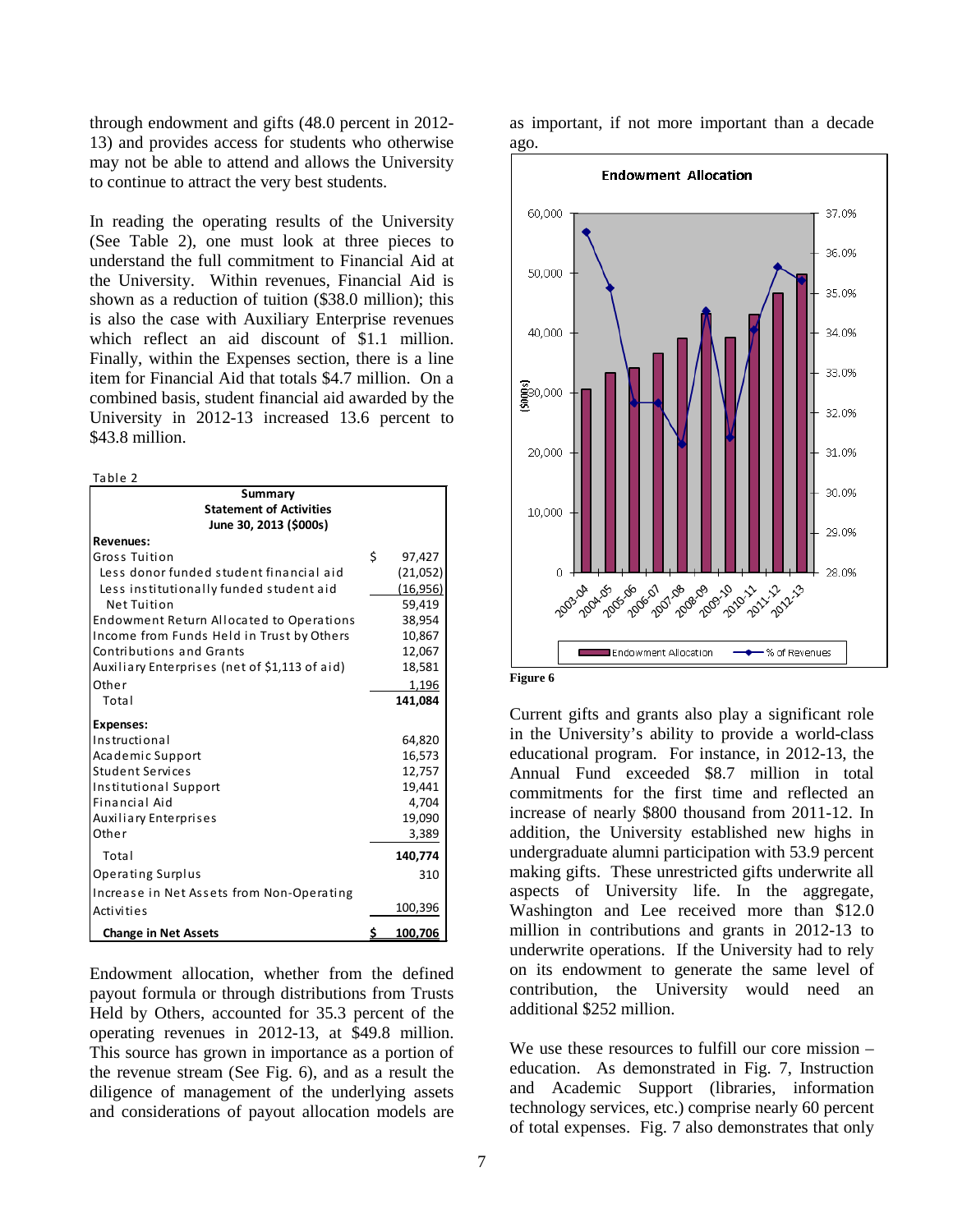through endowment and gifts (48.0 percent in 2012- 13) and provides access for students who otherwise may not be able to attend and allows the University to continue to attract the very best students.

In reading the operating results of the University (See Table 2), one must look at three pieces to understand the full commitment to Financial Aid at the University. Within revenues, Financial Aid is shown as a reduction of tuition (\$38.0 million); this is also the case with Auxiliary Enterprise revenues which reflect an aid discount of \$1.1 million. Finally, within the Expenses section, there is a line item for Financial Aid that totals \$4.7 million. On a combined basis, student financial aid awarded by the University in 2012-13 increased 13.6 percent to \$43.8 million.

| Table 2                                                             |    |           |
|---------------------------------------------------------------------|----|-----------|
| Summary<br><b>Statement of Activities</b><br>June 30, 2013 (\$000s) |    |           |
| <b>Revenues:</b>                                                    |    |           |
| Gross Tuition                                                       | Ś. | 97,427    |
| Less donor funded student financial aid                             |    | (21,052)  |
| Less institutionally funded student aid                             |    | (16, 956) |
| Net Tuition                                                         |    | 59,419    |
| Endowment Return Allocated to Operations                            |    | 38,954    |
| Income from Funds Held in Trust by Others                           |    | 10,867    |
| Contributions and Grants                                            |    | 12,067    |
| Auxiliary Enterprises (net of \$1,113 of aid)                       |    | 18,581    |
| Other                                                               |    | 1,196     |
| Total                                                               |    | 141,084   |
| <b>Expenses:</b>                                                    |    |           |
| Instructional                                                       |    | 64,820    |
| Academic Support                                                    |    | 16,573    |
| Student Services                                                    |    | 12,757    |
| Institutional Support                                               |    | 19,441    |
| Financial Aid                                                       |    | 4,704     |
| <b>Auxiliary Enterprises</b>                                        |    | 19,090    |
| Other                                                               |    | 3,389     |
| Total                                                               |    | 140,774   |
| <b>Operating Surplus</b>                                            |    | 310       |
| Increase in Net Assets from Non-Operating                           |    |           |
| Activities                                                          |    | 100,396   |
| <b>Change in Net Assets</b>                                         |    | 100.706   |

Endowment allocation, whether from the defined payout formula or through distributions from Trusts Held by Others, accounted for 35.3 percent of the operating revenues in 2012-13, at \$49.8 million. This source has grown in importance as a portion of the revenue stream (See Fig. 6), and as a result the diligence of management of the underlying assets and considerations of payout allocation models are

as important, if not more important than a decade ago.



**Figure 6**

Current gifts and grants also play a significant role in the University's ability to provide a world-class educational program. For instance, in 2012-13, the Annual Fund exceeded \$8.7 million in total commitments for the first time and reflected an increase of nearly \$800 thousand from 2011-12. In addition, the University established new highs in undergraduate alumni participation with 53.9 percent making gifts. These unrestricted gifts underwrite all aspects of University life. In the aggregate, Washington and Lee received more than \$12.0 million in contributions and grants in 2012-13 to underwrite operations. If the University had to rely on its endowment to generate the same level of contribution, the University would need an additional \$252 million.

We use these resources to fulfill our core mission – education. As demonstrated in Fig. 7, Instruction and Academic Support (libraries, information technology services, etc.) comprise nearly 60 percent of total expenses. Fig. 7 also demonstrates that only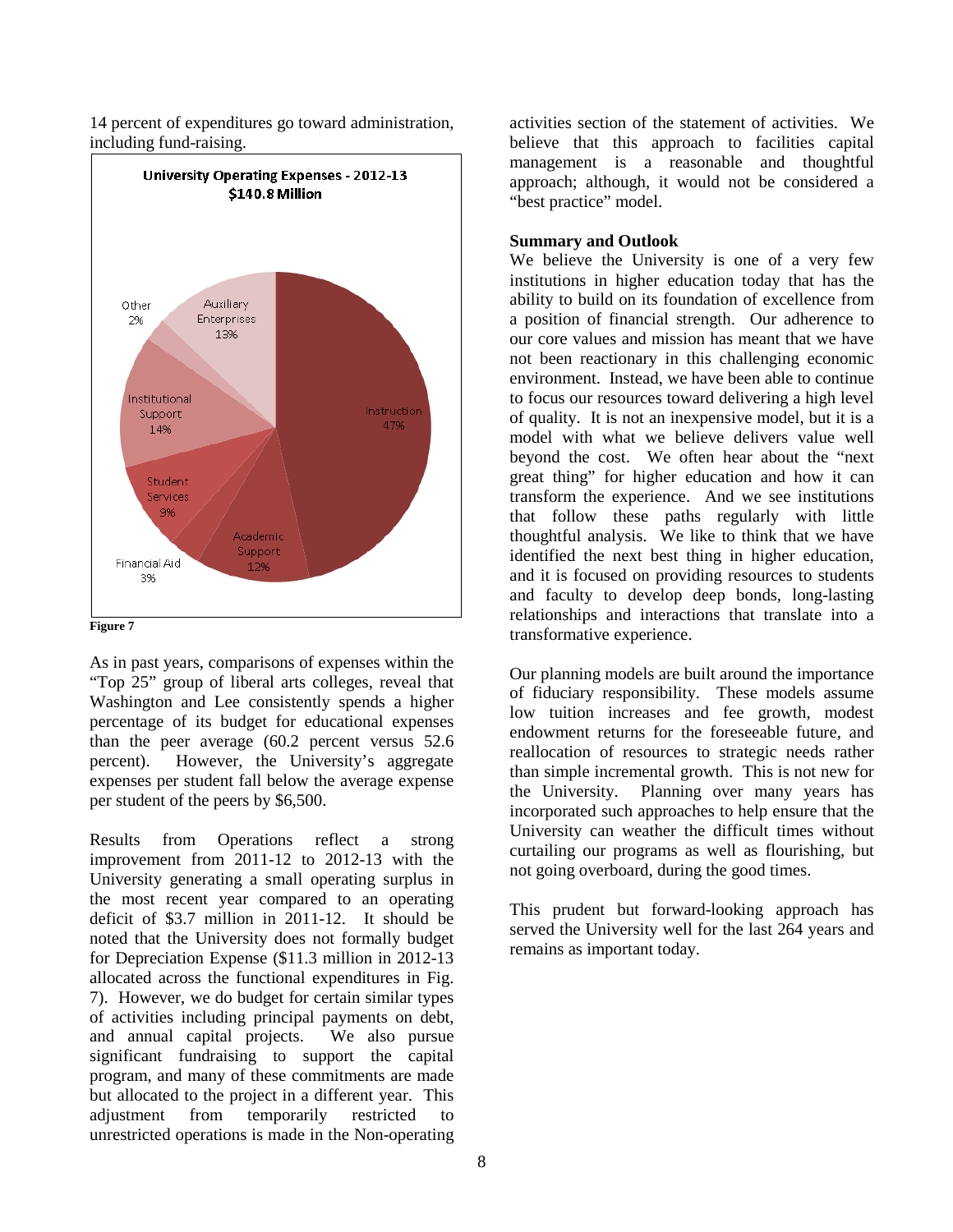14 percent of expenditures go toward administration, including fund-raising.



#### **Figure 7**

As in past years, comparisons of expenses within the "Top 25" group of liberal arts colleges, reveal that Washington and Lee consistently spends a higher percentage of its budget for educational expenses than the peer average (60.2 percent versus 52.6 percent). However, the University's aggregate expenses per student fall below the average expense per student of the peers by \$6,500.

Results from Operations reflect a strong improvement from 2011-12 to 2012-13 with the University generating a small operating surplus in the most recent year compared to an operating deficit of \$3.7 million in 2011-12. It should be noted that the University does not formally budget for Depreciation Expense (\$11.3 million in 2012-13 allocated across the functional expenditures in Fig. 7). However, we do budget for certain similar types of activities including principal payments on debt,<br>and annual capital projects. We also pursue and annual capital projects. significant fundraising to support the capital program, and many of these commitments are made but allocated to the project in a different year. This adjustment from temporarily restricted to unrestricted operations is made in the Non-operating activities section of the statement of activities. We believe that this approach to facilities capital management is a reasonable and thoughtful approach; although, it would not be considered a "best practice" model.

#### **Summary and Outlook**

We believe the University is one of a very few institutions in higher education today that has the ability to build on its foundation of excellence from a position of financial strength. Our adherence to our core values and mission has meant that we have not been reactionary in this challenging economic environment. Instead, we have been able to continue to focus our resources toward delivering a high level of quality. It is not an inexpensive model, but it is a model with what we believe delivers value well beyond the cost. We often hear about the "next great thing" for higher education and how it can transform the experience. And we see institutions that follow these paths regularly with little thoughtful analysis. We like to think that we have identified the next best thing in higher education, and it is focused on providing resources to students and faculty to develop deep bonds, long-lasting relationships and interactions that translate into a transformative experience.

Our planning models are built around the importance of fiduciary responsibility. These models assume low tuition increases and fee growth, modest endowment returns for the foreseeable future, and reallocation of resources to strategic needs rather than simple incremental growth. This is not new for the University. Planning over many years has incorporated such approaches to help ensure that the University can weather the difficult times without curtailing our programs as well as flourishing, but not going overboard, during the good times.

This prudent but forward-looking approach has served the University well for the last 264 years and remains as important today.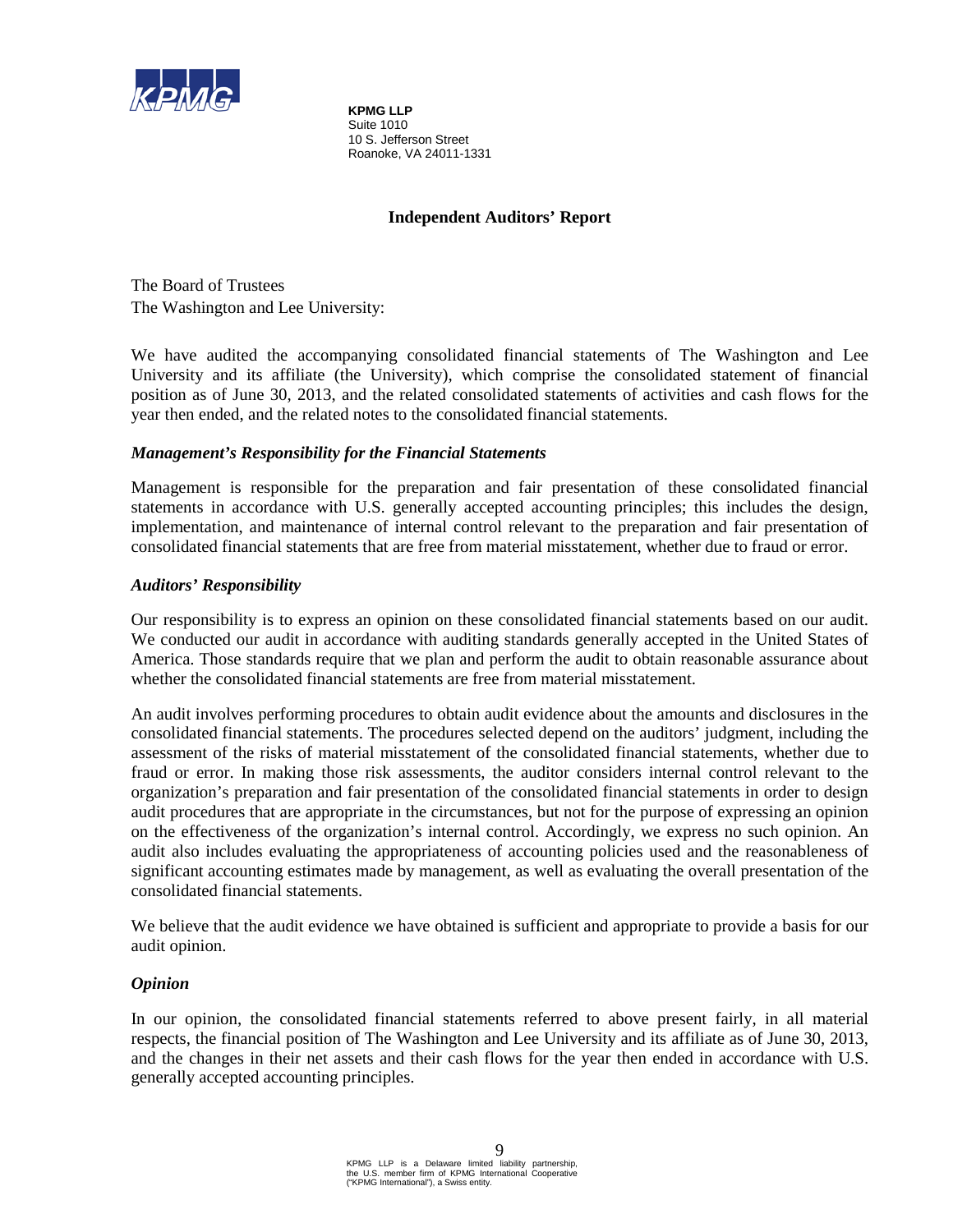

**KPMG LLP** Suite 1010 10 S. Jefferson Street Roanoke, VA 24011-1331

## **Independent Auditors' Report**

The Board of Trustees The Washington and Lee University:

We have audited the accompanying consolidated financial statements of The Washington and Lee University and its affiliate (the University), which comprise the consolidated statement of financial position as of June 30, 2013, and the related consolidated statements of activities and cash flows for the year then ended, and the related notes to the consolidated financial statements.

## *Management's Responsibility for the Financial Statements*

Management is responsible for the preparation and fair presentation of these consolidated financial statements in accordance with U.S. generally accepted accounting principles; this includes the design, implementation, and maintenance of internal control relevant to the preparation and fair presentation of consolidated financial statements that are free from material misstatement, whether due to fraud or error.

## *Auditors' Responsibility*

Our responsibility is to express an opinion on these consolidated financial statements based on our audit. We conducted our audit in accordance with auditing standards generally accepted in the United States of America. Those standards require that we plan and perform the audit to obtain reasonable assurance about whether the consolidated financial statements are free from material misstatement.

An audit involves performing procedures to obtain audit evidence about the amounts and disclosures in the consolidated financial statements. The procedures selected depend on the auditors' judgment, including the assessment of the risks of material misstatement of the consolidated financial statements, whether due to fraud or error. In making those risk assessments, the auditor considers internal control relevant to the organization's preparation and fair presentation of the consolidated financial statements in order to design audit procedures that are appropriate in the circumstances, but not for the purpose of expressing an opinion on the effectiveness of the organization's internal control. Accordingly, we express no such opinion. An audit also includes evaluating the appropriateness of accounting policies used and the reasonableness of significant accounting estimates made by management, as well as evaluating the overall presentation of the consolidated financial statements.

We believe that the audit evidence we have obtained is sufficient and appropriate to provide a basis for our audit opinion.

## *Opinion*

In our opinion, the consolidated financial statements referred to above present fairly, in all material respects, the financial position of The Washington and Lee University and its affiliate as of June 30, 2013, and the changes in their net assets and their cash flows for the year then ended in accordance with U.S. generally accepted accounting principles.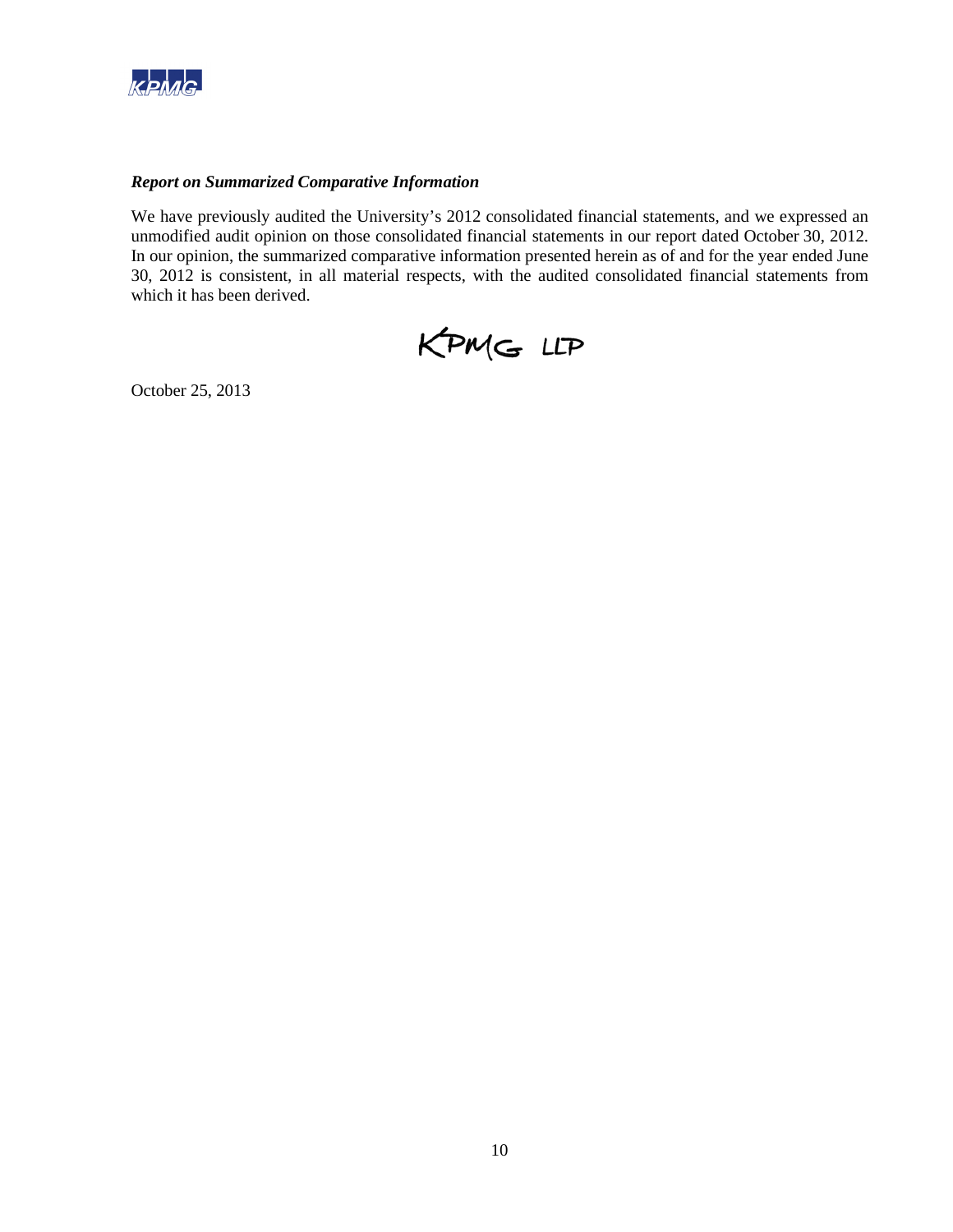

## *Report on Summarized Comparative Information*

We have previously audited the University's 2012 consolidated financial statements, and we expressed an unmodified audit opinion on those consolidated financial statements in our report dated October 30, 2012. In our opinion, the summarized comparative information presented herein as of and for the year ended June 30, 2012 is consistent, in all material respects, with the audited consolidated financial statements from which it has been derived.



October 25, 2013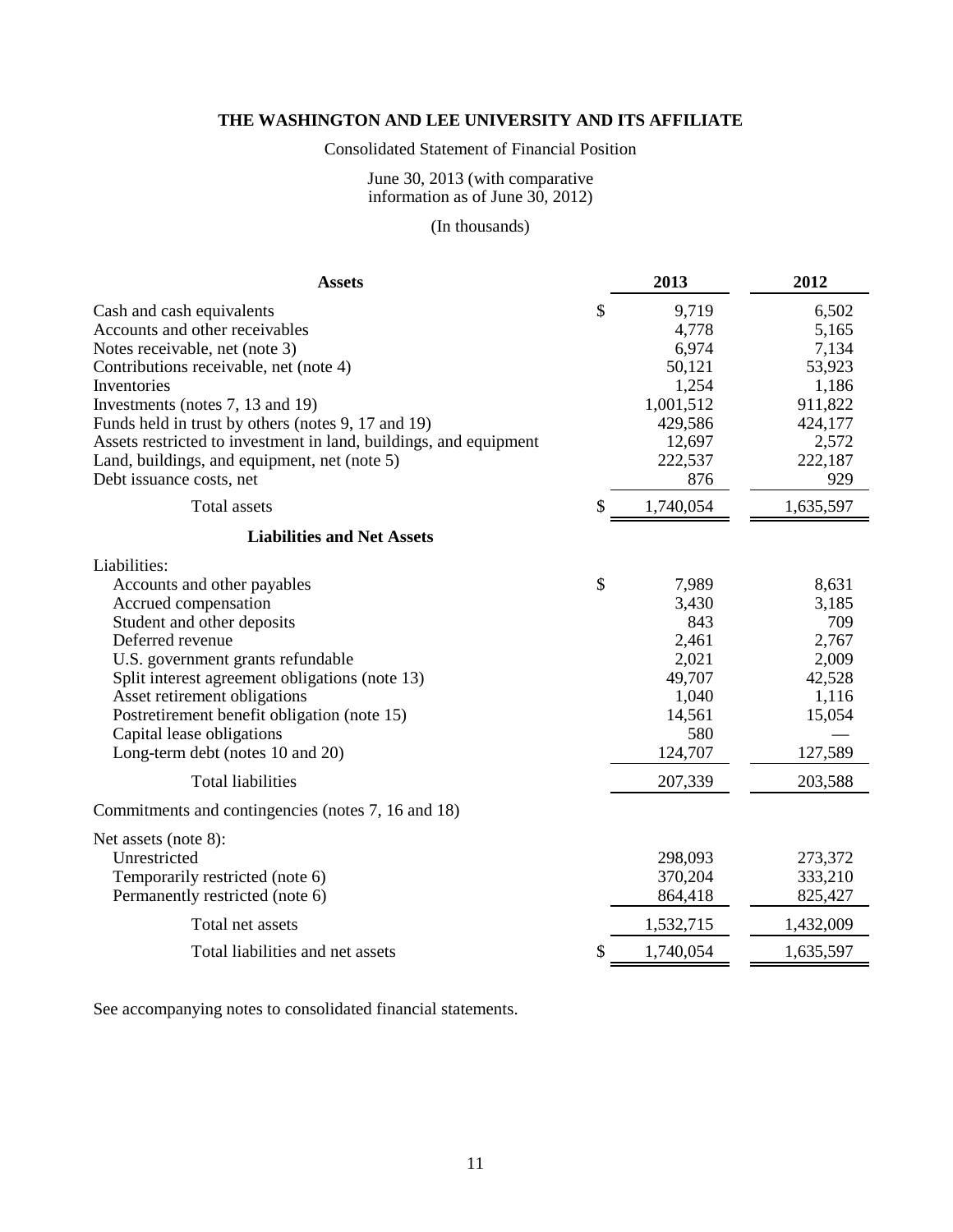## Consolidated Statement of Financial Position

### June 30, 2013 (with comparative information as of June 30, 2012)

# (In thousands)

| <b>Assets</b>                                                                                                                                                                                                                                                                                                                                                                                     | 2013                                                                                                    | 2012                                                                                        |
|---------------------------------------------------------------------------------------------------------------------------------------------------------------------------------------------------------------------------------------------------------------------------------------------------------------------------------------------------------------------------------------------------|---------------------------------------------------------------------------------------------------------|---------------------------------------------------------------------------------------------|
| Cash and cash equivalents<br>Accounts and other receivables<br>Notes receivable, net (note 3)<br>Contributions receivable, net (note 4)<br>Inventories<br>Investments (notes 7, 13 and 19)<br>Funds held in trust by others (notes 9, 17 and 19)<br>Assets restricted to investment in land, buildings, and equipment<br>Land, buildings, and equipment, net (note 5)<br>Debt issuance costs, net | \$<br>9,719<br>4,778<br>6,974<br>50,121<br>1,254<br>1,001,512<br>429,586<br>12,697<br>222,537<br>876    | 6,502<br>5,165<br>7,134<br>53,923<br>1,186<br>911,822<br>424,177<br>2,572<br>222,187<br>929 |
| Total assets                                                                                                                                                                                                                                                                                                                                                                                      | \$<br>1,740,054                                                                                         | 1,635,597                                                                                   |
| <b>Liabilities and Net Assets</b>                                                                                                                                                                                                                                                                                                                                                                 |                                                                                                         |                                                                                             |
| Liabilities:<br>Accounts and other payables<br>Accrued compensation<br>Student and other deposits<br>Deferred revenue<br>U.S. government grants refundable<br>Split interest agreement obligations (note 13)<br>Asset retirement obligations<br>Postretirement benefit obligation (note 15)<br>Capital lease obligations<br>Long-term debt (notes 10 and 20)<br><b>Total liabilities</b>          | \$<br>7,989<br>3,430<br>843<br>2,461<br>2,021<br>49,707<br>1,040<br>14,561<br>580<br>124,707<br>207,339 | 8,631<br>3,185<br>709<br>2,767<br>2,009<br>42,528<br>1,116<br>15,054<br>127,589<br>203,588  |
| Commitments and contingencies (notes 7, 16 and 18)                                                                                                                                                                                                                                                                                                                                                |                                                                                                         |                                                                                             |
| Net assets (note 8):<br>Unrestricted<br>Temporarily restricted (note 6)<br>Permanently restricted (note 6)<br>Total net assets                                                                                                                                                                                                                                                                    | 298,093<br>370,204<br>864,418<br>1,532,715                                                              | 273,372<br>333,210<br>825,427<br>1,432,009                                                  |
| Total liabilities and net assets                                                                                                                                                                                                                                                                                                                                                                  | \$<br>1,740,054                                                                                         | 1,635,597                                                                                   |

See accompanying notes to consolidated financial statements.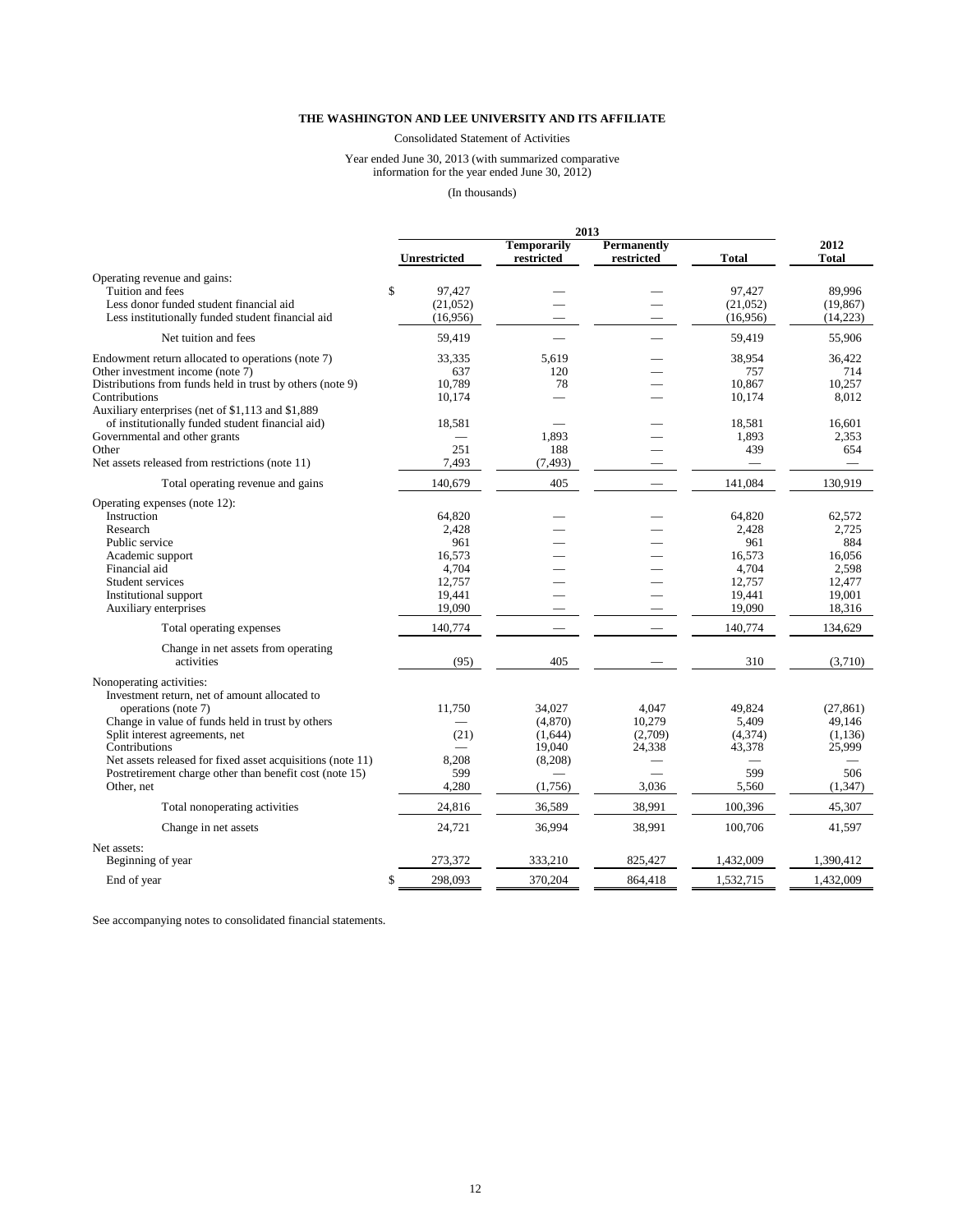Consolidated Statement of Activities

#### Year ended June 30, 2013 (with summarized comparative information for the year ended June 30, 2012)

(In thousands)

|                                                            |                     | 2013                      |                                  |           |               |
|------------------------------------------------------------|---------------------|---------------------------|----------------------------------|-----------|---------------|
|                                                            | <b>Unrestricted</b> | Temporarily<br>restricted | <b>Permanently</b><br>restricted | Total     | 2012<br>Total |
| Operating revenue and gains:                               |                     |                           |                                  |           |               |
| Tuition and fees                                           | \$<br>97.427        |                           |                                  | 97.427    | 89.996        |
| Less donor funded student financial aid                    | (21,052)            |                           |                                  | (21,052)  | (19, 867)     |
| Less institutionally funded student financial aid          | (16,956)            |                           |                                  | (16,956)  | (14,223)      |
|                                                            |                     |                           |                                  |           |               |
| Net tuition and fees                                       | 59,419              |                           |                                  | 59,419    | 55,906        |
| Endowment return allocated to operations (note 7)          | 33,335              | 5.619                     |                                  | 38,954    | 36,422        |
| Other investment income (note 7)                           | 637                 | 120                       |                                  | 757       | 714           |
| Distributions from funds held in trust by others (note 9)  | 10,789              | 78                        |                                  | 10,867    | 10,257        |
| Contributions                                              | 10,174              |                           |                                  | 10,174    | 8,012         |
| Auxiliary enterprises (net of \$1,113 and \$1,889)         |                     |                           |                                  |           |               |
| of institutionally funded student financial aid)           | 18,581              |                           |                                  | 18,581    | 16,601        |
| Governmental and other grants                              |                     | 1,893                     |                                  | 1,893     | 2,353         |
|                                                            |                     |                           |                                  |           |               |
| Other                                                      | 251                 | 188                       |                                  | 439       | 654           |
| Net assets released from restrictions (note 11)            | 7,493               | (7, 493)                  |                                  |           |               |
| Total operating revenue and gains                          | 140,679             | 405                       |                                  | 141,084   | 130,919       |
| Operating expenses (note 12):                              |                     |                           |                                  |           |               |
| Instruction                                                | 64,820              |                           |                                  | 64,820    | 62,572        |
| Research                                                   | 2,428               |                           |                                  | 2,428     | 2,725         |
| Public service                                             | 961                 |                           |                                  | 961       | 884           |
| Academic support                                           | 16,573              |                           |                                  | 16,573    | 16,056        |
|                                                            |                     |                           |                                  | 4,704     | 2,598         |
| Financial aid                                              | 4,704               |                           |                                  |           |               |
| Student services                                           | 12,757              |                           |                                  | 12,757    | 12,477        |
| Institutional support                                      | 19,441              |                           |                                  | 19,441    | 19,001        |
| Auxiliary enterprises                                      | 19,090              |                           |                                  | 19,090    | 18,316        |
| Total operating expenses                                   | 140,774             |                           |                                  | 140,774   | 134,629       |
| Change in net assets from operating                        |                     |                           |                                  |           |               |
| activities                                                 | (95)                | 405                       |                                  | 310       | (3,710)       |
| Nonoperating activities:                                   |                     |                           |                                  |           |               |
| Investment return, net of amount allocated to              |                     |                           |                                  |           |               |
| operations (note 7)                                        | 11,750              | 34,027                    | 4,047                            | 49,824    | (27, 861)     |
| Change in value of funds held in trust by others           |                     | (4,870)                   | 10,279                           | 5,409     | 49.146        |
|                                                            |                     |                           |                                  |           |               |
| Split interest agreements, net                             | (21)                | (1,644)                   | (2,709)                          | (4,374)   | (1, 136)      |
| Contributions                                              |                     | 19,040                    | 24,338                           | 43,378    | 25,999        |
| Net assets released for fixed asset acquisitions (note 11) | 8,208               | (8,208)                   |                                  |           |               |
| Postretirement charge other than benefit cost (note 15)    | 599                 | $\sim$                    |                                  | 599       | 506           |
| Other, net                                                 | 4,280               | (1,756)                   | 3,036                            | 5,560     | (1, 347)      |
| Total nonoperating activities                              | 24.816              | 36,589                    | 38,991                           | 100.396   | 45,307        |
| Change in net assets                                       | 24,721              | 36,994                    | 38,991                           | 100,706   | 41,597        |
| Net assets:                                                |                     |                           |                                  |           |               |
| Beginning of year                                          | 273,372             | 333,210                   | 825,427                          | 1,432,009 | 1,390,412     |
| End of year                                                | \$<br>298,093       | 370,204                   | 864,418                          | 1,532,715 | 1,432,009     |

See accompanying notes to consolidated financial statements.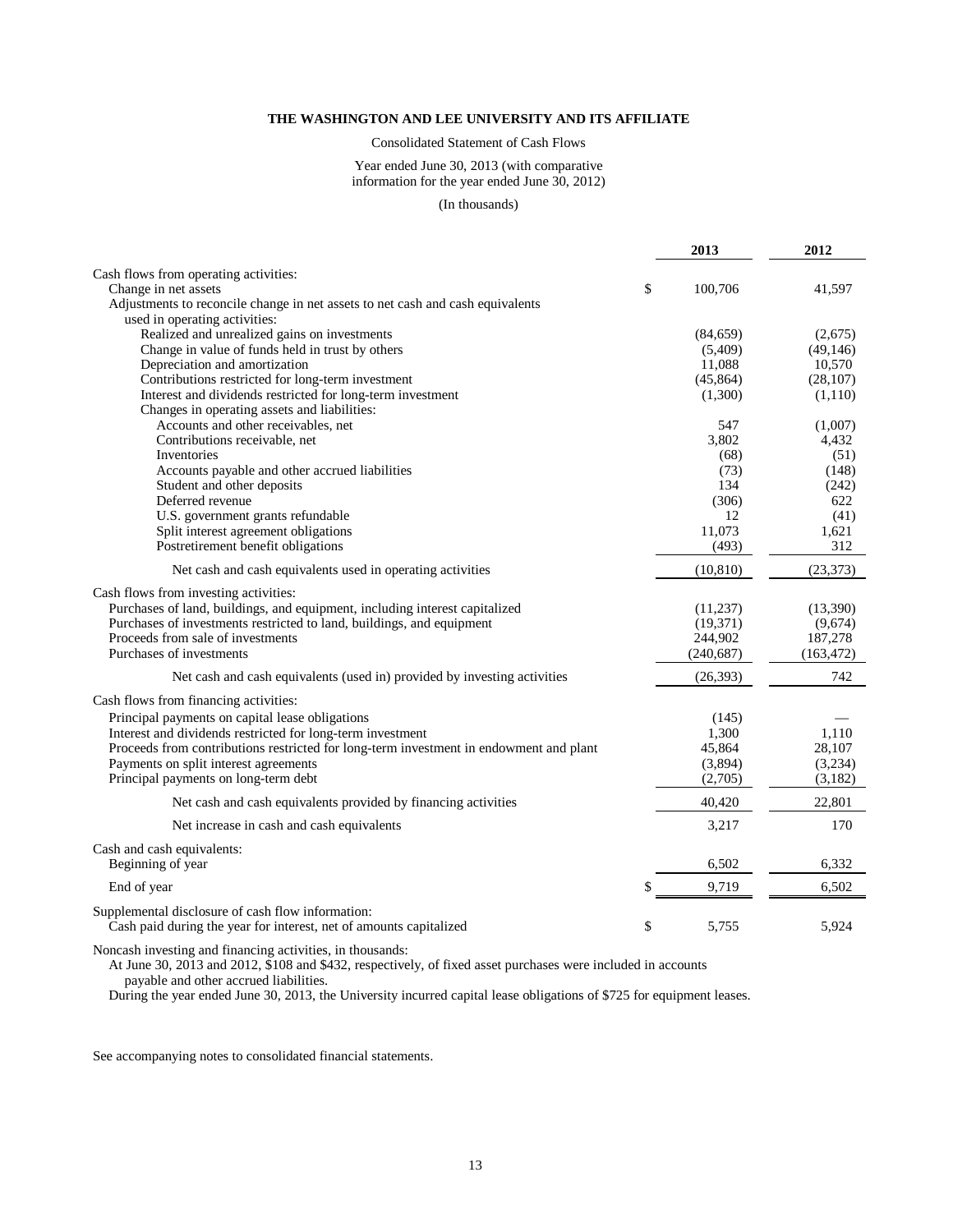Consolidated Statement of Cash Flows

#### Year ended June 30, 2013 (with comparative information for the year ended June 30, 2012)

#### (In thousands)

|                                                                                        | 2013              | 2012              |
|----------------------------------------------------------------------------------------|-------------------|-------------------|
| Cash flows from operating activities:                                                  |                   |                   |
| Change in net assets                                                                   | \$<br>100,706     | 41,597            |
| Adjustments to reconcile change in net assets to net cash and cash equivalents         |                   |                   |
| used in operating activities:                                                          |                   |                   |
| Realized and unrealized gains on investments                                           | (84, 659)         | (2,675)           |
| Change in value of funds held in trust by others                                       | (5,409)           | (49, 146)         |
| Depreciation and amortization                                                          | 11,088            | 10,570            |
| Contributions restricted for long-term investment                                      | (45, 864)         | (28, 107)         |
| Interest and dividends restricted for long-term investment                             | (1,300)           | (1,110)           |
| Changes in operating assets and liabilities:                                           |                   |                   |
| Accounts and other receivables, net                                                    | 547               | (1,007)           |
| Contributions receivable, net                                                          | 3,802             | 4,432             |
| Inventories                                                                            | (68)              | (51)              |
| Accounts payable and other accrued liabilities                                         | (73)              | (148)             |
| Student and other deposits                                                             | 134               | (242)             |
| Deferred revenue                                                                       | (306)             | 622               |
| U.S. government grants refundable                                                      | 12                | (41)              |
| Split interest agreement obligations                                                   | 11,073            | 1,621             |
| Postretirement benefit obligations                                                     | (493)             | 312               |
| Net cash and cash equivalents used in operating activities                             | (10, 810)         | (23, 373)         |
| Cash flows from investing activities:                                                  |                   |                   |
| Purchases of land, buildings, and equipment, including interest capitalized            | (11,237)          | (13,390)          |
| Purchases of investments restricted to land, buildings, and equipment                  | (19, 371)         | (9,674)           |
| Proceeds from sale of investments                                                      | 244,902           | 187,278           |
| Purchases of investments                                                               | (240, 687)        | (163, 472)        |
| Net cash and cash equivalents (used in) provided by investing activities               | (26, 393)         | 742               |
|                                                                                        |                   |                   |
| Cash flows from financing activities:                                                  |                   |                   |
| Principal payments on capital lease obligations                                        | (145)             |                   |
| Interest and dividends restricted for long-term investment                             | 1,300             | 1,110             |
| Proceeds from contributions restricted for long-term investment in endowment and plant | 45,864<br>(3,894) | 28,107<br>(3,234) |
| Payments on split interest agreements                                                  |                   |                   |
| Principal payments on long-term debt                                                   | (2,705)           | (3,182)           |
| Net cash and cash equivalents provided by financing activities                         | 40,420            | 22,801            |
| Net increase in cash and cash equivalents                                              | 3,217             | 170               |
| Cash and cash equivalents:                                                             |                   |                   |
| Beginning of year                                                                      | 6,502             | 6,332             |
| End of year                                                                            | \$<br>9,719       | 6,502             |
| Supplemental disclosure of cash flow information:                                      |                   |                   |
| Cash paid during the year for interest, net of amounts capitalized                     | \$<br>5,755       | 5,924             |
|                                                                                        |                   |                   |

Noncash investing and financing activities, in thousands:

At June 30, 2013 and 2012, \$108 and \$432, respectively, of fixed asset purchases were included in accounts

payable and other accrued liabilities.

During the year ended June 30, 2013, the University incurred capital lease obligations of \$725 for equipment leases.

See accompanying notes to consolidated financial statements.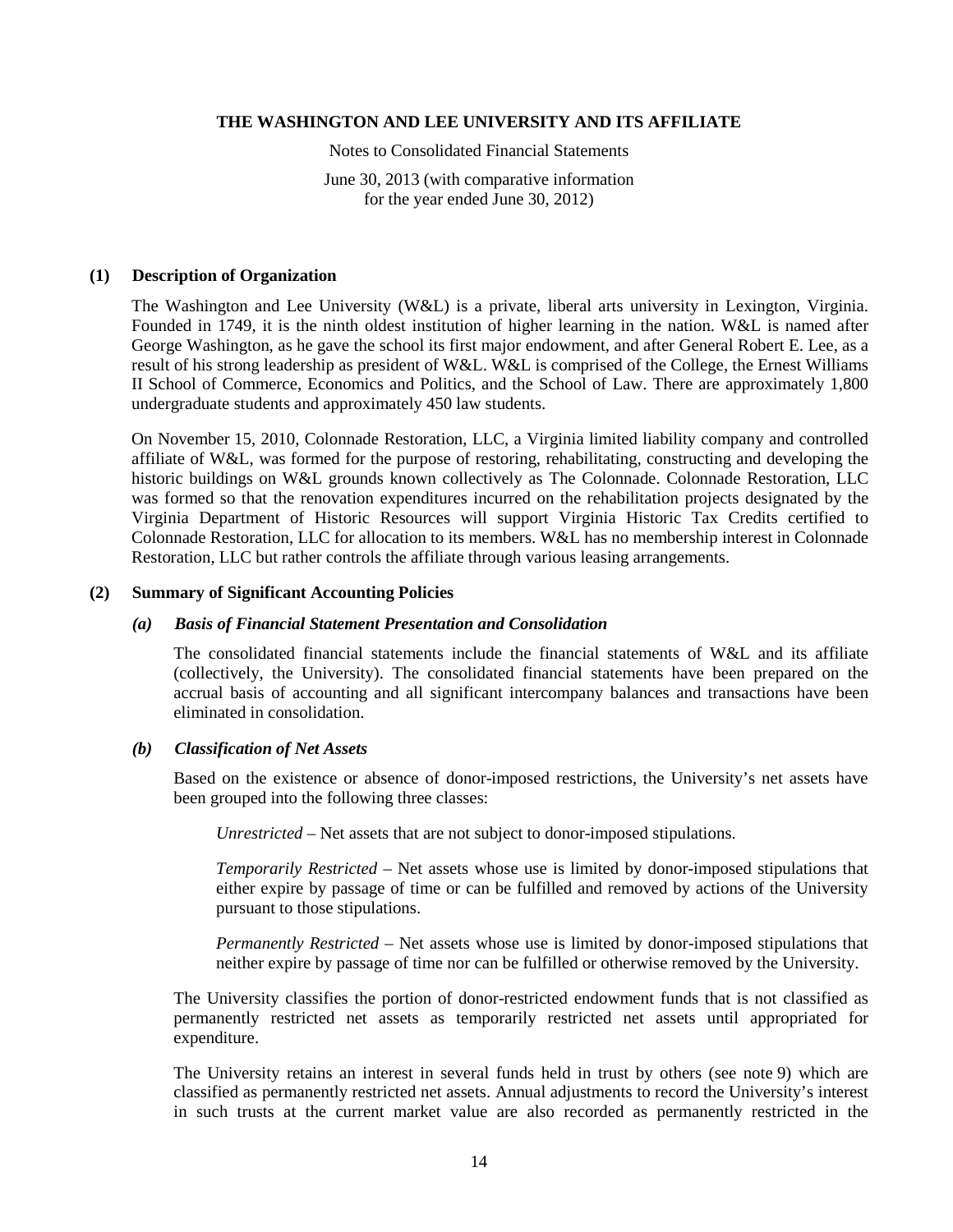Notes to Consolidated Financial Statements

June 30, 2013 (with comparative information for the year ended June 30, 2012)

#### **(1) Description of Organization**

The Washington and Lee University (W&L) is a private, liberal arts university in Lexington, Virginia. Founded in 1749, it is the ninth oldest institution of higher learning in the nation. W&L is named after George Washington, as he gave the school its first major endowment, and after General Robert E. Lee, as a result of his strong leadership as president of W&L. W&L is comprised of the College, the Ernest Williams II School of Commerce, Economics and Politics, and the School of Law. There are approximately 1,800 undergraduate students and approximately 450 law students.

On November 15, 2010, Colonnade Restoration, LLC, a Virginia limited liability company and controlled affiliate of W&L, was formed for the purpose of restoring, rehabilitating, constructing and developing the historic buildings on W&L grounds known collectively as The Colonnade. Colonnade Restoration, LLC was formed so that the renovation expenditures incurred on the rehabilitation projects designated by the Virginia Department of Historic Resources will support Virginia Historic Tax Credits certified to Colonnade Restoration, LLC for allocation to its members. W&L has no membership interest in Colonnade Restoration, LLC but rather controls the affiliate through various leasing arrangements.

## **(2) Summary of Significant Accounting Policies**

#### *(a) Basis of Financial Statement Presentation and Consolidation*

The consolidated financial statements include the financial statements of W&L and its affiliate (collectively, the University). The consolidated financial statements have been prepared on the accrual basis of accounting and all significant intercompany balances and transactions have been eliminated in consolidation.

## *(b) Classification of Net Assets*

Based on the existence or absence of donor-imposed restrictions, the University's net assets have been grouped into the following three classes:

*Unrestricted* – Net assets that are not subject to donor-imposed stipulations.

*Temporarily Restricted* – Net assets whose use is limited by donor-imposed stipulations that either expire by passage of time or can be fulfilled and removed by actions of the University pursuant to those stipulations.

*Permanently Restricted* – Net assets whose use is limited by donor-imposed stipulations that neither expire by passage of time nor can be fulfilled or otherwise removed by the University.

The University classifies the portion of donor-restricted endowment funds that is not classified as permanently restricted net assets as temporarily restricted net assets until appropriated for expenditure.

The University retains an interest in several funds held in trust by others (see note 9) which are classified as permanently restricted net assets. Annual adjustments to record the University's interest in such trusts at the current market value are also recorded as permanently restricted in the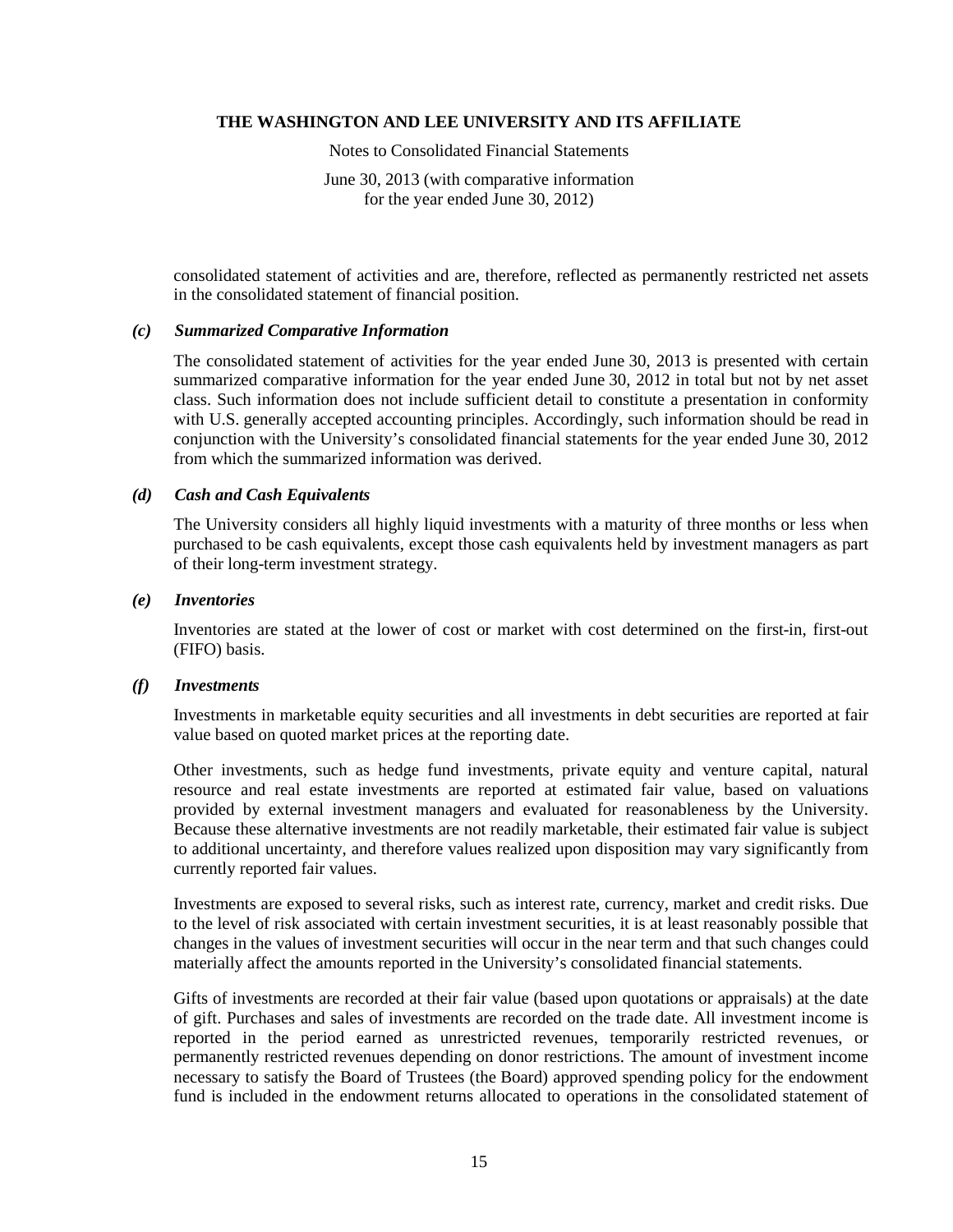Notes to Consolidated Financial Statements

June 30, 2013 (with comparative information for the year ended June 30, 2012)

consolidated statement of activities and are, therefore, reflected as permanently restricted net assets in the consolidated statement of financial position.

#### *(c) Summarized Comparative Information*

The consolidated statement of activities for the year ended June 30, 2013 is presented with certain summarized comparative information for the year ended June 30, 2012 in total but not by net asset class. Such information does not include sufficient detail to constitute a presentation in conformity with U.S. generally accepted accounting principles. Accordingly, such information should be read in conjunction with the University's consolidated financial statements for the year ended June 30, 2012 from which the summarized information was derived.

#### *(d) Cash and Cash Equivalents*

The University considers all highly liquid investments with a maturity of three months or less when purchased to be cash equivalents, except those cash equivalents held by investment managers as part of their long-term investment strategy.

#### *(e) Inventories*

Inventories are stated at the lower of cost or market with cost determined on the first-in, first-out (FIFO) basis.

## *(f) Investments*

Investments in marketable equity securities and all investments in debt securities are reported at fair value based on quoted market prices at the reporting date.

Other investments, such as hedge fund investments, private equity and venture capital, natural resource and real estate investments are reported at estimated fair value, based on valuations provided by external investment managers and evaluated for reasonableness by the University. Because these alternative investments are not readily marketable, their estimated fair value is subject to additional uncertainty, and therefore values realized upon disposition may vary significantly from currently reported fair values.

Investments are exposed to several risks, such as interest rate, currency, market and credit risks. Due to the level of risk associated with certain investment securities, it is at least reasonably possible that changes in the values of investment securities will occur in the near term and that such changes could materially affect the amounts reported in the University's consolidated financial statements.

Gifts of investments are recorded at their fair value (based upon quotations or appraisals) at the date of gift. Purchases and sales of investments are recorded on the trade date. All investment income is reported in the period earned as unrestricted revenues, temporarily restricted revenues, or permanently restricted revenues depending on donor restrictions. The amount of investment income necessary to satisfy the Board of Trustees (the Board) approved spending policy for the endowment fund is included in the endowment returns allocated to operations in the consolidated statement of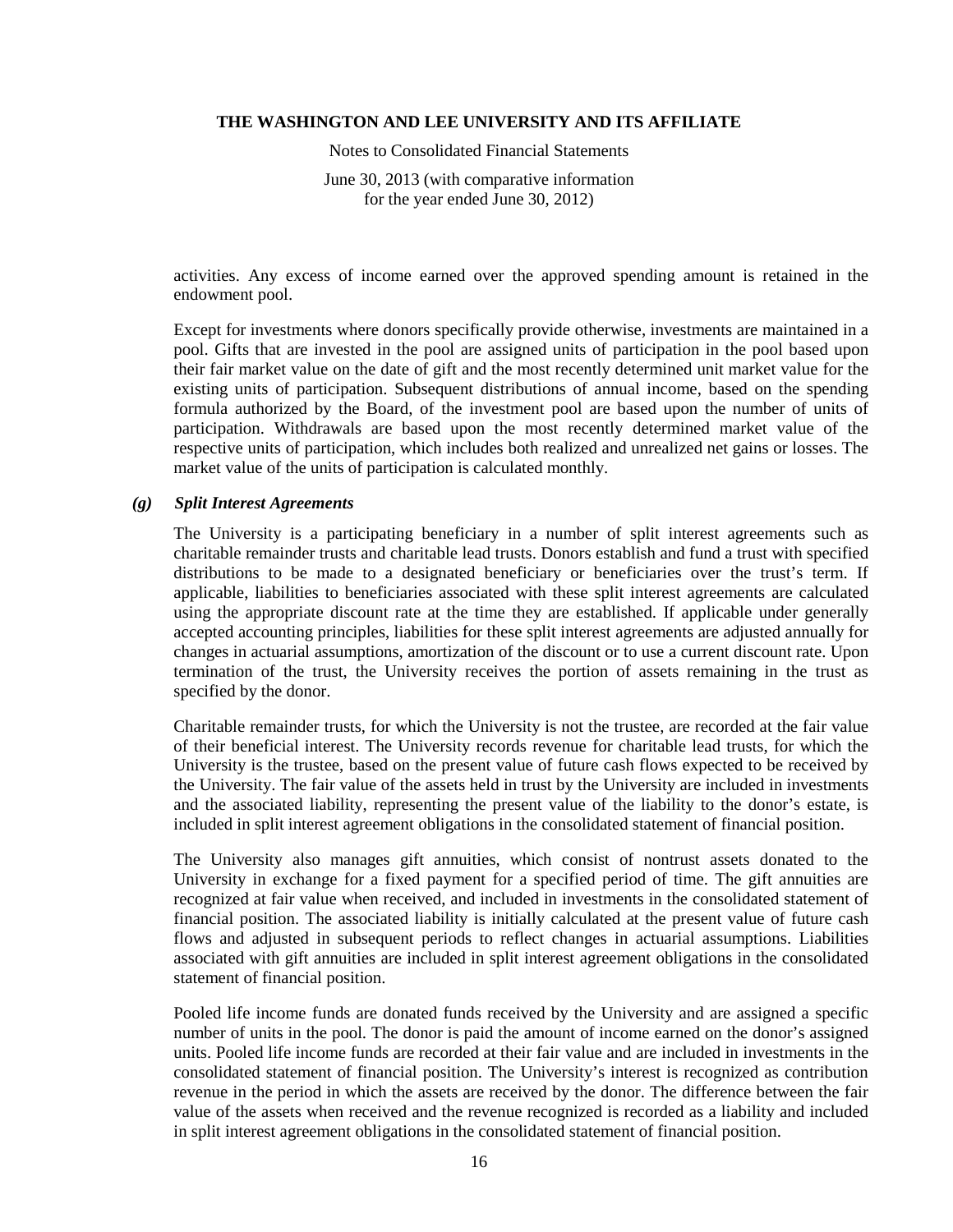Notes to Consolidated Financial Statements

June 30, 2013 (with comparative information for the year ended June 30, 2012)

activities. Any excess of income earned over the approved spending amount is retained in the endowment pool.

Except for investments where donors specifically provide otherwise, investments are maintained in a pool. Gifts that are invested in the pool are assigned units of participation in the pool based upon their fair market value on the date of gift and the most recently determined unit market value for the existing units of participation. Subsequent distributions of annual income, based on the spending formula authorized by the Board, of the investment pool are based upon the number of units of participation. Withdrawals are based upon the most recently determined market value of the respective units of participation, which includes both realized and unrealized net gains or losses. The market value of the units of participation is calculated monthly.

#### *(g) Split Interest Agreements*

The University is a participating beneficiary in a number of split interest agreements such as charitable remainder trusts and charitable lead trusts. Donors establish and fund a trust with specified distributions to be made to a designated beneficiary or beneficiaries over the trust's term. If applicable, liabilities to beneficiaries associated with these split interest agreements are calculated using the appropriate discount rate at the time they are established. If applicable under generally accepted accounting principles, liabilities for these split interest agreements are adjusted annually for changes in actuarial assumptions, amortization of the discount or to use a current discount rate. Upon termination of the trust, the University receives the portion of assets remaining in the trust as specified by the donor.

Charitable remainder trusts, for which the University is not the trustee, are recorded at the fair value of their beneficial interest. The University records revenue for charitable lead trusts, for which the University is the trustee, based on the present value of future cash flows expected to be received by the University. The fair value of the assets held in trust by the University are included in investments and the associated liability, representing the present value of the liability to the donor's estate, is included in split interest agreement obligations in the consolidated statement of financial position.

The University also manages gift annuities, which consist of nontrust assets donated to the University in exchange for a fixed payment for a specified period of time. The gift annuities are recognized at fair value when received, and included in investments in the consolidated statement of financial position. The associated liability is initially calculated at the present value of future cash flows and adjusted in subsequent periods to reflect changes in actuarial assumptions. Liabilities associated with gift annuities are included in split interest agreement obligations in the consolidated statement of financial position.

Pooled life income funds are donated funds received by the University and are assigned a specific number of units in the pool. The donor is paid the amount of income earned on the donor's assigned units. Pooled life income funds are recorded at their fair value and are included in investments in the consolidated statement of financial position. The University's interest is recognized as contribution revenue in the period in which the assets are received by the donor. The difference between the fair value of the assets when received and the revenue recognized is recorded as a liability and included in split interest agreement obligations in the consolidated statement of financial position.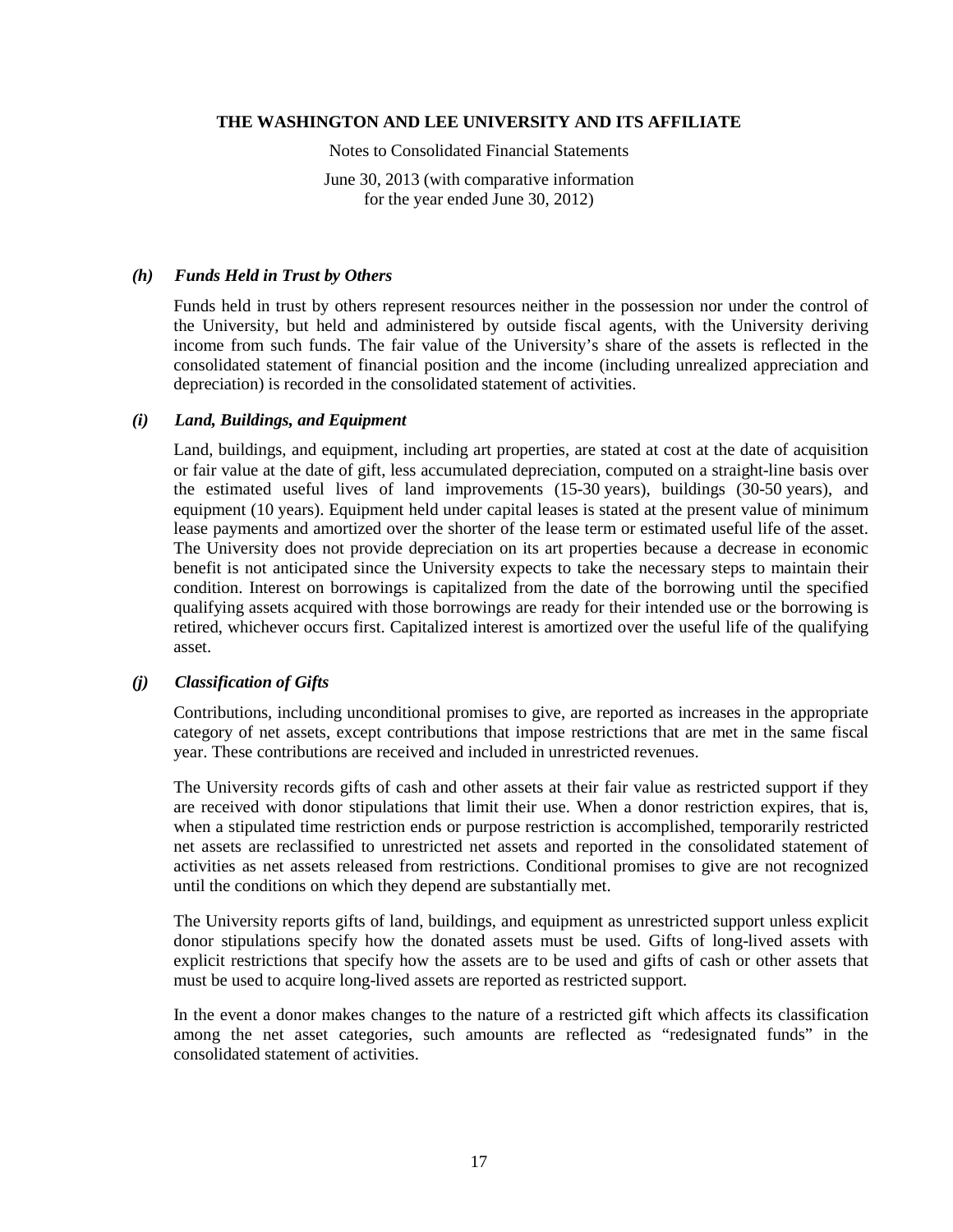Notes to Consolidated Financial Statements

June 30, 2013 (with comparative information for the year ended June 30, 2012)

#### *(h) Funds Held in Trust by Others*

Funds held in trust by others represent resources neither in the possession nor under the control of the University, but held and administered by outside fiscal agents, with the University deriving income from such funds. The fair value of the University's share of the assets is reflected in the consolidated statement of financial position and the income (including unrealized appreciation and depreciation) is recorded in the consolidated statement of activities.

## *(i) Land, Buildings, and Equipment*

Land, buildings, and equipment, including art properties, are stated at cost at the date of acquisition or fair value at the date of gift, less accumulated depreciation, computed on a straight-line basis over the estimated useful lives of land improvements (15-30 years), buildings (30-50 years), and equipment (10 years). Equipment held under capital leases is stated at the present value of minimum lease payments and amortized over the shorter of the lease term or estimated useful life of the asset. The University does not provide depreciation on its art properties because a decrease in economic benefit is not anticipated since the University expects to take the necessary steps to maintain their condition. Interest on borrowings is capitalized from the date of the borrowing until the specified qualifying assets acquired with those borrowings are ready for their intended use or the borrowing is retired, whichever occurs first. Capitalized interest is amortized over the useful life of the qualifying asset.

## *(j) Classification of Gifts*

Contributions, including unconditional promises to give, are reported as increases in the appropriate category of net assets, except contributions that impose restrictions that are met in the same fiscal year. These contributions are received and included in unrestricted revenues.

The University records gifts of cash and other assets at their fair value as restricted support if they are received with donor stipulations that limit their use. When a donor restriction expires, that is, when a stipulated time restriction ends or purpose restriction is accomplished, temporarily restricted net assets are reclassified to unrestricted net assets and reported in the consolidated statement of activities as net assets released from restrictions. Conditional promises to give are not recognized until the conditions on which they depend are substantially met.

The University reports gifts of land, buildings, and equipment as unrestricted support unless explicit donor stipulations specify how the donated assets must be used. Gifts of long-lived assets with explicit restrictions that specify how the assets are to be used and gifts of cash or other assets that must be used to acquire long-lived assets are reported as restricted support.

In the event a donor makes changes to the nature of a restricted gift which affects its classification among the net asset categories, such amounts are reflected as "redesignated funds" in the consolidated statement of activities.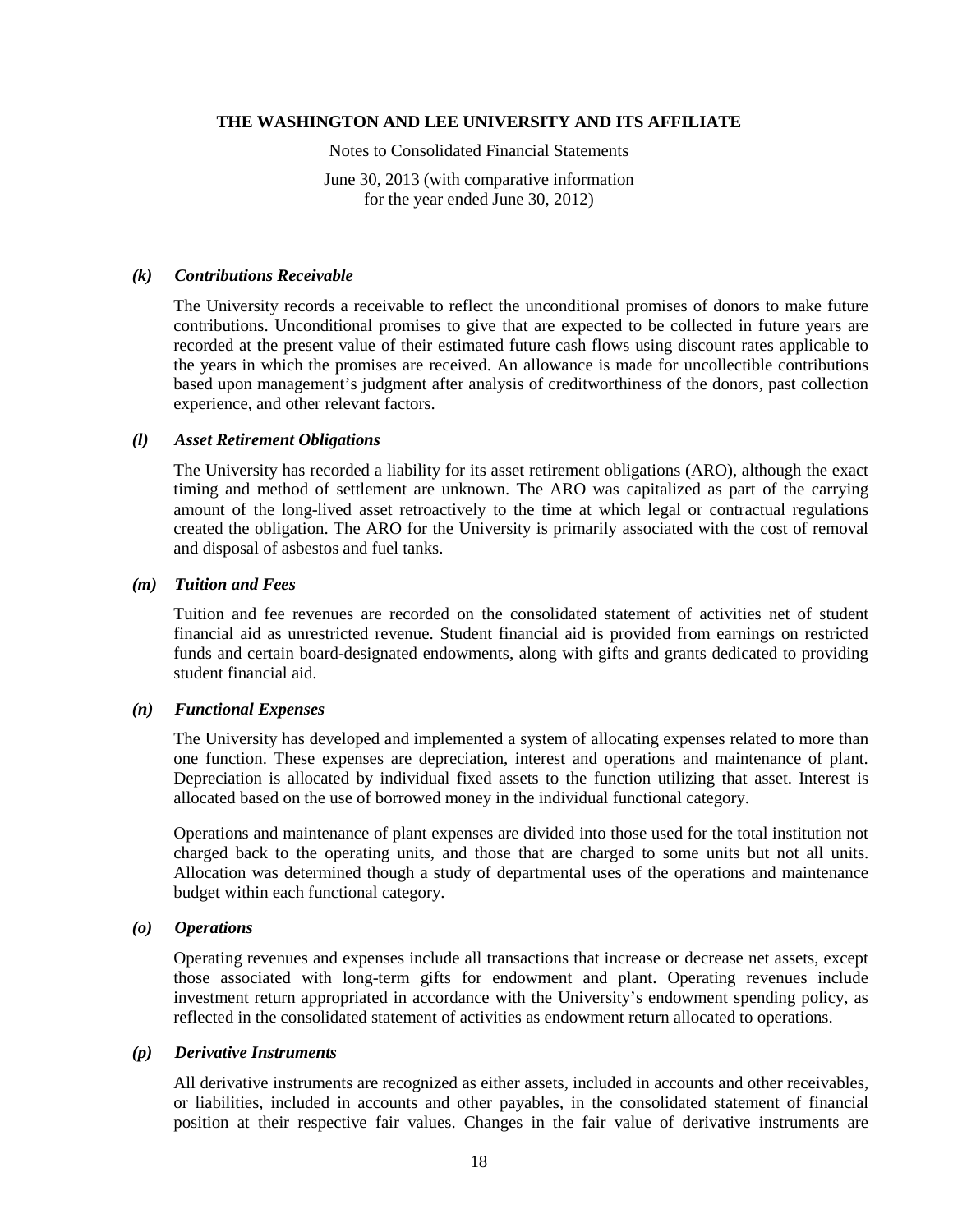Notes to Consolidated Financial Statements

June 30, 2013 (with comparative information for the year ended June 30, 2012)

#### *(k) Contributions Receivable*

The University records a receivable to reflect the unconditional promises of donors to make future contributions. Unconditional promises to give that are expected to be collected in future years are recorded at the present value of their estimated future cash flows using discount rates applicable to the years in which the promises are received. An allowance is made for uncollectible contributions based upon management's judgment after analysis of creditworthiness of the donors, past collection experience, and other relevant factors.

#### *(l) Asset Retirement Obligations*

The University has recorded a liability for its asset retirement obligations (ARO), although the exact timing and method of settlement are unknown. The ARO was capitalized as part of the carrying amount of the long-lived asset retroactively to the time at which legal or contractual regulations created the obligation. The ARO for the University is primarily associated with the cost of removal and disposal of asbestos and fuel tanks.

#### *(m) Tuition and Fees*

Tuition and fee revenues are recorded on the consolidated statement of activities net of student financial aid as unrestricted revenue. Student financial aid is provided from earnings on restricted funds and certain board-designated endowments, along with gifts and grants dedicated to providing student financial aid.

## *(n) Functional Expenses*

The University has developed and implemented a system of allocating expenses related to more than one function. These expenses are depreciation, interest and operations and maintenance of plant. Depreciation is allocated by individual fixed assets to the function utilizing that asset. Interest is allocated based on the use of borrowed money in the individual functional category.

Operations and maintenance of plant expenses are divided into those used for the total institution not charged back to the operating units, and those that are charged to some units but not all units. Allocation was determined though a study of departmental uses of the operations and maintenance budget within each functional category.

#### *(o) Operations*

Operating revenues and expenses include all transactions that increase or decrease net assets, except those associated with long-term gifts for endowment and plant. Operating revenues include investment return appropriated in accordance with the University's endowment spending policy, as reflected in the consolidated statement of activities as endowment return allocated to operations.

#### *(p) Derivative Instruments*

All derivative instruments are recognized as either assets, included in accounts and other receivables, or liabilities, included in accounts and other payables, in the consolidated statement of financial position at their respective fair values. Changes in the fair value of derivative instruments are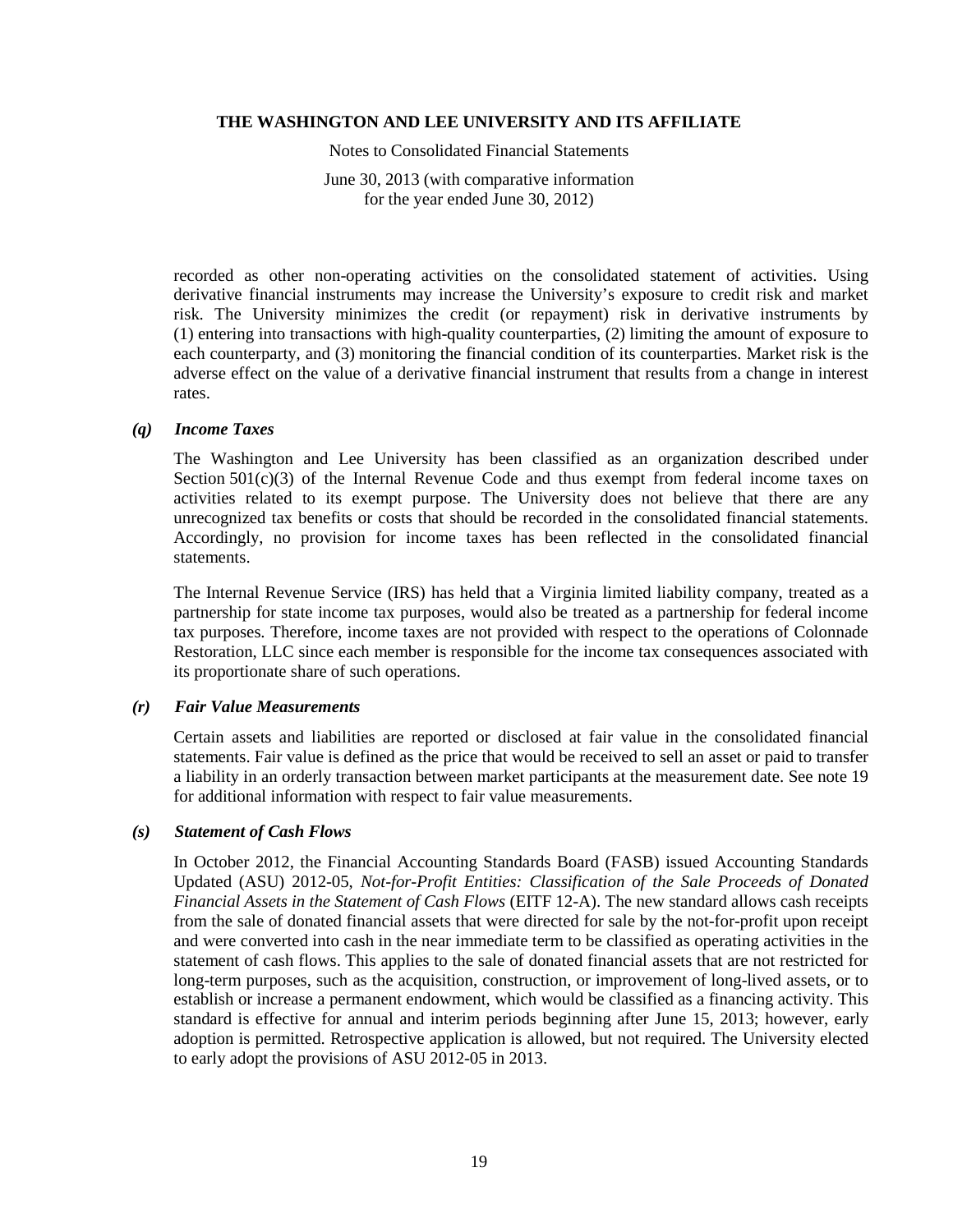Notes to Consolidated Financial Statements

June 30, 2013 (with comparative information for the year ended June 30, 2012)

recorded as other non-operating activities on the consolidated statement of activities. Using derivative financial instruments may increase the University's exposure to credit risk and market risk. The University minimizes the credit (or repayment) risk in derivative instruments by (1) entering into transactions with high-quality counterparties, (2) limiting the amount of exposure to each counterparty, and (3) monitoring the financial condition of its counterparties. Market risk is the adverse effect on the value of a derivative financial instrument that results from a change in interest rates.

#### *(q) Income Taxes*

The Washington and Lee University has been classified as an organization described under Section  $501(c)(3)$  of the Internal Revenue Code and thus exempt from federal income taxes on activities related to its exempt purpose. The University does not believe that there are any unrecognized tax benefits or costs that should be recorded in the consolidated financial statements. Accordingly, no provision for income taxes has been reflected in the consolidated financial statements.

The Internal Revenue Service (IRS) has held that a Virginia limited liability company, treated as a partnership for state income tax purposes, would also be treated as a partnership for federal income tax purposes. Therefore, income taxes are not provided with respect to the operations of Colonnade Restoration, LLC since each member is responsible for the income tax consequences associated with its proportionate share of such operations.

## *(r) Fair Value Measurements*

Certain assets and liabilities are reported or disclosed at fair value in the consolidated financial statements. Fair value is defined as the price that would be received to sell an asset or paid to transfer a liability in an orderly transaction between market participants at the measurement date. See note 19 for additional information with respect to fair value measurements.

#### *(s) Statement of Cash Flows*

In October 2012, the Financial Accounting Standards Board (FASB) issued Accounting Standards Updated (ASU) 2012-05, *Not-for-Profit Entities: Classification of the Sale Proceeds of Donated Financial Assets in the Statement of Cash Flows* (EITF 12-A). The new standard allows cash receipts from the sale of donated financial assets that were directed for sale by the not-for-profit upon receipt and were converted into cash in the near immediate term to be classified as operating activities in the statement of cash flows. This applies to the sale of donated financial assets that are not restricted for long-term purposes, such as the acquisition, construction, or improvement of long-lived assets, or to establish or increase a permanent endowment, which would be classified as a financing activity. This standard is effective for annual and interim periods beginning after June 15, 2013; however, early adoption is permitted. Retrospective application is allowed, but not required. The University elected to early adopt the provisions of ASU 2012-05 in 2013.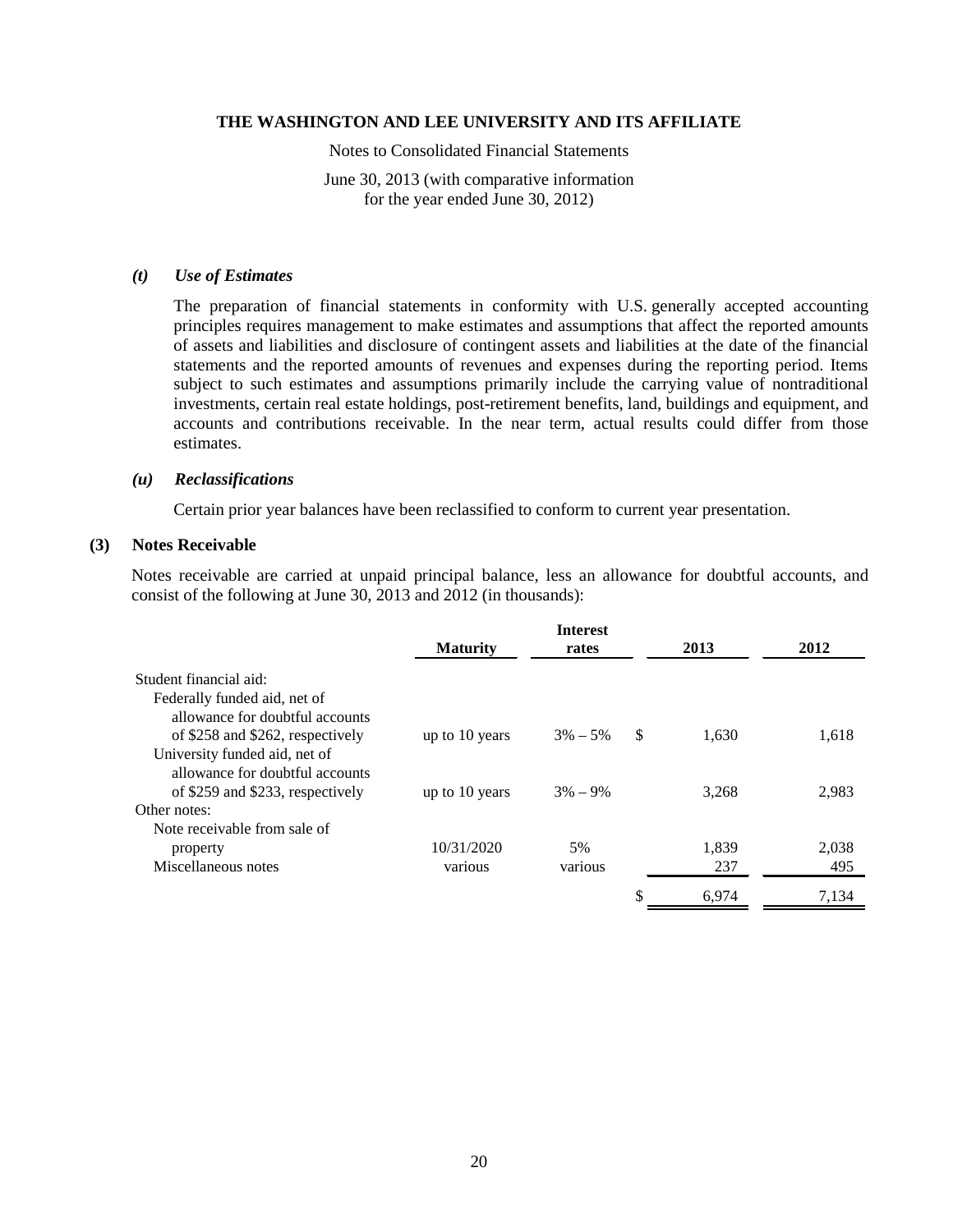Notes to Consolidated Financial Statements

June 30, 2013 (with comparative information for the year ended June 30, 2012)

#### *(t) Use of Estimates*

The preparation of financial statements in conformity with U.S. generally accepted accounting principles requires management to make estimates and assumptions that affect the reported amounts of assets and liabilities and disclosure of contingent assets and liabilities at the date of the financial statements and the reported amounts of revenues and expenses during the reporting period. Items subject to such estimates and assumptions primarily include the carrying value of nontraditional investments, certain real estate holdings, post-retirement benefits, land, buildings and equipment, and accounts and contributions receivable. In the near term, actual results could differ from those estimates.

## *(u) Reclassifications*

Certain prior year balances have been reclassified to conform to current year presentation.

#### **(3) Notes Receivable**

Notes receivable are carried at unpaid principal balance, less an allowance for doubtful accounts, and consist of the following at June 30, 2013 and 2012 (in thousands):

|                                                                                                      | <b>Maturity</b> | <b>Interest</b><br>rates |      | 2013  | 2012  |
|------------------------------------------------------------------------------------------------------|-----------------|--------------------------|------|-------|-------|
| Student financial aid:                                                                               |                 |                          |      |       |       |
| Federally funded aid, net of<br>allowance for doubtful accounts                                      |                 |                          |      |       |       |
| of \$258 and \$262, respectively<br>University funded aid, net of<br>allowance for doubtful accounts | up to 10 years  | $3\% - 5\%$              | - \$ | 1,630 | 1,618 |
| of \$259 and \$233, respectively                                                                     | up to 10 years  | $3\% - 9\%$              |      | 3.268 | 2,983 |
| Other notes:                                                                                         |                 |                          |      |       |       |
| Note receivable from sale of                                                                         |                 |                          |      |       |       |
| property                                                                                             | 10/31/2020      | 5%                       |      | 1,839 | 2,038 |
| Miscellaneous notes                                                                                  | various         | various                  |      | 237   | 495   |
|                                                                                                      |                 |                          | \$   | 6.974 | 7,134 |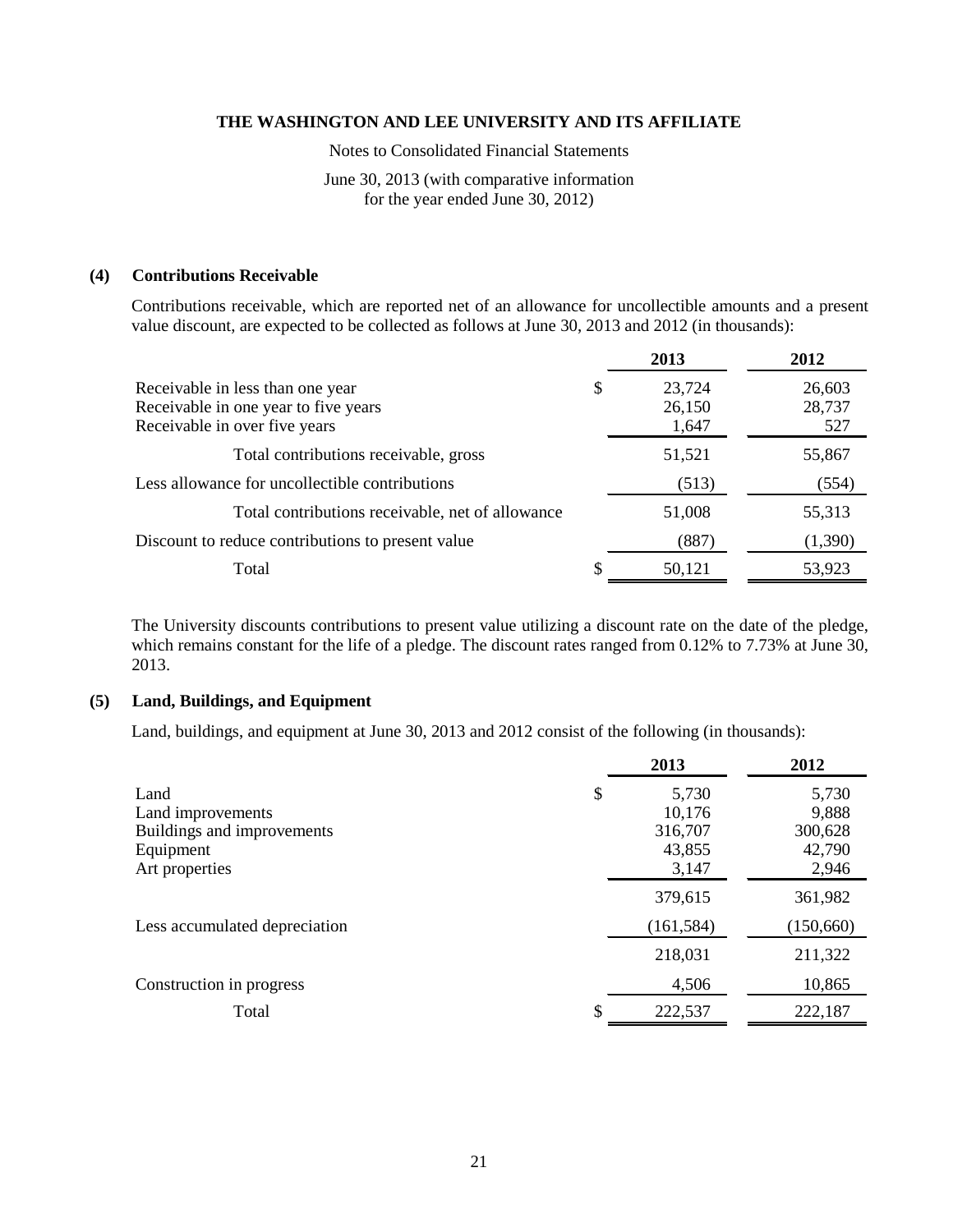Notes to Consolidated Financial Statements

June 30, 2013 (with comparative information for the year ended June 30, 2012)

## **(4) Contributions Receivable**

Contributions receivable, which are reported net of an allowance for uncollectible amounts and a present value discount, are expected to be collected as follows at June 30, 2013 and 2012 (in thousands):

|                                                                                                           | 2013                            | 2012                    |
|-----------------------------------------------------------------------------------------------------------|---------------------------------|-------------------------|
| Receivable in less than one year<br>Receivable in one year to five years<br>Receivable in over five years | \$<br>23,724<br>26,150<br>1,647 | 26,603<br>28,737<br>527 |
| Total contributions receivable, gross                                                                     | 51,521                          | 55,867                  |
| Less allowance for uncollectible contributions                                                            | (513)                           | (554)                   |
| Total contributions receivable, net of allowance                                                          | 51,008                          | 55,313                  |
| Discount to reduce contributions to present value                                                         | (887)                           | (1,390)                 |
| Total                                                                                                     | 50,121                          | 53,923                  |

The University discounts contributions to present value utilizing a discount rate on the date of the pledge, which remains constant for the life of a pledge. The discount rates ranged from 0.12% to 7.73% at June 30, 2013.

## **(5) Land, Buildings, and Equipment**

Land, buildings, and equipment at June 30, 2013 and 2012 consist of the following (in thousands):

|                               | 2013        | 2012      |
|-------------------------------|-------------|-----------|
| Land                          | \$<br>5,730 | 5,730     |
| Land improvements             | 10,176      | 9,888     |
| Buildings and improvements    | 316,707     | 300,628   |
| Equipment                     | 43,855      | 42,790    |
| Art properties                | 3,147       | 2,946     |
|                               | 379,615     | 361,982   |
| Less accumulated depreciation | (161, 584)  | (150,660) |
|                               | 218,031     | 211,322   |
| Construction in progress      | 4,506       | 10,865    |
| Total                         | 222,537     | 222,187   |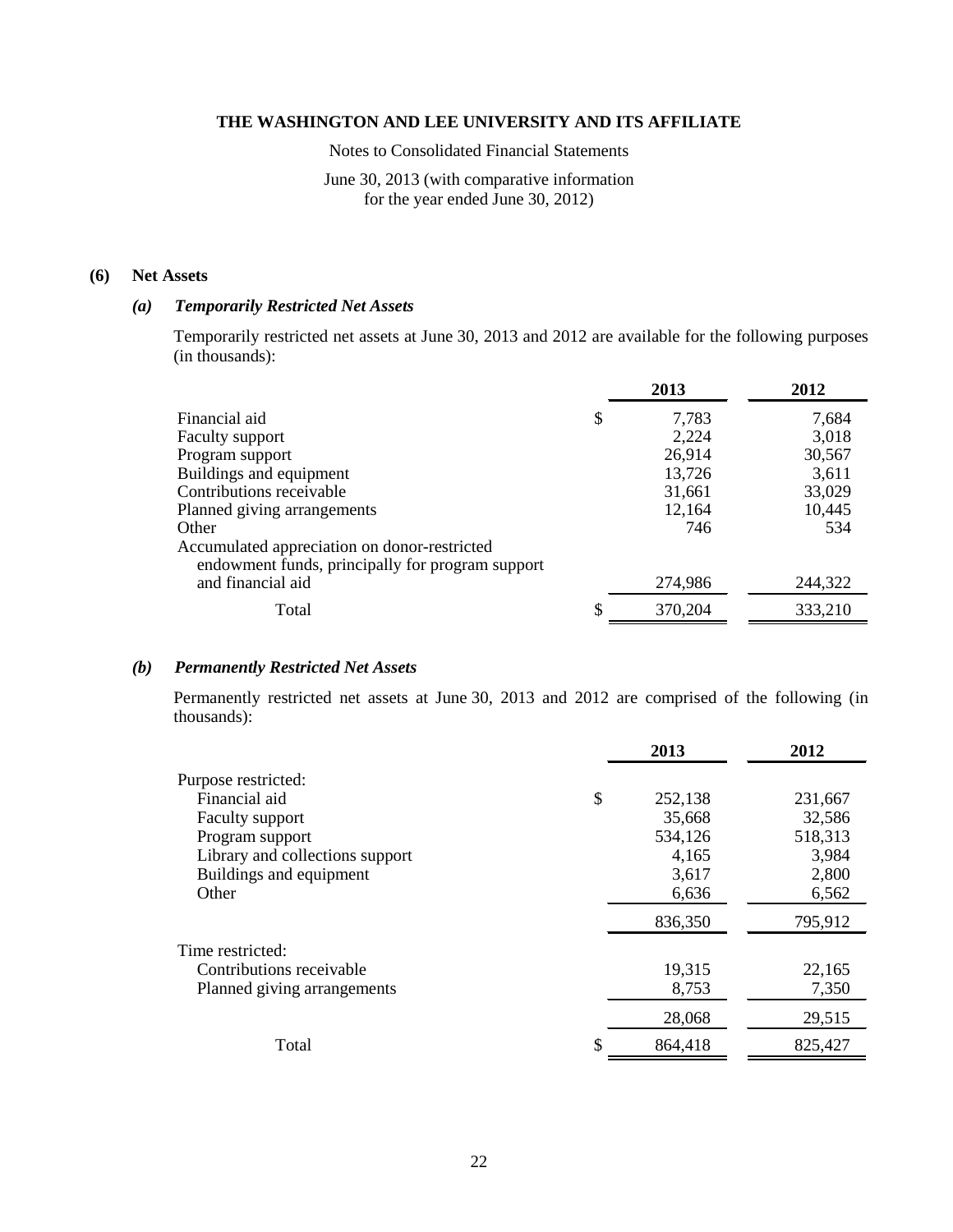Notes to Consolidated Financial Statements

## June 30, 2013 (with comparative information for the year ended June 30, 2012)

## **(6) Net Assets**

## *(a) Temporarily Restricted Net Assets*

Temporarily restricted net assets at June 30, 2013 and 2012 are available for the following purposes (in thousands):

|                                                                                                  | 2013          | 2012    |
|--------------------------------------------------------------------------------------------------|---------------|---------|
| Financial aid                                                                                    | \$<br>7,783   | 7,684   |
| <b>Faculty support</b>                                                                           | 2,224         | 3,018   |
| Program support                                                                                  | 26,914        | 30,567  |
| Buildings and equipment                                                                          | 13,726        | 3,611   |
| Contributions receivable                                                                         | 31,661        | 33,029  |
| Planned giving arrangements                                                                      | 12,164        | 10,445  |
| Other                                                                                            | 746           | 534     |
| Accumulated appreciation on donor-restricted<br>endowment funds, principally for program support |               |         |
| and financial aid                                                                                | 274,986       | 244,322 |
| Total                                                                                            | \$<br>370,204 | 333,210 |

## *(b) Permanently Restricted Net Assets*

Permanently restricted net assets at June 30, 2013 and 2012 are comprised of the following (in thousands):

|                                 | 2013          | 2012    |
|---------------------------------|---------------|---------|
| Purpose restricted:             |               |         |
| Financial aid                   | \$<br>252,138 | 231,667 |
| Faculty support                 | 35,668        | 32,586  |
| Program support                 | 534,126       | 518,313 |
| Library and collections support | 4,165         | 3,984   |
| Buildings and equipment         | 3,617         | 2,800   |
| Other                           | 6,636         | 6,562   |
|                                 | 836,350       | 795,912 |
| Time restricted:                |               |         |
| Contributions receivable        | 19,315        | 22,165  |
| Planned giving arrangements     | 8,753         | 7,350   |
|                                 | 28,068        | 29,515  |
| Total                           | \$<br>864,418 | 825,427 |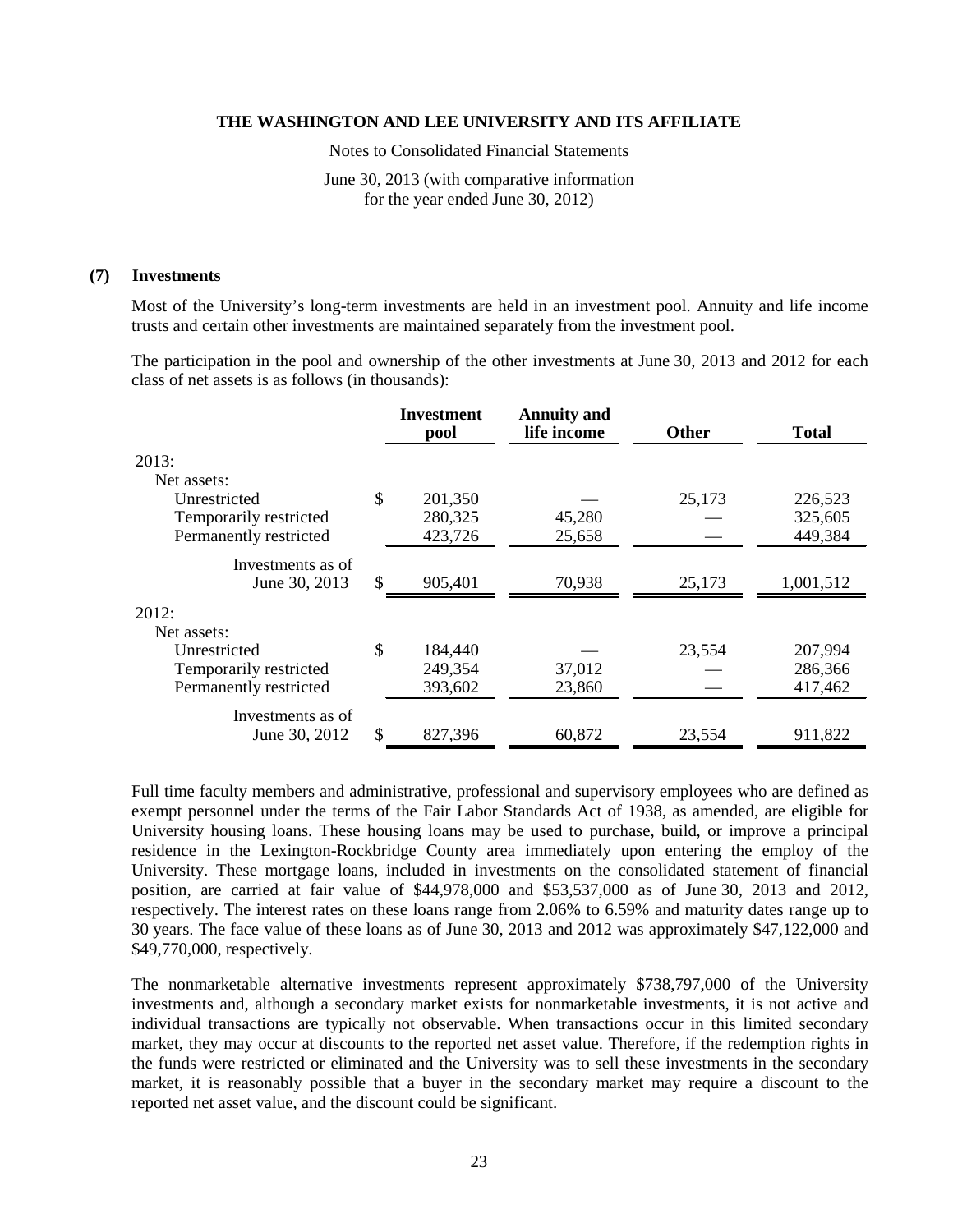Notes to Consolidated Financial Statements

June 30, 2013 (with comparative information for the year ended June 30, 2012)

#### **(7) Investments**

Most of the University's long-term investments are held in an investment pool. Annuity and life income trusts and certain other investments are maintained separately from the investment pool.

The participation in the pool and ownership of the other investments at June 30, 2013 and 2012 for each class of net assets is as follows (in thousands):

|                        |               | <b>Investment</b><br>pool | <b>Annuity and</b><br>life income | <b>Other</b> | <b>Total</b> |
|------------------------|---------------|---------------------------|-----------------------------------|--------------|--------------|
| 2013:                  |               |                           |                                   |              |              |
| Net assets:            |               |                           |                                   |              |              |
| Unrestricted           | $\mathcal{S}$ | 201,350                   |                                   | 25,173       | 226,523      |
| Temporarily restricted |               | 280,325                   | 45,280                            |              | 325,605      |
| Permanently restricted |               | 423,726                   | 25,658                            |              | 449,384      |
| Investments as of      |               |                           |                                   |              |              |
| June 30, 2013          | \$            | 905,401                   | 70,938                            | 25,173       | 1,001,512    |
| 2012:                  |               |                           |                                   |              |              |
| Net assets:            |               |                           |                                   |              |              |
| Unrestricted           | \$            | 184,440                   |                                   | 23,554       | 207,994      |
| Temporarily restricted |               | 249,354                   | 37,012                            |              | 286,366      |
| Permanently restricted |               | 393,602                   | 23,860                            |              | 417,462      |
| Investments as of      |               |                           |                                   |              |              |
| June 30, 2012          | \$            | 827,396                   | 60,872                            | 23,554       | 911,822      |

Full time faculty members and administrative, professional and supervisory employees who are defined as exempt personnel under the terms of the Fair Labor Standards Act of 1938, as amended, are eligible for University housing loans. These housing loans may be used to purchase, build, or improve a principal residence in the Lexington-Rockbridge County area immediately upon entering the employ of the University. These mortgage loans, included in investments on the consolidated statement of financial position, are carried at fair value of \$44,978,000 and \$53,537,000 as of June 30, 2013 and 2012, respectively. The interest rates on these loans range from 2.06% to 6.59% and maturity dates range up to 30 years. The face value of these loans as of June 30, 2013 and 2012 was approximately \$47,122,000 and \$49,770,000, respectively.

The nonmarketable alternative investments represent approximately \$738,797,000 of the University investments and, although a secondary market exists for nonmarketable investments, it is not active and individual transactions are typically not observable. When transactions occur in this limited secondary market, they may occur at discounts to the reported net asset value. Therefore, if the redemption rights in the funds were restricted or eliminated and the University was to sell these investments in the secondary market, it is reasonably possible that a buyer in the secondary market may require a discount to the reported net asset value, and the discount could be significant.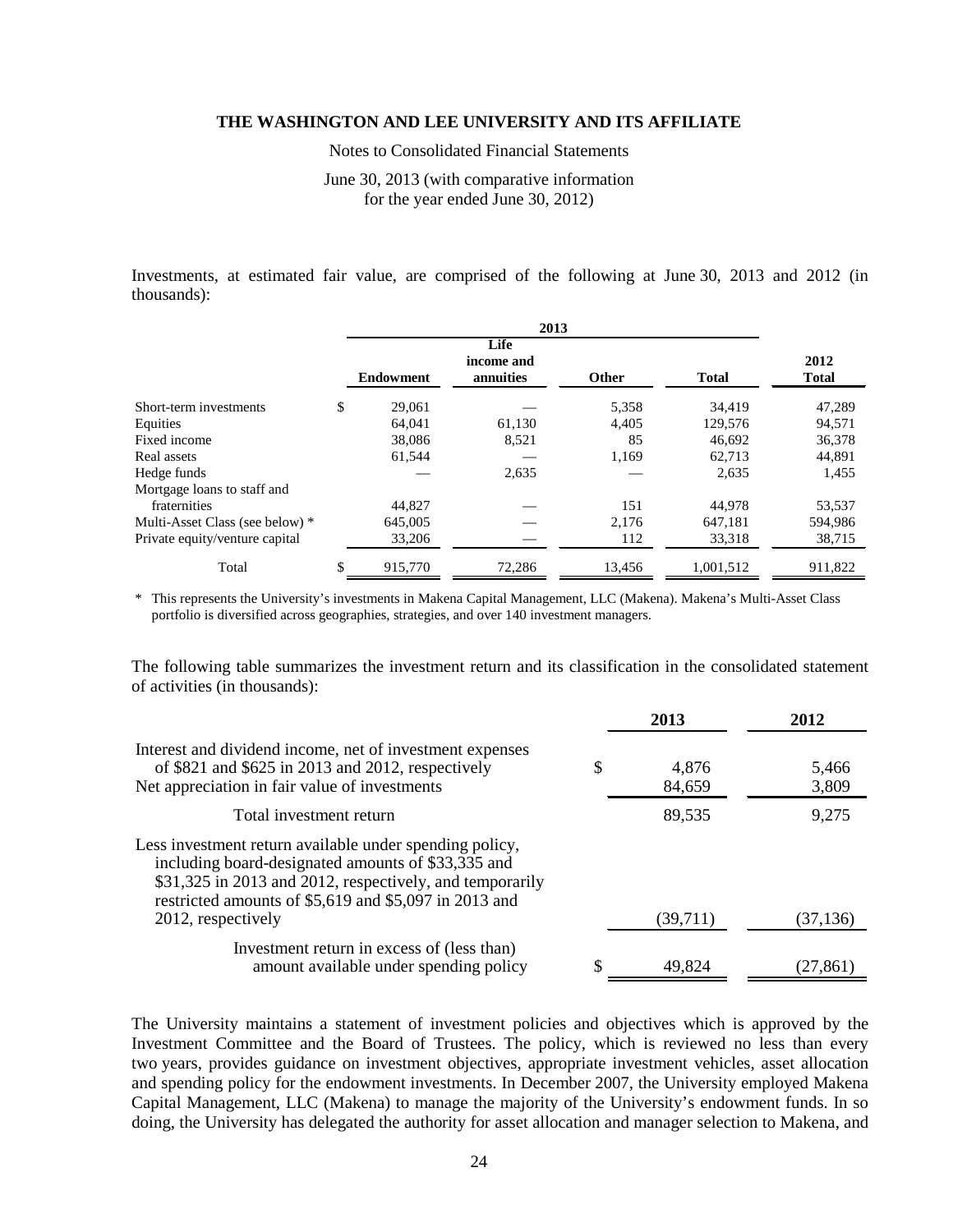Notes to Consolidated Financial Statements

June 30, 2013 (with comparative information for the year ended June 30, 2012)

Investments, at estimated fair value, are comprised of the following at June 30, 2013 and 2012 (in thousands):

| 2013                            |    |                  |                                 |              |              |                      |
|---------------------------------|----|------------------|---------------------------------|--------------|--------------|----------------------|
|                                 |    | <b>Endowment</b> | Life<br>income and<br>annuities | <b>Other</b> | <b>Total</b> | 2012<br><b>Total</b> |
| Short-term investments          | \$ | 29,061           |                                 | 5,358        | 34.419       | 47,289               |
| Equities                        |    | 64.041           | 61,130                          | 4,405        | 129,576      | 94,571               |
| Fixed income                    |    | 38,086           | 8,521                           | 85           | 46.692       | 36,378               |
| Real assets                     |    | 61,544           |                                 | 1,169        | 62,713       | 44,891               |
| Hedge funds                     |    |                  | 2,635                           |              | 2,635        | 1,455                |
| Mortgage loans to staff and     |    |                  |                                 |              |              |                      |
| fraternities                    |    | 44,827           |                                 | 151          | 44,978       | 53,537               |
| Multi-Asset Class (see below) * |    | 645,005          |                                 | 2.176        | 647,181      | 594,986              |
| Private equity/venture capital  |    | 33,206           |                                 | 112          | 33,318       | 38,715               |
| Total                           |    | 915,770          | 72,286                          | 13,456       | 1,001,512    | 911,822              |

\* This represents the University's investments in Makena Capital Management, LLC (Makena). Makena's Multi-Asset Class portfolio is diversified across geographies, strategies, and over 140 investment managers.

The following table summarizes the investment return and its classification in the consolidated statement of activities (in thousands):

|                                                                                                                                                                                                                                                          | 2013                  | 2012           |
|----------------------------------------------------------------------------------------------------------------------------------------------------------------------------------------------------------------------------------------------------------|-----------------------|----------------|
| Interest and dividend income, net of investment expenses<br>of \$821 and \$625 in 2013 and 2012, respectively<br>Net appreciation in fair value of investments                                                                                           | \$<br>4,876<br>84,659 | 5,466<br>3,809 |
| Total investment return                                                                                                                                                                                                                                  | 89,535                | 9,275          |
| Less investment return available under spending policy,<br>including board-designated amounts of \$33,335 and<br>\$31,325 in 2013 and 2012, respectively, and temporarily<br>restricted amounts of \$5,619 and \$5,097 in 2013 and<br>2012, respectively | (39,711)              | (37, 136)      |
| Investment return in excess of (less than)<br>amount available under spending policy                                                                                                                                                                     | 49,824                | (27,861)       |

The University maintains a statement of investment policies and objectives which is approved by the Investment Committee and the Board of Trustees. The policy, which is reviewed no less than every two years, provides guidance on investment objectives, appropriate investment vehicles, asset allocation and spending policy for the endowment investments. In December 2007, the University employed Makena Capital Management, LLC (Makena) to manage the majority of the University's endowment funds. In so doing, the University has delegated the authority for asset allocation and manager selection to Makena, and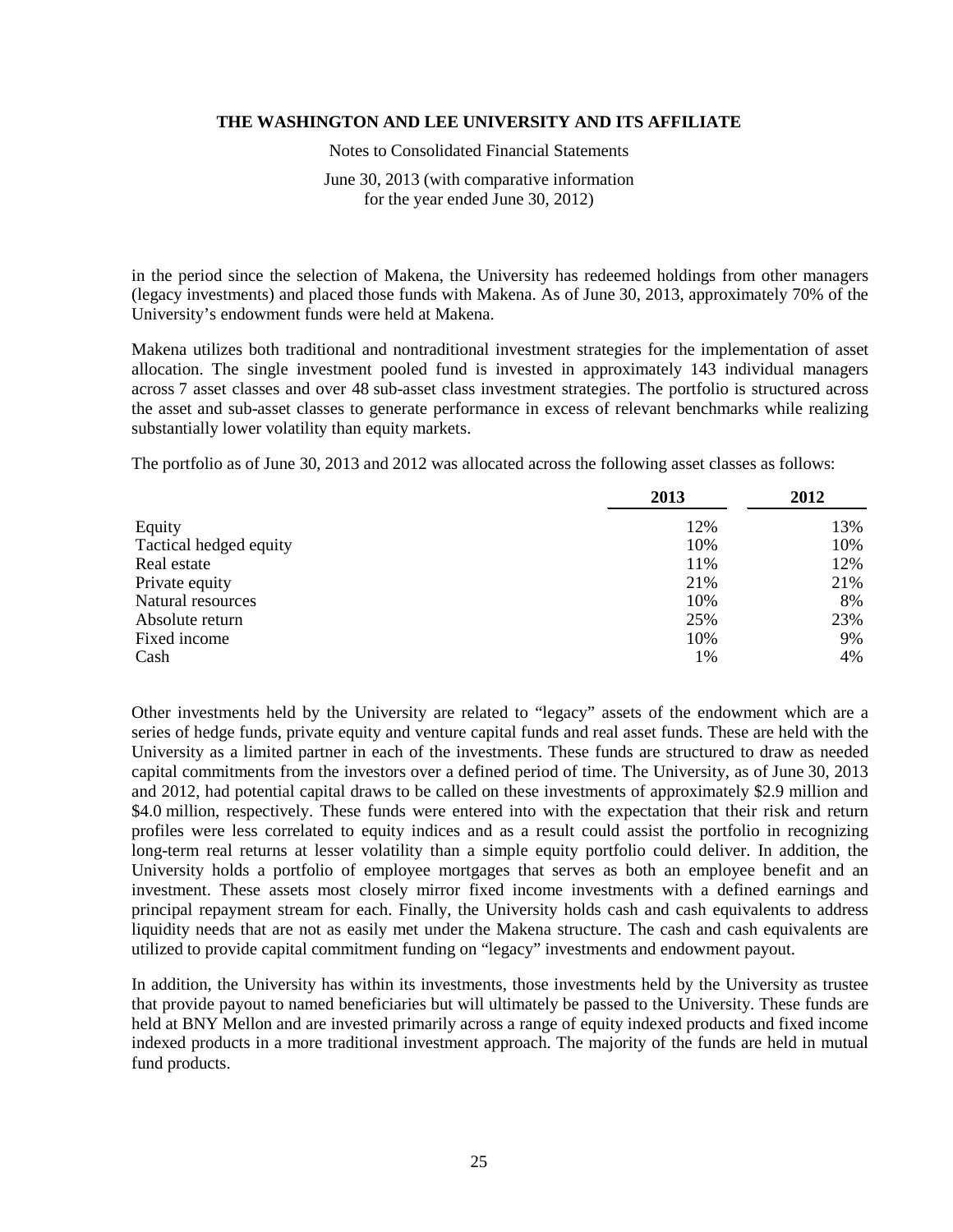Notes to Consolidated Financial Statements

June 30, 2013 (with comparative information for the year ended June 30, 2012)

in the period since the selection of Makena, the University has redeemed holdings from other managers (legacy investments) and placed those funds with Makena. As of June 30, 2013, approximately 70% of the University's endowment funds were held at Makena.

Makena utilizes both traditional and nontraditional investment strategies for the implementation of asset allocation. The single investment pooled fund is invested in approximately 143 individual managers across 7 asset classes and over 48 sub-asset class investment strategies. The portfolio is structured across the asset and sub-asset classes to generate performance in excess of relevant benchmarks while realizing substantially lower volatility than equity markets.

The portfolio as of June 30, 2013 and 2012 was allocated across the following asset classes as follows:

|                        | 2013 | 2012 |
|------------------------|------|------|
| Equity                 | 12%  | 13%  |
| Tactical hedged equity | 10%  | 10%  |
| Real estate            | 11%  | 12%  |
| Private equity         | 21%  | 21%  |
| Natural resources      | 10%  | 8%   |
| Absolute return        | 25%  | 23%  |
| Fixed income           | 10%  | 9%   |
| Cash                   | 1%   | 4%   |

Other investments held by the University are related to "legacy" assets of the endowment which are a series of hedge funds, private equity and venture capital funds and real asset funds. These are held with the University as a limited partner in each of the investments. These funds are structured to draw as needed capital commitments from the investors over a defined period of time. The University, as of June 30, 2013 and 2012, had potential capital draws to be called on these investments of approximately \$2.9 million and \$4.0 million, respectively. These funds were entered into with the expectation that their risk and return profiles were less correlated to equity indices and as a result could assist the portfolio in recognizing long-term real returns at lesser volatility than a simple equity portfolio could deliver. In addition, the University holds a portfolio of employee mortgages that serves as both an employee benefit and an investment. These assets most closely mirror fixed income investments with a defined earnings and principal repayment stream for each. Finally, the University holds cash and cash equivalents to address liquidity needs that are not as easily met under the Makena structure. The cash and cash equivalents are utilized to provide capital commitment funding on "legacy" investments and endowment payout.

In addition, the University has within its investments, those investments held by the University as trustee that provide payout to named beneficiaries but will ultimately be passed to the University. These funds are held at BNY Mellon and are invested primarily across a range of equity indexed products and fixed income indexed products in a more traditional investment approach. The majority of the funds are held in mutual fund products.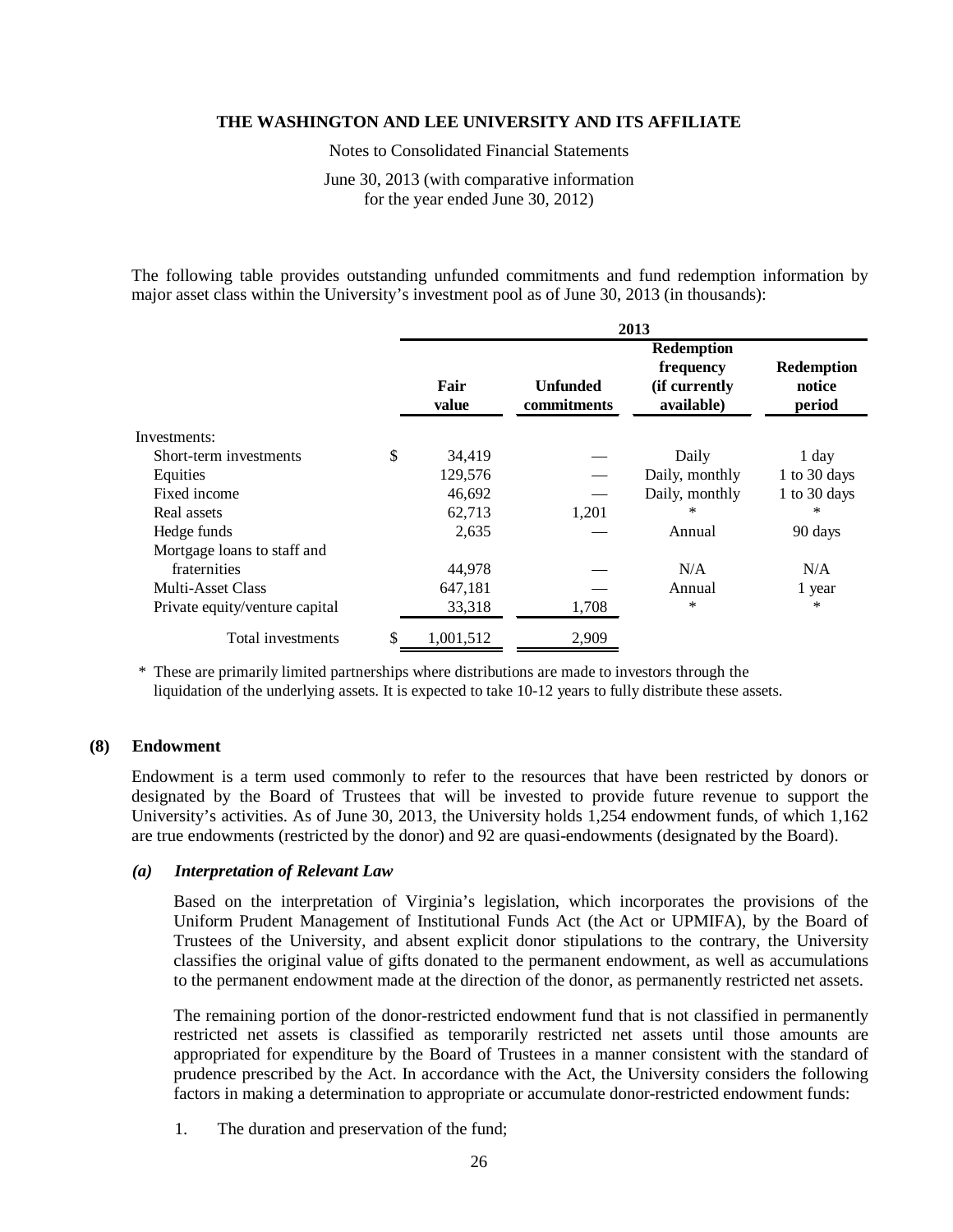Notes to Consolidated Financial Statements

June 30, 2013 (with comparative information for the year ended June 30, 2012)

The following table provides outstanding unfunded commitments and fund redemption information by major asset class within the University's investment pool as of June 30, 2013 (in thousands):

|                                | 2013            |                                |                                                               |                                       |  |  |
|--------------------------------|-----------------|--------------------------------|---------------------------------------------------------------|---------------------------------------|--|--|
|                                | Fair<br>value   | <b>Unfunded</b><br>commitments | <b>Redemption</b><br>frequency<br>(if currently<br>available) | <b>Redemption</b><br>notice<br>period |  |  |
| Investments:                   |                 |                                |                                                               |                                       |  |  |
| Short-term investments         | \$<br>34,419    |                                | Daily                                                         | 1 day                                 |  |  |
| Equities                       | 129,576         |                                | Daily, monthly                                                | 1 to 30 days                          |  |  |
| Fixed income                   | 46,692          |                                | Daily, monthly                                                | 1 to 30 days                          |  |  |
| Real assets                    | 62,713          | 1,201                          | ∗                                                             | ∗                                     |  |  |
| Hedge funds                    | 2,635           |                                | Annual                                                        | 90 days                               |  |  |
| Mortgage loans to staff and    |                 |                                |                                                               |                                       |  |  |
| fraternities                   | 44,978          |                                | N/A                                                           | N/A                                   |  |  |
| Multi-Asset Class              | 647,181         |                                | Annual                                                        | 1 year                                |  |  |
| Private equity/venture capital | 33,318          | 1,708                          | $\ast$                                                        | $\ast$                                |  |  |
| Total investments              | \$<br>1,001,512 | 2,909                          |                                                               |                                       |  |  |

\* These are primarily limited partnerships where distributions are made to investors through the liquidation of the underlying assets. It is expected to take 10-12 years to fully distribute these assets.

#### **(8) Endowment**

Endowment is a term used commonly to refer to the resources that have been restricted by donors or designated by the Board of Trustees that will be invested to provide future revenue to support the University's activities. As of June 30, 2013, the University holds 1,254 endowment funds, of which 1,162 are true endowments (restricted by the donor) and 92 are quasi-endowments (designated by the Board).

### *(a) Interpretation of Relevant Law*

Based on the interpretation of Virginia's legislation, which incorporates the provisions of the Uniform Prudent Management of Institutional Funds Act (the Act or UPMIFA), by the Board of Trustees of the University, and absent explicit donor stipulations to the contrary, the University classifies the original value of gifts donated to the permanent endowment, as well as accumulations to the permanent endowment made at the direction of the donor, as permanently restricted net assets.

The remaining portion of the donor-restricted endowment fund that is not classified in permanently restricted net assets is classified as temporarily restricted net assets until those amounts are appropriated for expenditure by the Board of Trustees in a manner consistent with the standard of prudence prescribed by the Act. In accordance with the Act, the University considers the following factors in making a determination to appropriate or accumulate donor-restricted endowment funds:

1. The duration and preservation of the fund;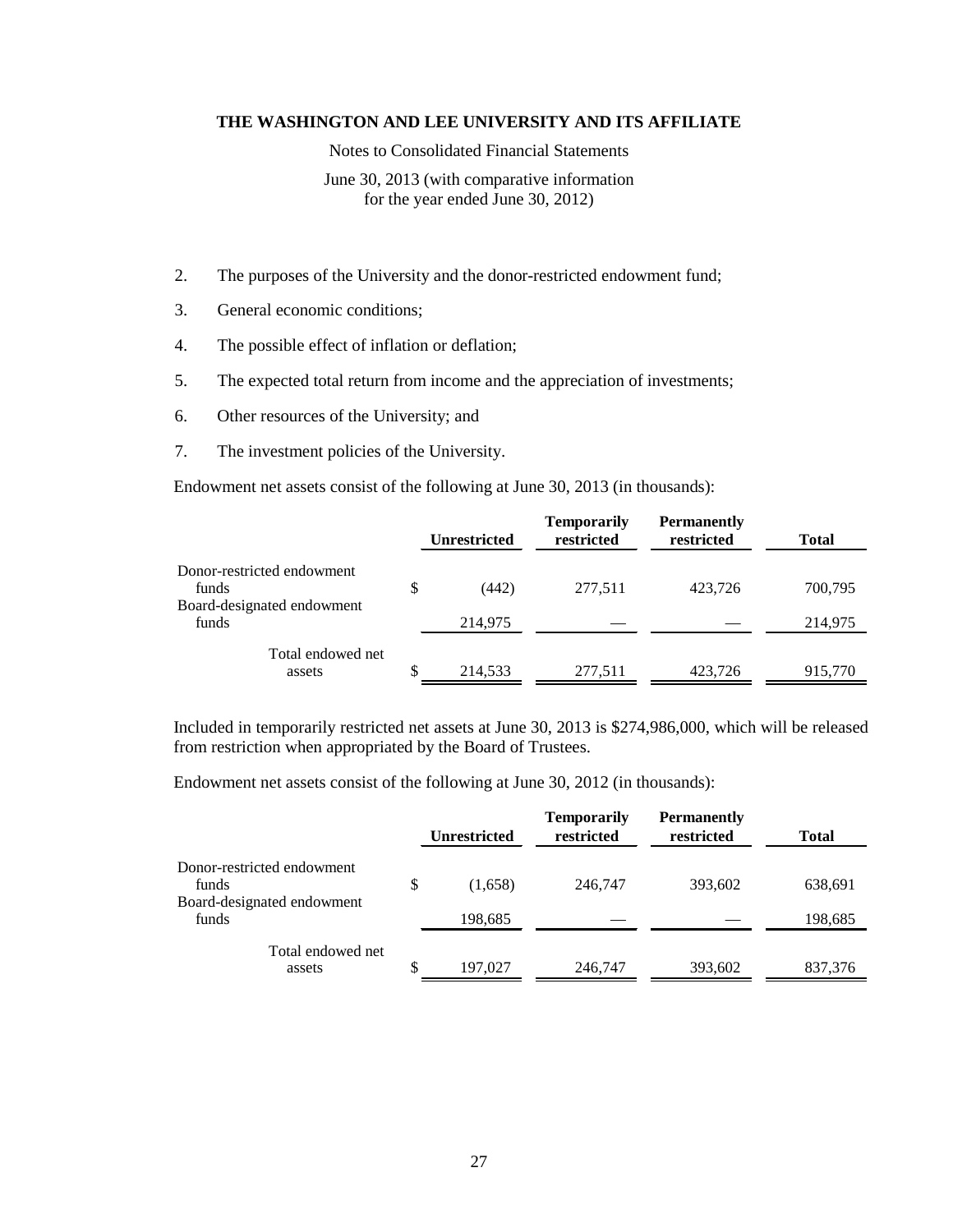Notes to Consolidated Financial Statements

June 30, 2013 (with comparative information for the year ended June 30, 2012)

- 2. The purposes of the University and the donor-restricted endowment fund;
- 3. General economic conditions;
- 4. The possible effect of inflation or deflation;
- 5. The expected total return from income and the appreciation of investments;
- 6. Other resources of the University; and
- 7. The investment policies of the University.

Endowment net assets consist of the following at June 30, 2013 (in thousands):

|                                     |   | <b>Unrestricted</b> | <b>Temporarily</b><br>restricted | <b>Permanently</b><br>restricted | <b>Total</b> |
|-------------------------------------|---|---------------------|----------------------------------|----------------------------------|--------------|
| Donor-restricted endowment<br>funds | S | (442)               | 277,511                          | 423,726                          | 700,795      |
| Board-designated endowment<br>funds |   | 214,975             |                                  |                                  | 214,975      |
| Total endowed net<br>assets         |   | 214,533             | 277.511                          | 423.726                          | 915,770      |

Included in temporarily restricted net assets at June 30, 2013 is \$274,986,000, which will be released from restriction when appropriated by the Board of Trustees.

Endowment net assets consist of the following at June 30, 2012 (in thousands):

|                                     |    | <b>Unrestricted</b> | <b>Temporarily</b><br>restricted | <b>Permanently</b><br>restricted | <b>Total</b> |
|-------------------------------------|----|---------------------|----------------------------------|----------------------------------|--------------|
| Donor-restricted endowment<br>funds | \$ | (1,658)             | 246,747                          | 393,602                          | 638,691      |
| Board-designated endowment<br>funds |    | 198,685             |                                  |                                  | 198,685      |
| Total endowed net<br>assets         | S  | 197,027             | 246,747                          | 393,602                          | 837,376      |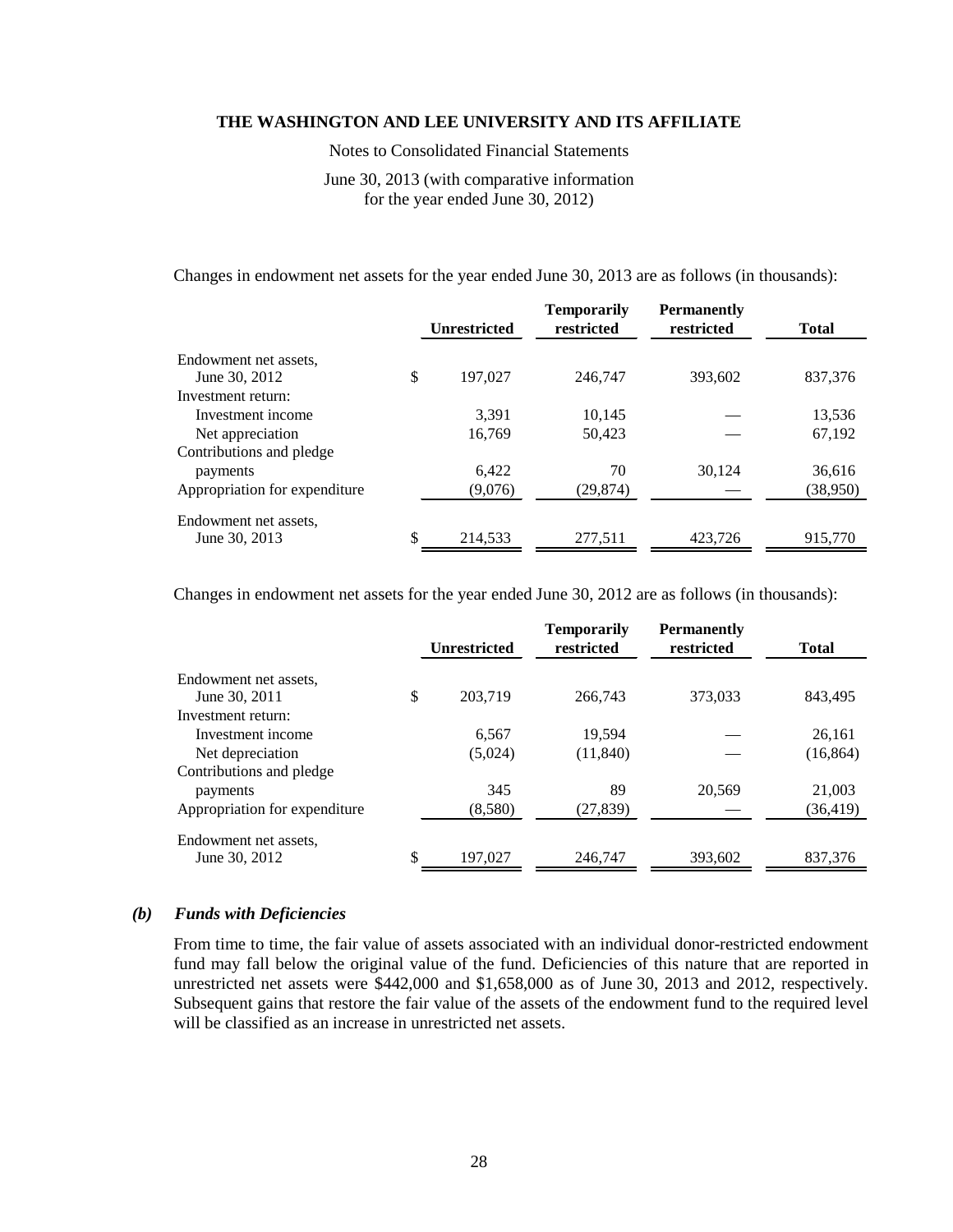Notes to Consolidated Financial Statements

June 30, 2013 (with comparative information for the year ended June 30, 2012)

Changes in endowment net assets for the year ended June 30, 2013 are as follows (in thousands):

|                                     | <b>Unrestricted</b> | <b>Temporarily</b><br>restricted | <b>Permanently</b><br>restricted | <b>Total</b> |
|-------------------------------------|---------------------|----------------------------------|----------------------------------|--------------|
| Endowment net assets.               |                     |                                  |                                  |              |
| June 30, 2012<br>Investment return: | \$<br>197.027       | 246,747                          | 393.602                          | 837.376      |
| Investment income                   | 3.391               | 10,145                           |                                  | 13,536       |
| Net appreciation                    | 16,769              | 50,423                           |                                  | 67,192       |
| Contributions and pledge            |                     |                                  |                                  |              |
| payments                            | 6.422               | 70                               | 30.124                           | 36,616       |
| Appropriation for expenditure       | (9,076)             | (29,874)                         |                                  | (38,950)     |
| Endowment net assets.               |                     |                                  |                                  |              |
| June 30, 2013                       | \$<br>214.533       | 277,511                          | 423,726                          | 915,770      |

Changes in endowment net assets for the year ended June 30, 2012 are as follows (in thousands):

|                               | <b>Unrestricted</b> | <b>Temporarily</b><br>restricted | <b>Permanently</b><br>restricted | <b>Total</b> |
|-------------------------------|---------------------|----------------------------------|----------------------------------|--------------|
| Endowment net assets,         |                     |                                  |                                  |              |
| June 30, 2011                 | \$<br>203.719       | 266,743                          | 373,033                          | 843,495      |
| Investment return:            |                     |                                  |                                  |              |
| Investment income             | 6,567               | 19,594                           |                                  | 26,161       |
| Net depreciation              | (5,024)             | (11, 840)                        |                                  | (16, 864)    |
| Contributions and pledge      |                     |                                  |                                  |              |
| payments                      | 345                 | 89                               | 20,569                           | 21,003       |
| Appropriation for expenditure | (8,580)             | (27, 839)                        |                                  | (36, 419)    |
| Endowment net assets.         |                     |                                  |                                  |              |
| June 30, 2012                 | \$<br>197,027       | 246.747                          | 393,602                          | 837,376      |

#### *(b) Funds with Deficiencies*

From time to time, the fair value of assets associated with an individual donor-restricted endowment fund may fall below the original value of the fund. Deficiencies of this nature that are reported in unrestricted net assets were \$442,000 and \$1,658,000 as of June 30, 2013 and 2012, respectively. Subsequent gains that restore the fair value of the assets of the endowment fund to the required level will be classified as an increase in unrestricted net assets.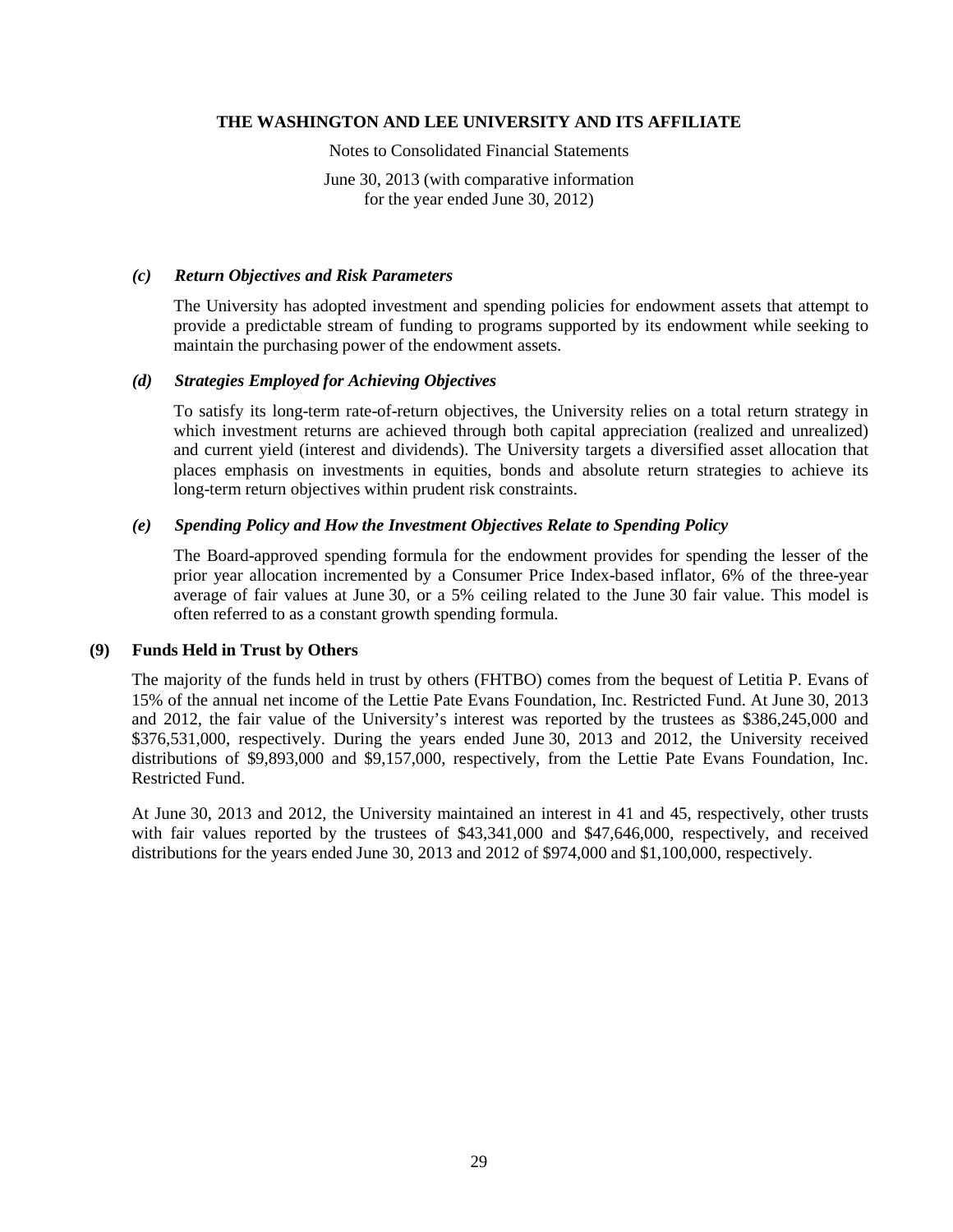Notes to Consolidated Financial Statements

June 30, 2013 (with comparative information for the year ended June 30, 2012)

## *(c) Return Objectives and Risk Parameters*

The University has adopted investment and spending policies for endowment assets that attempt to provide a predictable stream of funding to programs supported by its endowment while seeking to maintain the purchasing power of the endowment assets.

## *(d) Strategies Employed for Achieving Objectives*

To satisfy its long-term rate-of-return objectives, the University relies on a total return strategy in which investment returns are achieved through both capital appreciation (realized and unrealized) and current yield (interest and dividends). The University targets a diversified asset allocation that places emphasis on investments in equities, bonds and absolute return strategies to achieve its long-term return objectives within prudent risk constraints.

## *(e) Spending Policy and How the Investment Objectives Relate to Spending Policy*

The Board-approved spending formula for the endowment provides for spending the lesser of the prior year allocation incremented by a Consumer Price Index-based inflator, 6% of the three-year average of fair values at June 30, or a 5% ceiling related to the June 30 fair value. This model is often referred to as a constant growth spending formula.

## **(9) Funds Held in Trust by Others**

The majority of the funds held in trust by others (FHTBO) comes from the bequest of Letitia P. Evans of 15% of the annual net income of the Lettie Pate Evans Foundation, Inc. Restricted Fund. At June 30, 2013 and 2012, the fair value of the University's interest was reported by the trustees as \$386,245,000 and \$376,531,000, respectively. During the years ended June 30, 2013 and 2012, the University received distributions of \$9,893,000 and \$9,157,000, respectively, from the Lettie Pate Evans Foundation, Inc. Restricted Fund.

At June 30, 2013 and 2012, the University maintained an interest in 41 and 45, respectively, other trusts with fair values reported by the trustees of \$43,341,000 and \$47,646,000, respectively, and received distributions for the years ended June 30, 2013 and 2012 of \$974,000 and \$1,100,000, respectively.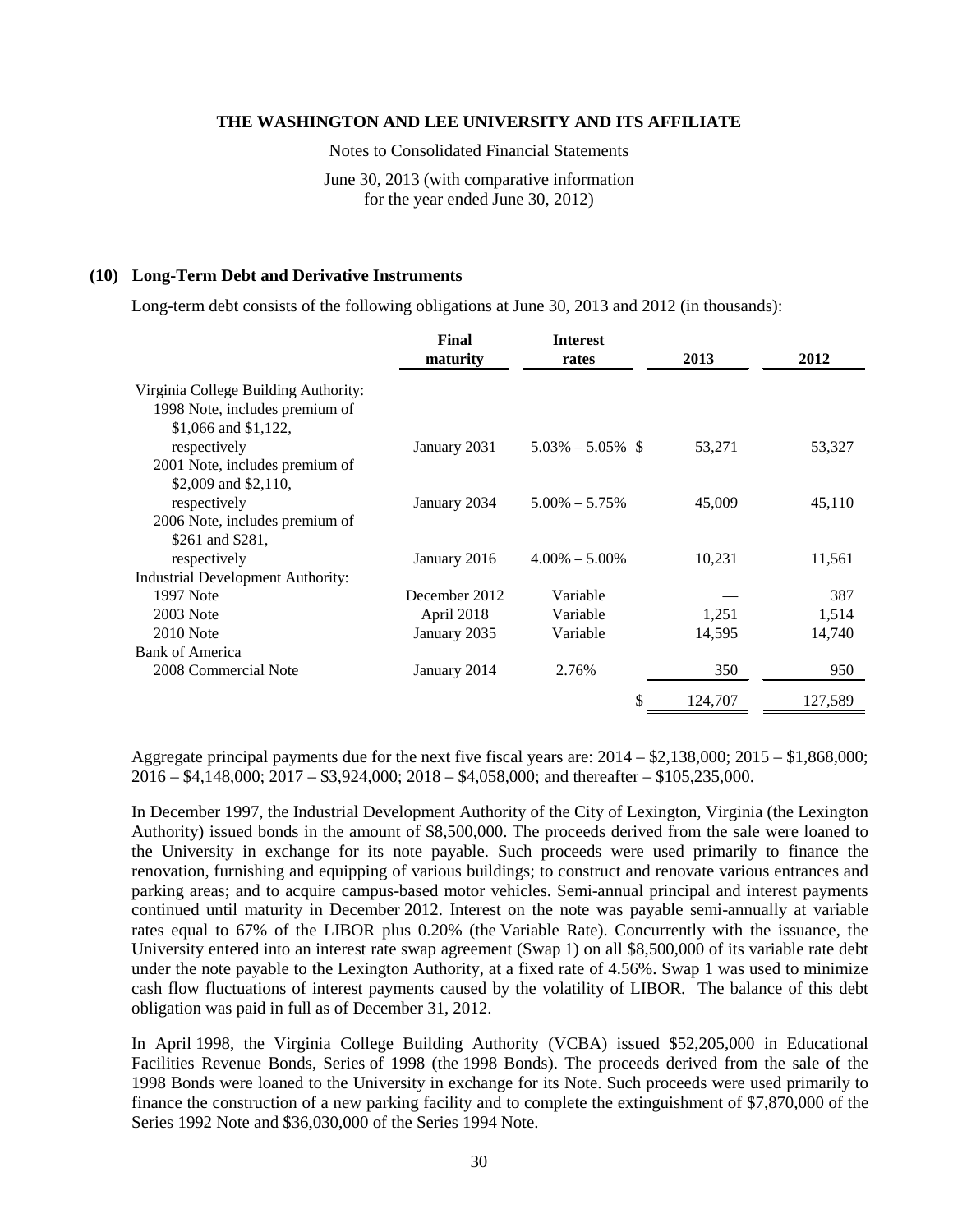Notes to Consolidated Financial Statements

June 30, 2013 (with comparative information for the year ended June 30, 2012)

#### **(10) Long-Term Debt and Derivative Instruments**

Long-term debt consists of the following obligations at June 30, 2013 and 2012 (in thousands):

|                                          | Final         | <b>Interest</b>      |         |         |
|------------------------------------------|---------------|----------------------|---------|---------|
|                                          | maturity      | rates                | 2013    | 2012    |
| Virginia College Building Authority:     |               |                      |         |         |
| 1998 Note, includes premium of           |               |                      |         |         |
| \$1,066 and \$1,122,                     |               |                      |         |         |
| respectively                             | January 2031  | $5.03\% - 5.05\%$ \$ | 53,271  | 53,327  |
| 2001 Note, includes premium of           |               |                      |         |         |
| \$2,009 and \$2,110.                     |               |                      |         |         |
| respectively                             | January 2034  | $5.00\% - 5.75\%$    | 45,009  | 45,110  |
| 2006 Note, includes premium of           |               |                      |         |         |
| \$261 and \$281,                         |               |                      |         |         |
| respectively                             | January 2016  | $4.00\% - 5.00\%$    | 10,231  | 11,561  |
| <b>Industrial Development Authority:</b> |               |                      |         |         |
| 1997 Note                                | December 2012 | Variable             |         | 387     |
| 2003 Note                                | April 2018    | Variable             | 1,251   | 1,514   |
| $2010$ Note                              | January 2035  | Variable             | 14,595  | 14,740  |
| Bank of America                          |               |                      |         |         |
| 2008 Commercial Note                     | January 2014  | 2.76%                | 350     | 950     |
|                                          |               | \$                   | 124,707 | 127,589 |

Aggregate principal payments due for the next five fiscal years are: 2014 – \$2,138,000; 2015 – \$1,868,000; 2016 – \$4,148,000; 2017 – \$3,924,000; 2018 – \$4,058,000; and thereafter – \$105,235,000.

In December 1997, the Industrial Development Authority of the City of Lexington, Virginia (the Lexington Authority) issued bonds in the amount of \$8,500,000. The proceeds derived from the sale were loaned to the University in exchange for its note payable. Such proceeds were used primarily to finance the renovation, furnishing and equipping of various buildings; to construct and renovate various entrances and parking areas; and to acquire campus-based motor vehicles. Semi-annual principal and interest payments continued until maturity in December 2012. Interest on the note was payable semi-annually at variable rates equal to 67% of the LIBOR plus 0.20% (the Variable Rate). Concurrently with the issuance, the University entered into an interest rate swap agreement (Swap 1) on all \$8,500,000 of its variable rate debt under the note payable to the Lexington Authority, at a fixed rate of 4.56%. Swap 1 was used to minimize cash flow fluctuations of interest payments caused by the volatility of LIBOR. The balance of this debt obligation was paid in full as of December 31, 2012.

In April 1998, the Virginia College Building Authority (VCBA) issued \$52,205,000 in Educational Facilities Revenue Bonds, Series of 1998 (the 1998 Bonds). The proceeds derived from the sale of the 1998 Bonds were loaned to the University in exchange for its Note. Such proceeds were used primarily to finance the construction of a new parking facility and to complete the extinguishment of \$7,870,000 of the Series 1992 Note and \$36,030,000 of the Series 1994 Note.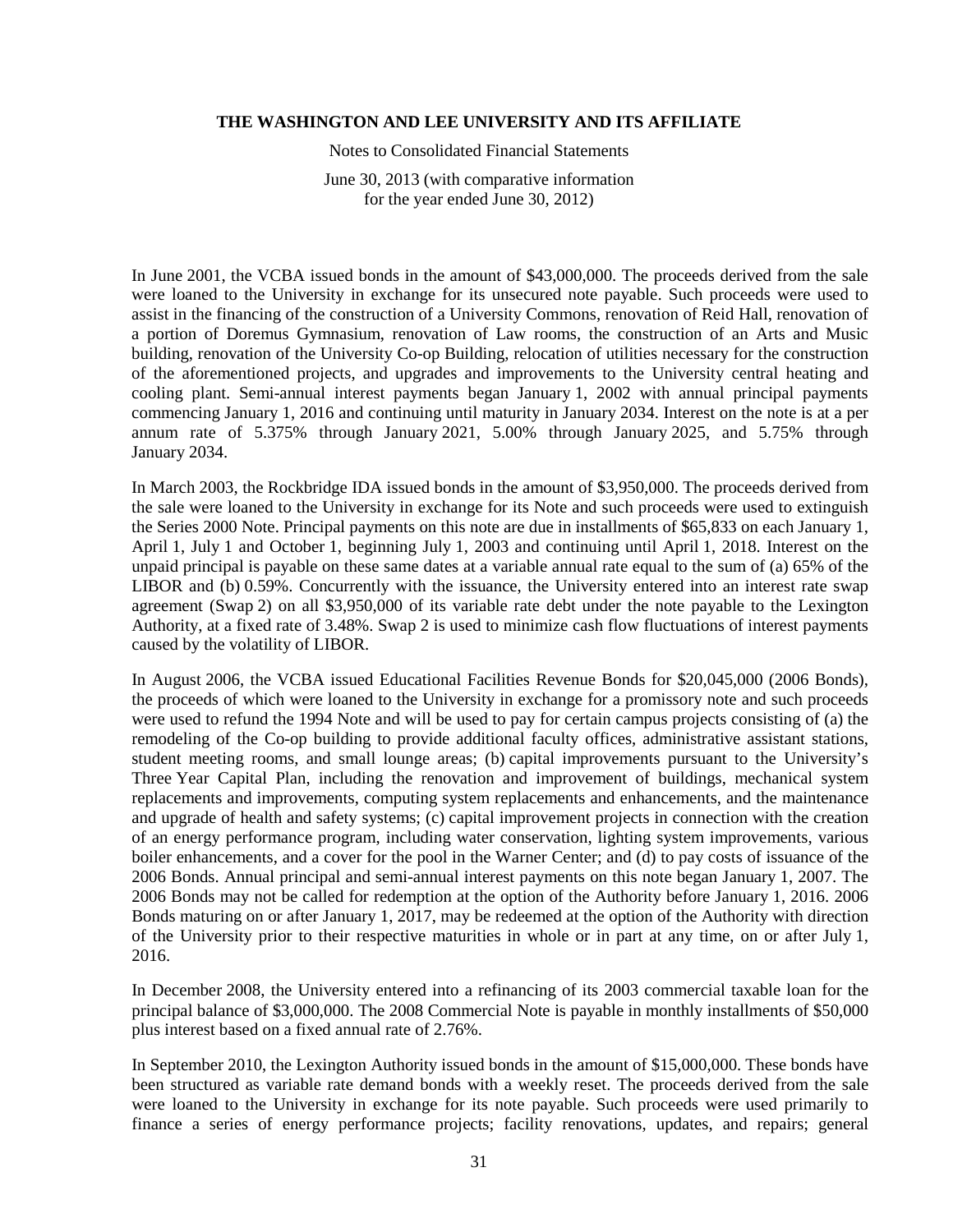Notes to Consolidated Financial Statements

June 30, 2013 (with comparative information for the year ended June 30, 2012)

In June 2001, the VCBA issued bonds in the amount of \$43,000,000. The proceeds derived from the sale were loaned to the University in exchange for its unsecured note payable. Such proceeds were used to assist in the financing of the construction of a University Commons, renovation of Reid Hall, renovation of a portion of Doremus Gymnasium, renovation of Law rooms, the construction of an Arts and Music building, renovation of the University Co-op Building, relocation of utilities necessary for the construction of the aforementioned projects, and upgrades and improvements to the University central heating and cooling plant. Semi-annual interest payments began January 1, 2002 with annual principal payments commencing January 1, 2016 and continuing until maturity in January 2034. Interest on the note is at a per annum rate of 5.375% through January 2021, 5.00% through January 2025, and 5.75% through January 2034.

In March 2003, the Rockbridge IDA issued bonds in the amount of \$3,950,000. The proceeds derived from the sale were loaned to the University in exchange for its Note and such proceeds were used to extinguish the Series 2000 Note. Principal payments on this note are due in installments of \$65,833 on each January 1, April 1, July 1 and October 1, beginning July 1, 2003 and continuing until April 1, 2018. Interest on the unpaid principal is payable on these same dates at a variable annual rate equal to the sum of (a) 65% of the LIBOR and (b) 0.59%. Concurrently with the issuance, the University entered into an interest rate swap agreement (Swap 2) on all \$3,950,000 of its variable rate debt under the note payable to the Lexington Authority, at a fixed rate of 3.48%. Swap 2 is used to minimize cash flow fluctuations of interest payments caused by the volatility of LIBOR.

In August 2006, the VCBA issued Educational Facilities Revenue Bonds for \$20,045,000 (2006 Bonds), the proceeds of which were loaned to the University in exchange for a promissory note and such proceeds were used to refund the 1994 Note and will be used to pay for certain campus projects consisting of (a) the remodeling of the Co-op building to provide additional faculty offices, administrative assistant stations, student meeting rooms, and small lounge areas; (b) capital improvements pursuant to the University's Three Year Capital Plan, including the renovation and improvement of buildings, mechanical system replacements and improvements, computing system replacements and enhancements, and the maintenance and upgrade of health and safety systems; (c) capital improvement projects in connection with the creation of an energy performance program, including water conservation, lighting system improvements, various boiler enhancements, and a cover for the pool in the Warner Center; and (d) to pay costs of issuance of the 2006 Bonds. Annual principal and semi-annual interest payments on this note began January 1, 2007. The 2006 Bonds may not be called for redemption at the option of the Authority before January 1, 2016. 2006 Bonds maturing on or after January 1, 2017, may be redeemed at the option of the Authority with direction of the University prior to their respective maturities in whole or in part at any time, on or after July 1, 2016.

In December 2008, the University entered into a refinancing of its 2003 commercial taxable loan for the principal balance of \$3,000,000. The 2008 Commercial Note is payable in monthly installments of \$50,000 plus interest based on a fixed annual rate of 2.76%.

In September 2010, the Lexington Authority issued bonds in the amount of \$15,000,000. These bonds have been structured as variable rate demand bonds with a weekly reset. The proceeds derived from the sale were loaned to the University in exchange for its note payable. Such proceeds were used primarily to finance a series of energy performance projects; facility renovations, updates, and repairs; general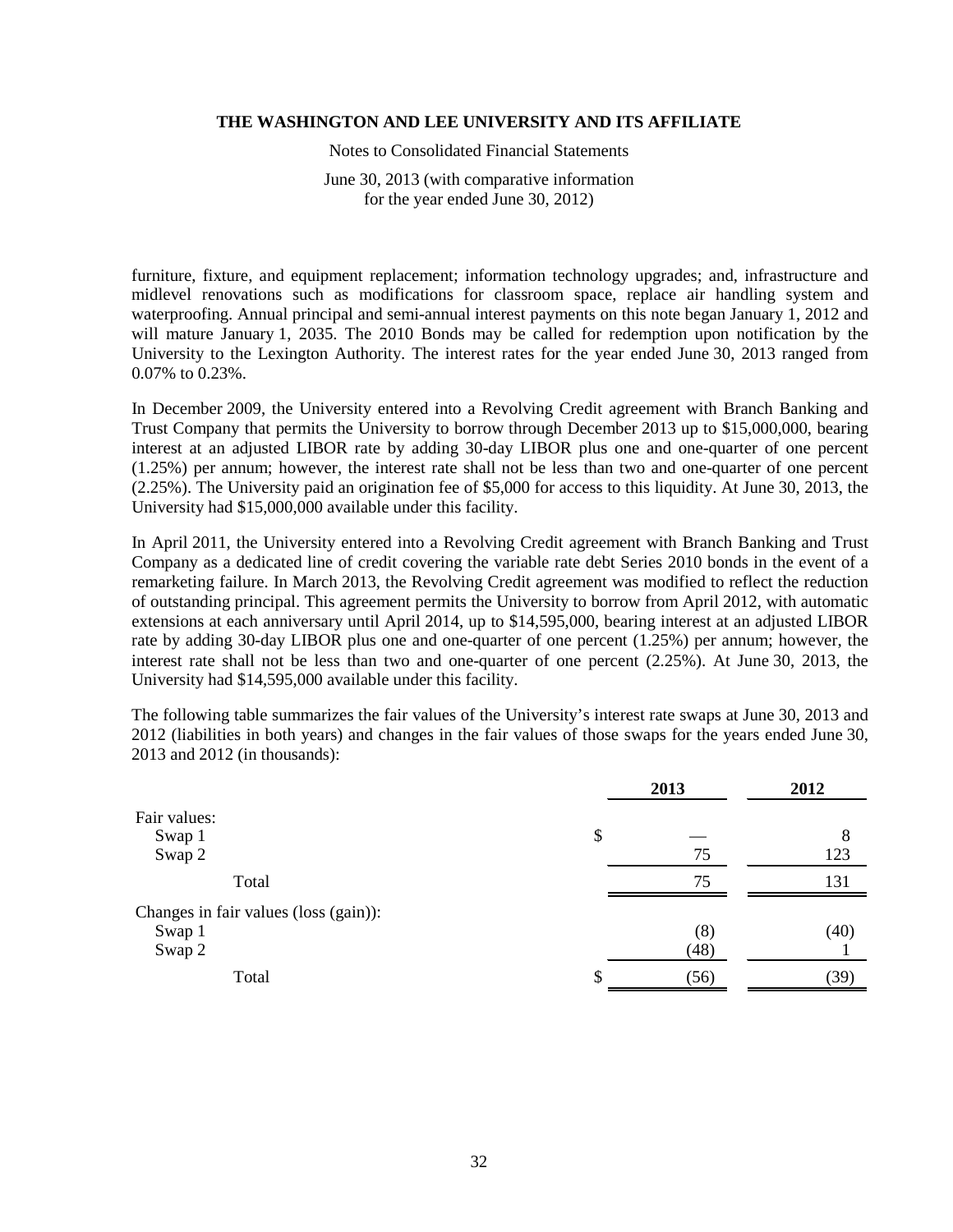Notes to Consolidated Financial Statements

June 30, 2013 (with comparative information for the year ended June 30, 2012)

furniture, fixture, and equipment replacement; information technology upgrades; and, infrastructure and midlevel renovations such as modifications for classroom space, replace air handling system and waterproofing. Annual principal and semi-annual interest payments on this note began January 1, 2012 and will mature January 1, 2035. The 2010 Bonds may be called for redemption upon notification by the University to the Lexington Authority. The interest rates for the year ended June 30, 2013 ranged from 0.07% to 0.23%.

In December 2009, the University entered into a Revolving Credit agreement with Branch Banking and Trust Company that permits the University to borrow through December 2013 up to \$15,000,000, bearing interest at an adjusted LIBOR rate by adding 30-day LIBOR plus one and one-quarter of one percent (1.25%) per annum; however, the interest rate shall not be less than two and one-quarter of one percent (2.25%). The University paid an origination fee of \$5,000 for access to this liquidity. At June 30, 2013, the University had \$15,000,000 available under this facility.

In April 2011, the University entered into a Revolving Credit agreement with Branch Banking and Trust Company as a dedicated line of credit covering the variable rate debt Series 2010 bonds in the event of a remarketing failure. In March 2013, the Revolving Credit agreement was modified to reflect the reduction of outstanding principal. This agreement permits the University to borrow from April 2012, with automatic extensions at each anniversary until April 2014, up to \$14,595,000, bearing interest at an adjusted LIBOR rate by adding 30-day LIBOR plus one and one-quarter of one percent (1.25%) per annum; however, the interest rate shall not be less than two and one-quarter of one percent (2.25%). At June 30, 2013, the University had \$14,595,000 available under this facility.

The following table summarizes the fair values of the University's interest rate swaps at June 30, 2013 and 2012 (liabilities in both years) and changes in the fair values of those swaps for the years ended June 30, 2013 and 2012 (in thousands):

|                                       | 2013 | 2012 |
|---------------------------------------|------|------|
| Fair values:                          |      |      |
| Swap 1                                | \$   | 8    |
| Swap 2                                | 75   | 123  |
| Total                                 | 75   | 131  |
| Changes in fair values (loss (gain)): |      |      |
| Swap 1                                | (8)  | (40) |
| Swap 2                                | (48) |      |
| Total                                 | (56) | (39) |
|                                       |      |      |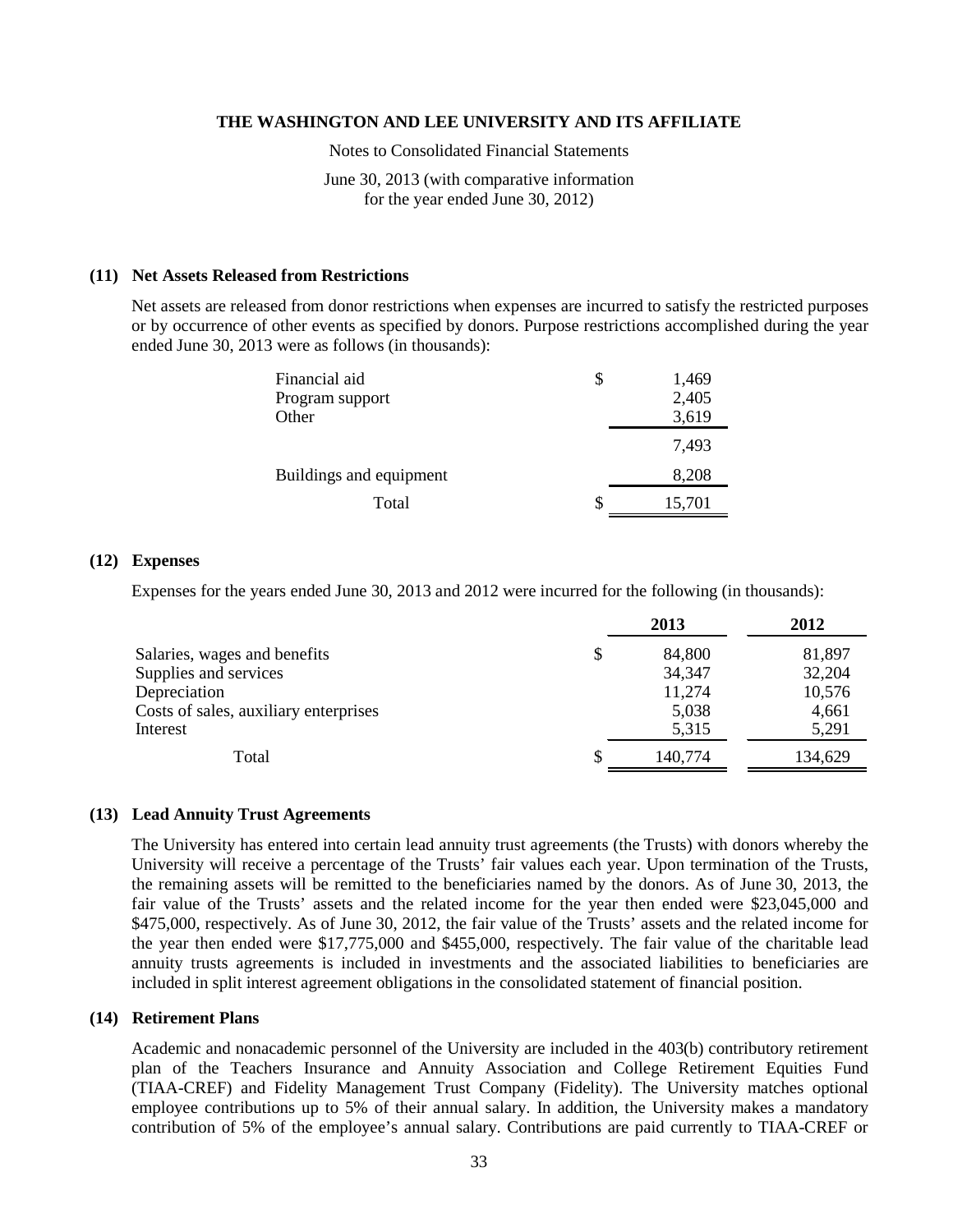Notes to Consolidated Financial Statements

June 30, 2013 (with comparative information for the year ended June 30, 2012)

#### **(11) Net Assets Released from Restrictions**

Net assets are released from donor restrictions when expenses are incurred to satisfy the restricted purposes or by occurrence of other events as specified by donors. Purpose restrictions accomplished during the year ended June 30, 2013 were as follows (in thousands):

| Financial aid           | \$<br>1,469  |
|-------------------------|--------------|
| Program support         | 2,405        |
| Other                   | 3,619        |
|                         | 7,493        |
| Buildings and equipment | 8,208        |
| Total                   | \$<br>15,701 |

#### **(12) Expenses**

Expenses for the years ended June 30, 2013 and 2012 were incurred for the following (in thousands):

|                                       | 2013         | 2012    |
|---------------------------------------|--------------|---------|
| Salaries, wages and benefits          | \$<br>84,800 | 81,897  |
| Supplies and services                 | 34,347       | 32,204  |
| Depreciation                          | 11,274       | 10,576  |
| Costs of sales, auxiliary enterprises | 5,038        | 4,661   |
| Interest                              | 5,315        | 5,291   |
| Total                                 | 140,774      | 134,629 |

#### **(13) Lead Annuity Trust Agreements**

The University has entered into certain lead annuity trust agreements (the Trusts) with donors whereby the University will receive a percentage of the Trusts' fair values each year. Upon termination of the Trusts, the remaining assets will be remitted to the beneficiaries named by the donors. As of June 30, 2013, the fair value of the Trusts' assets and the related income for the year then ended were \$23,045,000 and \$475,000, respectively. As of June 30, 2012, the fair value of the Trusts' assets and the related income for the year then ended were \$17,775,000 and \$455,000, respectively. The fair value of the charitable lead annuity trusts agreements is included in investments and the associated liabilities to beneficiaries are included in split interest agreement obligations in the consolidated statement of financial position.

#### **(14) Retirement Plans**

Academic and nonacademic personnel of the University are included in the 403(b) contributory retirement plan of the Teachers Insurance and Annuity Association and College Retirement Equities Fund (TIAA-CREF) and Fidelity Management Trust Company (Fidelity). The University matches optional employee contributions up to 5% of their annual salary. In addition, the University makes a mandatory contribution of 5% of the employee's annual salary. Contributions are paid currently to TIAA-CREF or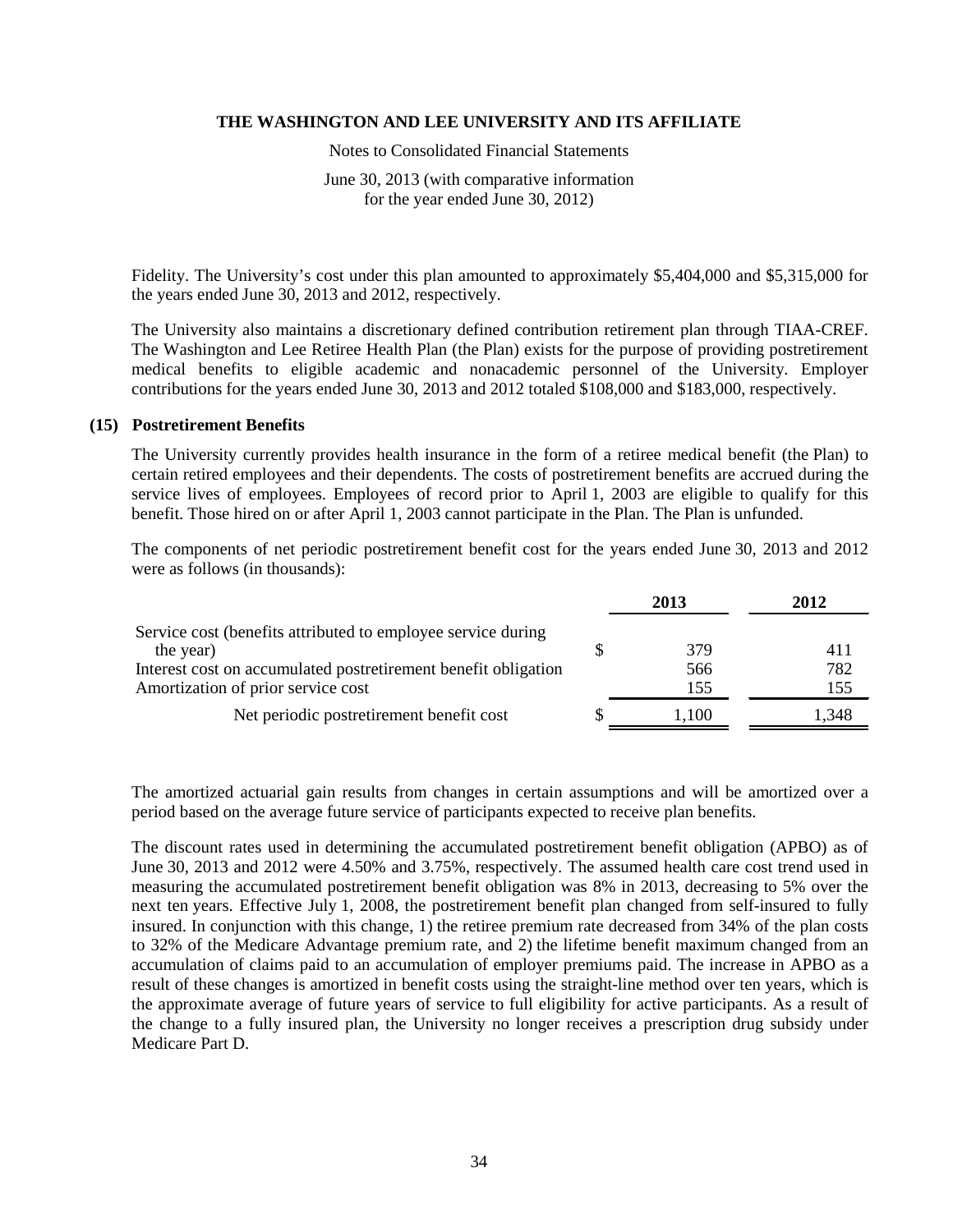Notes to Consolidated Financial Statements

June 30, 2013 (with comparative information for the year ended June 30, 2012)

Fidelity. The University's cost under this plan amounted to approximately \$5,404,000 and \$5,315,000 for the years ended June 30, 2013 and 2012, respectively.

The University also maintains a discretionary defined contribution retirement plan through TIAA-CREF. The Washington and Lee Retiree Health Plan (the Plan) exists for the purpose of providing postretirement medical benefits to eligible academic and nonacademic personnel of the University. Employer contributions for the years ended June 30, 2013 and 2012 totaled \$108,000 and \$183,000, respectively.

#### **(15) Postretirement Benefits**

The University currently provides health insurance in the form of a retiree medical benefit (the Plan) to certain retired employees and their dependents. The costs of postretirement benefits are accrued during the service lives of employees. Employees of record prior to April 1, 2003 are eligible to qualify for this benefit. Those hired on or after April 1, 2003 cannot participate in the Plan. The Plan is unfunded.

The components of net periodic postretirement benefit cost for the years ended June 30, 2013 and 2012 were as follows (in thousands):

|                                                                | 2013  | 2012  |
|----------------------------------------------------------------|-------|-------|
| Service cost (benefits attributed to employee service during   |       |       |
| the year)                                                      | 379   | 411   |
| Interest cost on accumulated postretirement benefit obligation | 566   | 782   |
| Amortization of prior service cost                             | 155   | 155   |
| Net periodic postretirement benefit cost                       | 1.100 | 1,348 |

The amortized actuarial gain results from changes in certain assumptions and will be amortized over a period based on the average future service of participants expected to receive plan benefits.

The discount rates used in determining the accumulated postretirement benefit obligation (APBO) as of June 30, 2013 and 2012 were 4.50% and 3.75%, respectively. The assumed health care cost trend used in measuring the accumulated postretirement benefit obligation was 8% in 2013, decreasing to 5% over the next ten years. Effective July 1, 2008, the postretirement benefit plan changed from self-insured to fully insured. In conjunction with this change, 1) the retiree premium rate decreased from 34% of the plan costs to 32% of the Medicare Advantage premium rate, and 2) the lifetime benefit maximum changed from an accumulation of claims paid to an accumulation of employer premiums paid. The increase in APBO as a result of these changes is amortized in benefit costs using the straight-line method over ten years, which is the approximate average of future years of service to full eligibility for active participants. As a result of the change to a fully insured plan, the University no longer receives a prescription drug subsidy under Medicare Part D.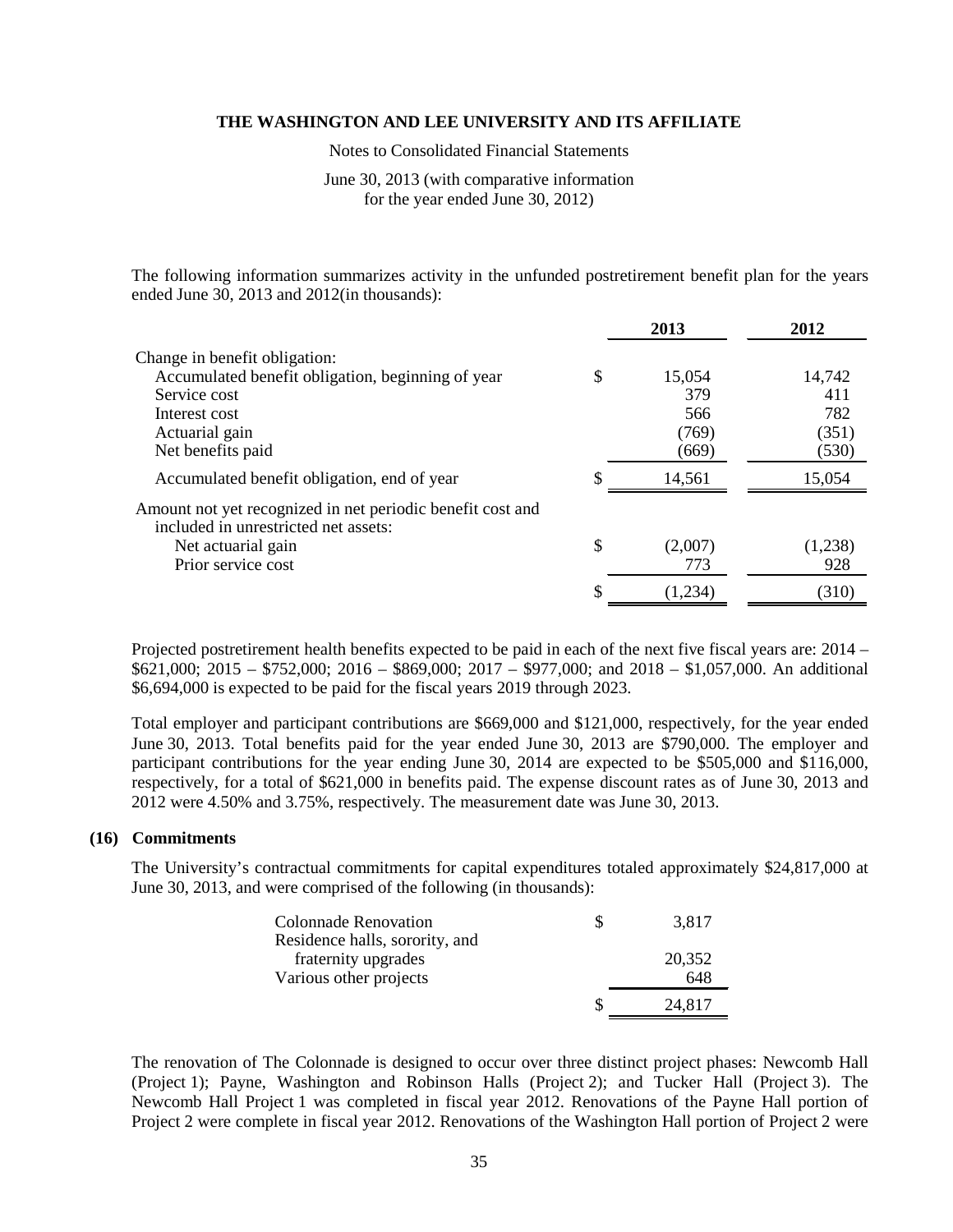Notes to Consolidated Financial Statements

June 30, 2013 (with comparative information for the year ended June 30, 2012)

The following information summarizes activity in the unfunded postretirement benefit plan for the years ended June 30, 2013 and 2012(in thousands):

|                                                                                                    | 2013          | 2012    |
|----------------------------------------------------------------------------------------------------|---------------|---------|
| Change in benefit obligation:                                                                      |               |         |
| Accumulated benefit obligation, beginning of year                                                  | \$<br>15,054  | 14,742  |
| Service cost                                                                                       | 379           | 411     |
| Interest cost                                                                                      | 566           | 782     |
| Actuarial gain                                                                                     | (769)         | (351)   |
| Net benefits paid                                                                                  | (669)         | (530)   |
| Accumulated benefit obligation, end of year                                                        | 14,561        | 15,054  |
| Amount not yet recognized in net periodic benefit cost and<br>included in unrestricted net assets: |               |         |
| Net actuarial gain                                                                                 | \$<br>(2,007) | (1,238) |
| Prior service cost                                                                                 | 773           | 928     |
|                                                                                                    | (1,234)       | (310)   |
|                                                                                                    |               |         |

Projected postretirement health benefits expected to be paid in each of the next five fiscal years are: 2014 –  $$621,000; 2015 - $752,000; 2016 - $869,000; 2017 - $977,000;$  and  $2018 - $1,057,000$ . An additional \$6,694,000 is expected to be paid for the fiscal years 2019 through 2023.

Total employer and participant contributions are \$669,000 and \$121,000, respectively, for the year ended June 30, 2013. Total benefits paid for the year ended June 30, 2013 are \$790,000. The employer and participant contributions for the year ending June 30, 2014 are expected to be \$505,000 and \$116,000, respectively, for a total of \$621,000 in benefits paid. The expense discount rates as of June 30, 2013 and 2012 were 4.50% and 3.75%, respectively. The measurement date was June 30, 2013.

#### **(16) Commitments**

The University's contractual commitments for capital expenditures totaled approximately \$24,817,000 at June 30, 2013, and were comprised of the following (in thousands):

| <b>Colonnade Renovation</b><br>Residence halls, sorority, and | 3,817         |
|---------------------------------------------------------------|---------------|
| fraternity upgrades<br>Various other projects                 | 20,352<br>648 |
|                                                               | 24.817        |

The renovation of The Colonnade is designed to occur over three distinct project phases: Newcomb Hall (Project 1); Payne, Washington and Robinson Halls (Project 2); and Tucker Hall (Project 3). The Newcomb Hall Project 1 was completed in fiscal year 2012. Renovations of the Payne Hall portion of Project 2 were complete in fiscal year 2012. Renovations of the Washington Hall portion of Project 2 were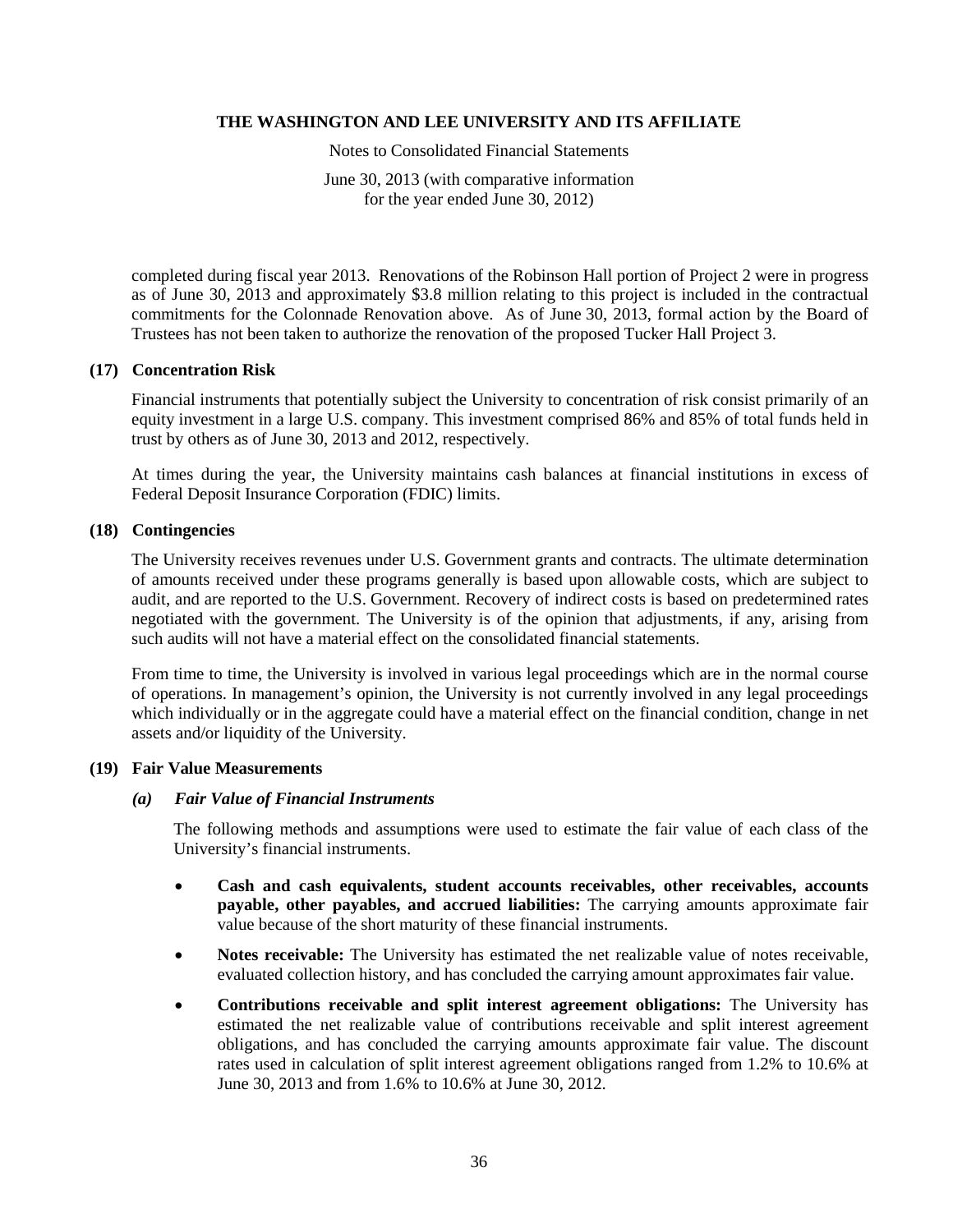Notes to Consolidated Financial Statements

June 30, 2013 (with comparative information for the year ended June 30, 2012)

completed during fiscal year 2013. Renovations of the Robinson Hall portion of Project 2 were in progress as of June 30, 2013 and approximately \$3.8 million relating to this project is included in the contractual commitments for the Colonnade Renovation above. As of June 30, 2013, formal action by the Board of Trustees has not been taken to authorize the renovation of the proposed Tucker Hall Project 3.

## **(17) Concentration Risk**

Financial instruments that potentially subject the University to concentration of risk consist primarily of an equity investment in a large U.S. company. This investment comprised 86% and 85% of total funds held in trust by others as of June 30, 2013 and 2012, respectively.

At times during the year, the University maintains cash balances at financial institutions in excess of Federal Deposit Insurance Corporation (FDIC) limits.

## **(18) Contingencies**

The University receives revenues under U.S. Government grants and contracts. The ultimate determination of amounts received under these programs generally is based upon allowable costs, which are subject to audit, and are reported to the U.S. Government. Recovery of indirect costs is based on predetermined rates negotiated with the government. The University is of the opinion that adjustments, if any, arising from such audits will not have a material effect on the consolidated financial statements.

From time to time, the University is involved in various legal proceedings which are in the normal course of operations. In management's opinion, the University is not currently involved in any legal proceedings which individually or in the aggregate could have a material effect on the financial condition, change in net assets and/or liquidity of the University.

## **(19) Fair Value Measurements**

## *(a) Fair Value of Financial Instruments*

The following methods and assumptions were used to estimate the fair value of each class of the University's financial instruments.

- **Cash and cash equivalents, student accounts receivables, other receivables, accounts payable, other payables, and accrued liabilities:** The carrying amounts approximate fair value because of the short maturity of these financial instruments.
- **Notes receivable:** The University has estimated the net realizable value of notes receivable, evaluated collection history, and has concluded the carrying amount approximates fair value.
- **Contributions receivable and split interest agreement obligations:** The University has estimated the net realizable value of contributions receivable and split interest agreement obligations, and has concluded the carrying amounts approximate fair value. The discount rates used in calculation of split interest agreement obligations ranged from 1.2% to 10.6% at June 30, 2013 and from 1.6% to 10.6% at June 30, 2012.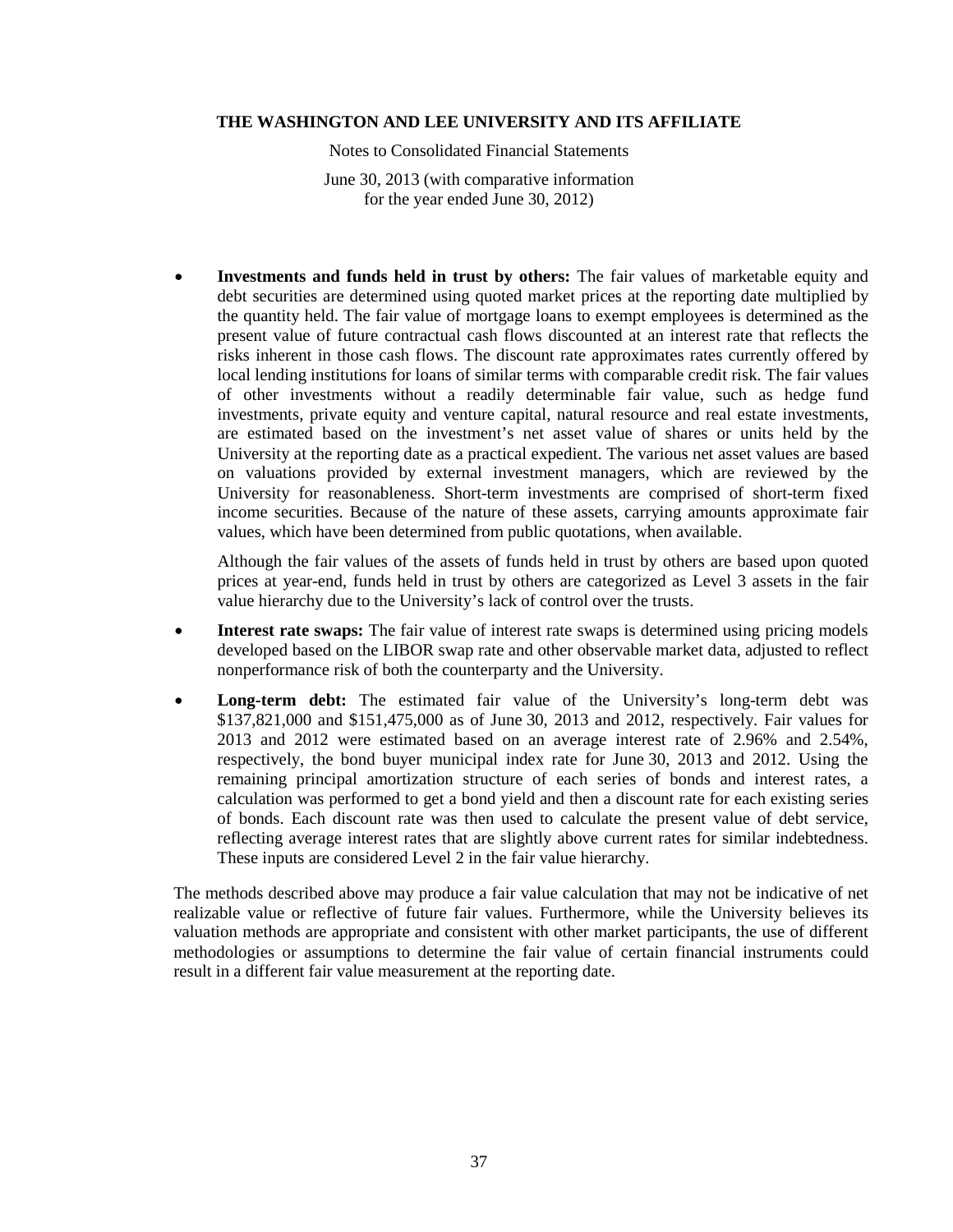Notes to Consolidated Financial Statements

June 30, 2013 (with comparative information for the year ended June 30, 2012)

• **Investments and funds held in trust by others:** The fair values of marketable equity and debt securities are determined using quoted market prices at the reporting date multiplied by the quantity held. The fair value of mortgage loans to exempt employees is determined as the present value of future contractual cash flows discounted at an interest rate that reflects the risks inherent in those cash flows. The discount rate approximates rates currently offered by local lending institutions for loans of similar terms with comparable credit risk. The fair values of other investments without a readily determinable fair value, such as hedge fund investments, private equity and venture capital, natural resource and real estate investments, are estimated based on the investment's net asset value of shares or units held by the University at the reporting date as a practical expedient. The various net asset values are based on valuations provided by external investment managers, which are reviewed by the University for reasonableness. Short-term investments are comprised of short-term fixed income securities. Because of the nature of these assets, carrying amounts approximate fair values, which have been determined from public quotations, when available.

Although the fair values of the assets of funds held in trust by others are based upon quoted prices at year-end, funds held in trust by others are categorized as Level 3 assets in the fair value hierarchy due to the University's lack of control over the trusts.

- **Interest rate swaps:** The fair value of interest rate swaps is determined using pricing models developed based on the LIBOR swap rate and other observable market data, adjusted to reflect nonperformance risk of both the counterparty and the University.
- **Long-term debt:** The estimated fair value of the University's long-term debt was \$137,821,000 and \$151,475,000 as of June 30, 2013 and 2012, respectively. Fair values for 2013 and 2012 were estimated based on an average interest rate of 2.96% and 2.54%, respectively, the bond buyer municipal index rate for June 30, 2013 and 2012. Using the remaining principal amortization structure of each series of bonds and interest rates, a calculation was performed to get a bond yield and then a discount rate for each existing series of bonds. Each discount rate was then used to calculate the present value of debt service, reflecting average interest rates that are slightly above current rates for similar indebtedness. These inputs are considered Level 2 in the fair value hierarchy.

The methods described above may produce a fair value calculation that may not be indicative of net realizable value or reflective of future fair values. Furthermore, while the University believes its valuation methods are appropriate and consistent with other market participants, the use of different methodologies or assumptions to determine the fair value of certain financial instruments could result in a different fair value measurement at the reporting date.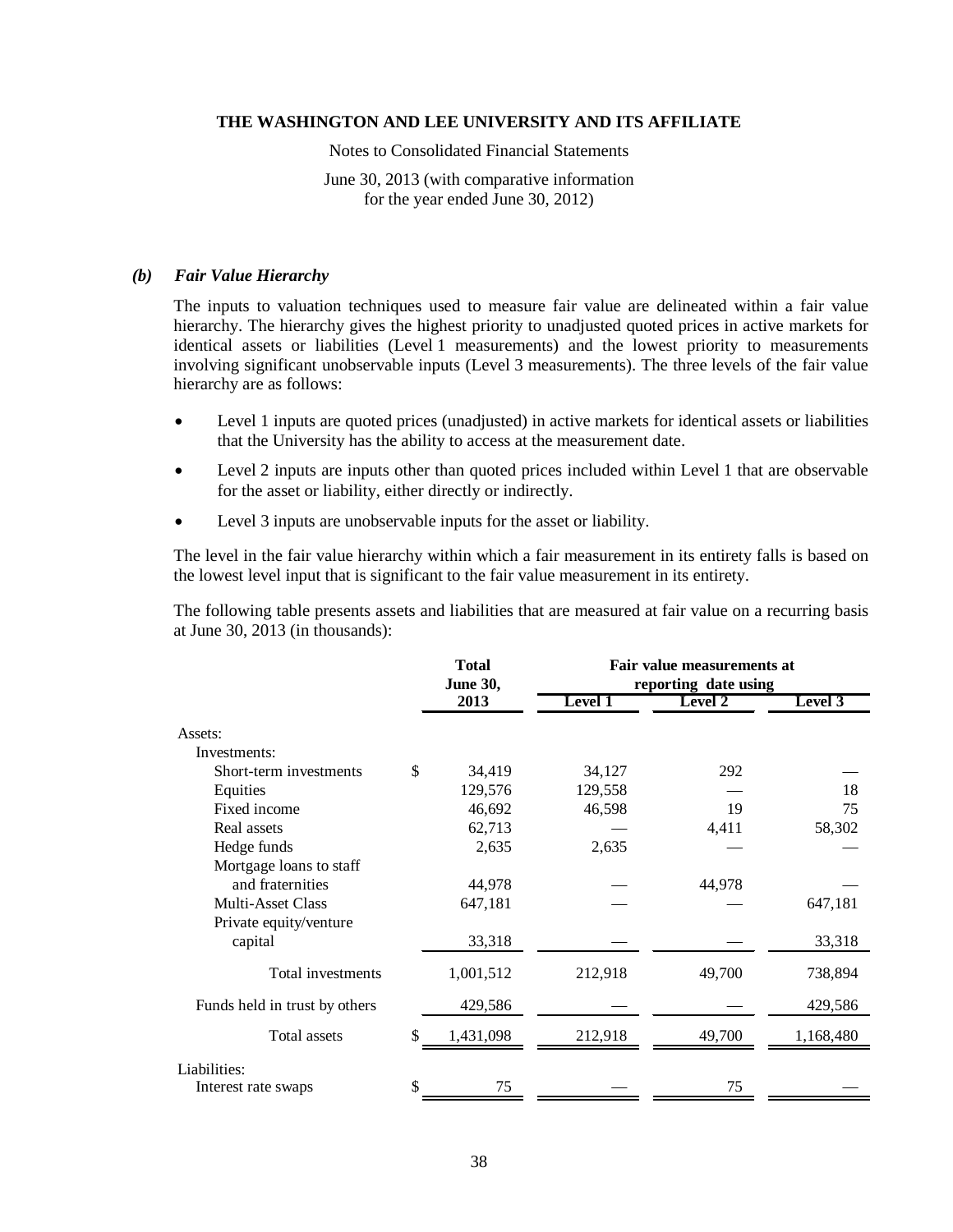Notes to Consolidated Financial Statements

June 30, 2013 (with comparative information for the year ended June 30, 2012)

#### *(b) Fair Value Hierarchy*

The inputs to valuation techniques used to measure fair value are delineated within a fair value hierarchy. The hierarchy gives the highest priority to unadjusted quoted prices in active markets for identical assets or liabilities (Level 1 measurements) and the lowest priority to measurements involving significant unobservable inputs (Level 3 measurements). The three levels of the fair value hierarchy are as follows:

- Level 1 inputs are quoted prices (unadjusted) in active markets for identical assets or liabilities that the University has the ability to access at the measurement date.
- Level 2 inputs are inputs other than quoted prices included within Level 1 that are observable for the asset or liability, either directly or indirectly.
- Level 3 inputs are unobservable inputs for the asset or liability.

The level in the fair value hierarchy within which a fair measurement in its entirety falls is based on the lowest level input that is significant to the fair value measurement in its entirety.

The following table presents assets and liabilities that are measured at fair value on a recurring basis at June 30, 2013 (in thousands):

|                               | <b>Total</b><br><b>June 30,</b> |                | Fair value measurements at<br>reporting date using |           |  |
|-------------------------------|---------------------------------|----------------|----------------------------------------------------|-----------|--|
|                               | 2013                            | <b>Level 1</b> | Level 2                                            | Level 3   |  |
| Assets:                       |                                 |                |                                                    |           |  |
| Investments:                  |                                 |                |                                                    |           |  |
| Short-term investments        | \$<br>34,419                    | 34,127         | 292                                                |           |  |
| Equities                      | 129,576                         | 129,558        |                                                    | 18        |  |
| Fixed income                  | 46,692                          | 46,598         | 19                                                 | 75        |  |
| Real assets                   | 62,713                          |                | 4,411                                              | 58,302    |  |
| Hedge funds                   | 2,635                           | 2,635          |                                                    |           |  |
| Mortgage loans to staff       |                                 |                |                                                    |           |  |
| and fraternities              | 44,978                          |                | 44,978                                             |           |  |
| <b>Multi-Asset Class</b>      | 647,181                         |                |                                                    | 647,181   |  |
| Private equity/venture        |                                 |                |                                                    |           |  |
| capital                       | 33,318                          |                |                                                    | 33,318    |  |
| Total investments             | 1,001,512                       | 212,918        | 49,700                                             | 738,894   |  |
| Funds held in trust by others | 429,586                         |                |                                                    | 429,586   |  |
| Total assets                  | \$<br>1,431,098                 | 212,918        | 49,700                                             | 1,168,480 |  |
| Liabilities:                  |                                 |                |                                                    |           |  |
| Interest rate swaps           | \$<br>75                        |                | 75                                                 |           |  |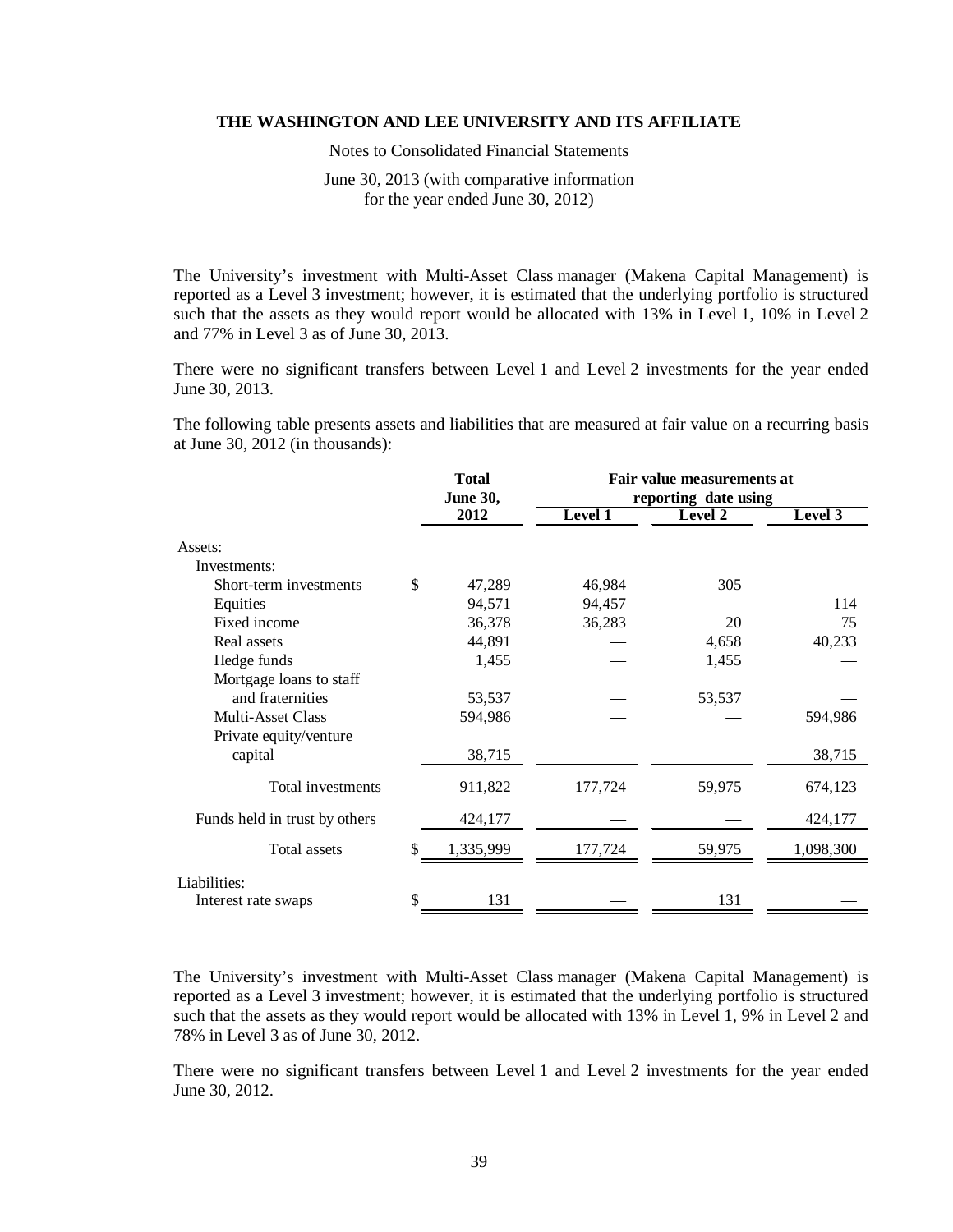Notes to Consolidated Financial Statements

June 30, 2013 (with comparative information for the year ended June 30, 2012)

The University's investment with Multi-Asset Class manager (Makena Capital Management) is reported as a Level 3 investment; however, it is estimated that the underlying portfolio is structured such that the assets as they would report would be allocated with 13% in Level 1, 10% in Level 2 and 77% in Level 3 as of June 30, 2013.

There were no significant transfers between Level 1 and Level 2 investments for the year ended June 30, 2013.

The following table presents assets and liabilities that are measured at fair value on a recurring basis at June 30, 2012 (in thousands):

|                               | <b>Total</b><br><b>June 30,</b> |                | Fair value measurements at<br>reporting date using |           |  |
|-------------------------------|---------------------------------|----------------|----------------------------------------------------|-----------|--|
|                               | 2012                            | <b>Level 1</b> | Level 2                                            | Level 3   |  |
| Assets:                       |                                 |                |                                                    |           |  |
| Investments:                  |                                 |                |                                                    |           |  |
| Short-term investments        | \$<br>47,289                    | 46,984         | 305                                                |           |  |
| Equities                      | 94,571                          | 94,457         |                                                    | 114       |  |
| Fixed income                  | 36,378                          | 36,283         | 20                                                 | 75        |  |
| Real assets                   | 44,891                          |                | 4,658                                              | 40,233    |  |
| Hedge funds                   | 1,455                           |                | 1,455                                              |           |  |
| Mortgage loans to staff       |                                 |                |                                                    |           |  |
| and fraternities              | 53,537                          |                | 53,537                                             |           |  |
| <b>Multi-Asset Class</b>      | 594,986                         |                |                                                    | 594,986   |  |
| Private equity/venture        |                                 |                |                                                    |           |  |
| capital                       | 38,715                          |                |                                                    | 38,715    |  |
| Total investments             | 911,822                         | 177,724        | 59,975                                             | 674,123   |  |
| Funds held in trust by others | 424,177                         |                |                                                    | 424,177   |  |
| Total assets                  | \$<br>1,335,999                 | 177,724        | 59,975                                             | 1,098,300 |  |
| Liabilities:                  |                                 |                |                                                    |           |  |
| Interest rate swaps           | \$<br>131                       |                | 131                                                |           |  |

The University's investment with Multi-Asset Class manager (Makena Capital Management) is reported as a Level 3 investment; however, it is estimated that the underlying portfolio is structured such that the assets as they would report would be allocated with 13% in Level 1, 9% in Level 2 and 78% in Level 3 as of June 30, 2012.

There were no significant transfers between Level 1 and Level 2 investments for the year ended June 30, 2012.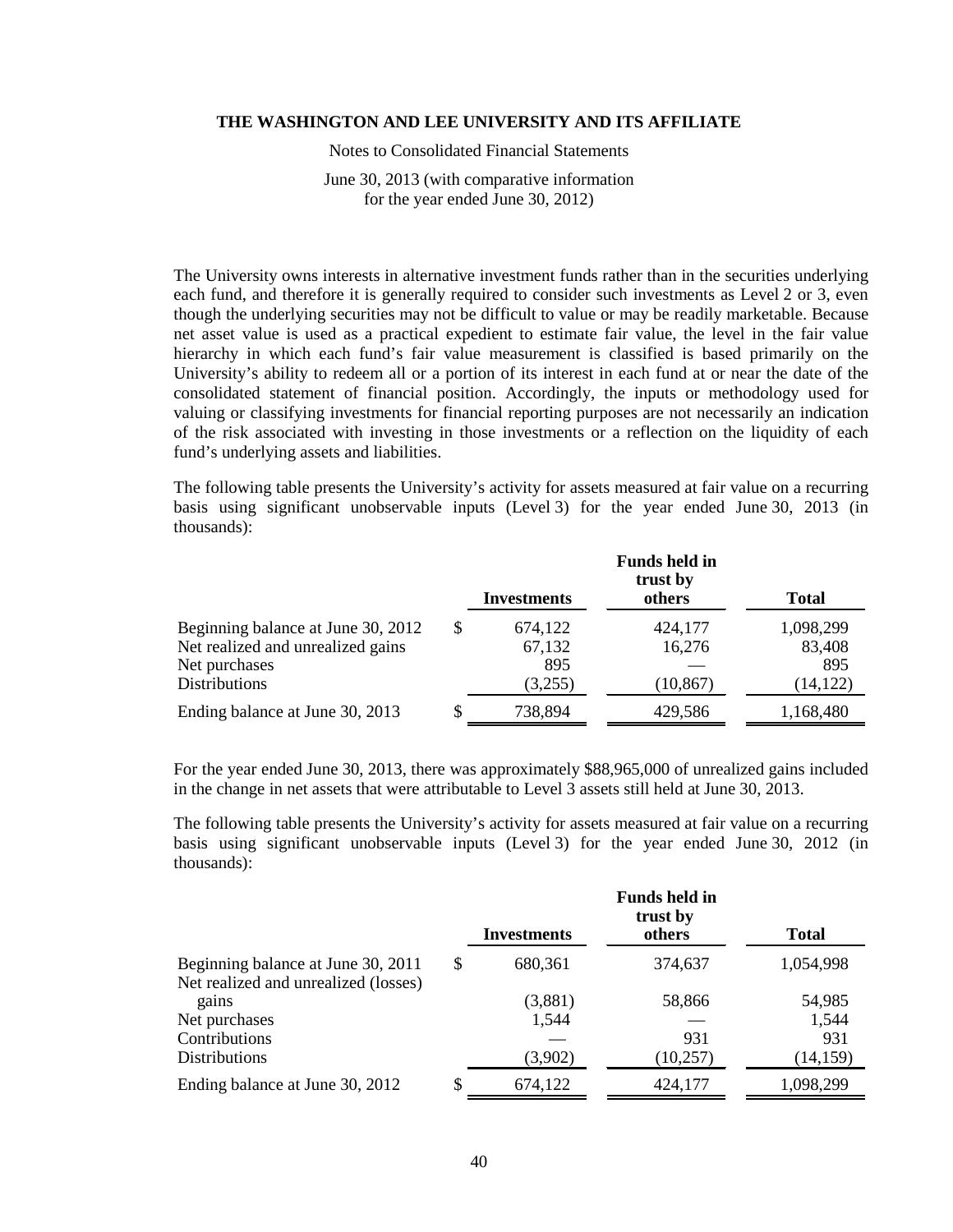Notes to Consolidated Financial Statements

June 30, 2013 (with comparative information for the year ended June 30, 2012)

The University owns interests in alternative investment funds rather than in the securities underlying each fund, and therefore it is generally required to consider such investments as Level 2 or 3, even though the underlying securities may not be difficult to value or may be readily marketable. Because net asset value is used as a practical expedient to estimate fair value, the level in the fair value hierarchy in which each fund's fair value measurement is classified is based primarily on the University's ability to redeem all or a portion of its interest in each fund at or near the date of the consolidated statement of financial position. Accordingly, the inputs or methodology used for valuing or classifying investments for financial reporting purposes are not necessarily an indication of the risk associated with investing in those investments or a reflection on the liquidity of each fund's underlying assets and liabilities.

The following table presents the University's activity for assets measured at fair value on a recurring basis using significant unobservable inputs (Level 3) for the year ended June 30, 2013 (in thousands):

|                                                                                                                  |    | Investments                         | <b>Funds held in</b><br>trust by<br>others | <b>Total</b>                            |
|------------------------------------------------------------------------------------------------------------------|----|-------------------------------------|--------------------------------------------|-----------------------------------------|
| Beginning balance at June 30, 2012<br>Net realized and unrealized gains<br>Net purchases<br><b>Distributions</b> | \$ | 674,122<br>67,132<br>895<br>(3,255) | 424,177<br>16,276<br>(10, 867)             | 1,098,299<br>83,408<br>895<br>(14, 122) |
| Ending balance at June 30, 2013                                                                                  | S  | 738,894                             | 429,586                                    | 1,168,480                               |

For the year ended June 30, 2013, there was approximately \$88,965,000 of unrealized gains included in the change in net assets that were attributable to Level 3 assets still held at June 30, 2013.

The following table presents the University's activity for assets measured at fair value on a recurring basis using significant unobservable inputs (Level 3) for the year ended June 30, 2012 (in thousands):

|                                               | <b>Investments</b> | <b>Funds held in</b><br>trust by<br>others | <b>Total</b> |
|-----------------------------------------------|--------------------|--------------------------------------------|--------------|
| Beginning balance at June 30, 2011            | \$<br>680,361      | 374,637                                    | 1,054,998    |
| Net realized and unrealized (losses)<br>gains | (3,881)            | 58,866                                     | 54,985       |
| Net purchases                                 | 1,544              |                                            | 1,544        |
| Contributions                                 |                    | 931                                        | 931          |
| <b>Distributions</b>                          | (3,902)            | (10, 257)                                  | (14, 159)    |
| Ending balance at June 30, 2012               | \$<br>674,122      | 424,177                                    | 1,098,299    |